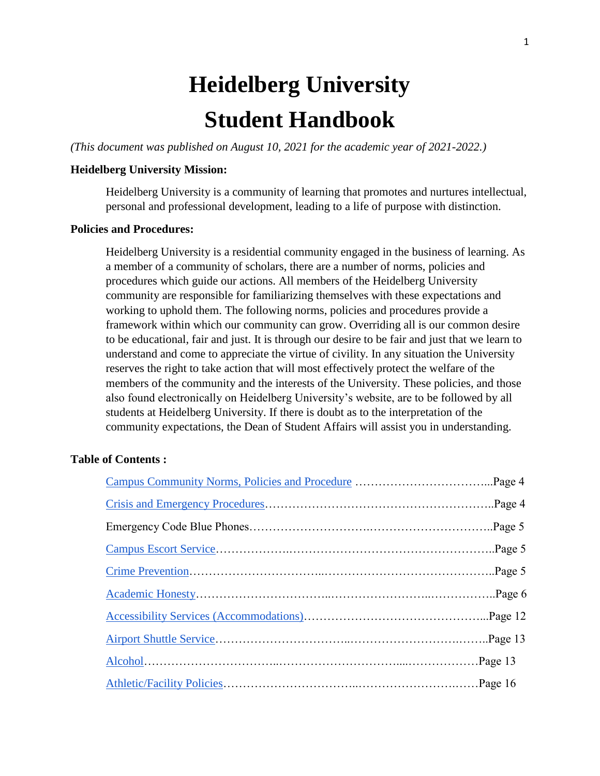# **Heidelberg University Student Handbook**

*(This document was published on August 10, 2021 for the academic year of 2021-2022.)*

## **Heidelberg University Mission:**

Heidelberg University is a community of learning that promotes and nurtures intellectual, personal and professional development, leading to a life of purpose with distinction.

#### **Policies and Procedures:**

Heidelberg University is a residential community engaged in the business of learning. As a member of a community of scholars, there are a number of norms, policies and procedures which guide our actions. All members of the Heidelberg University community are responsible for familiarizing themselves with these expectations and working to uphold them. The following norms, policies and procedures provide a framework within which our community can grow. Overriding all is our common desire to be educational, fair and just. It is through our desire to be fair and just that we learn to understand and come to appreciate the virtue of civility. In any situation the University reserves the right to take action that will most effectively protect the welfare of the members of the community and the interests of the University. These policies, and those also found electronically on Heidelberg University's website, are to be followed by all students at Heidelberg University. If there is doubt as to the interpretation of the community expectations, the Dean of Student Affairs will assist you in understanding.

# **Table of Contents :**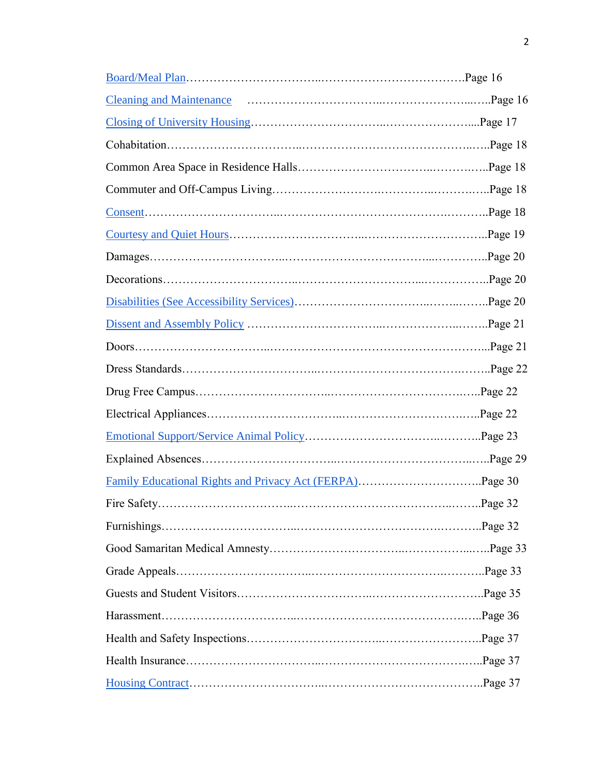| <b>Cleaning and Maintenance</b> |  |
|---------------------------------|--|
|                                 |  |
|                                 |  |
|                                 |  |
|                                 |  |
|                                 |  |
|                                 |  |
|                                 |  |
|                                 |  |
|                                 |  |
|                                 |  |
|                                 |  |
|                                 |  |
|                                 |  |
|                                 |  |
|                                 |  |
|                                 |  |
|                                 |  |
|                                 |  |
|                                 |  |
|                                 |  |
|                                 |  |
|                                 |  |
|                                 |  |
|                                 |  |
|                                 |  |
|                                 |  |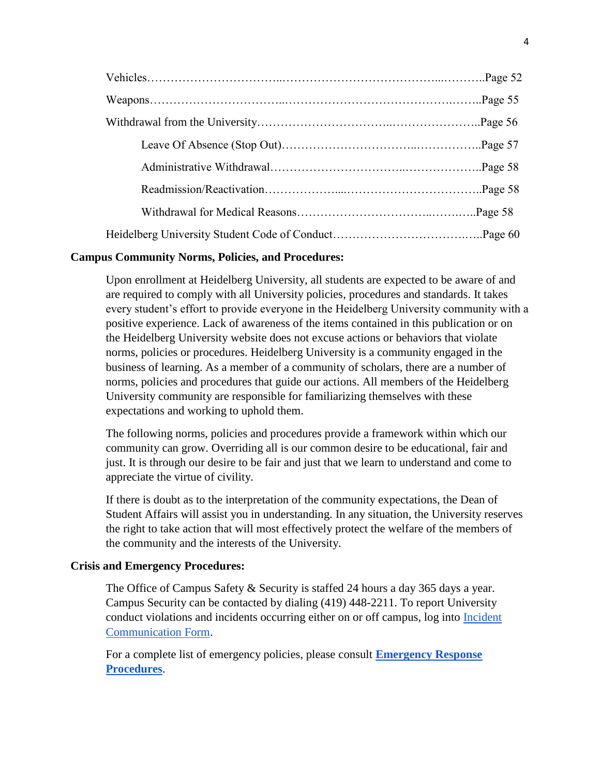## **Campus Community Norms, Policies, and Procedures:**

Upon enrollment at Heidelberg University, all students are expected to be aware of and are required to comply with all University policies, procedures and standards. It takes every student's effort to provide everyone in the Heidelberg University community with a positive experience. Lack of awareness of the items contained in this publication or on the Heidelberg University website does not excuse actions or behaviors that violate norms, policies or procedures. Heidelberg University is a community engaged in the business of learning. As a member of a community of scholars, there are a number of norms, policies and procedures that guide our actions. All members of the Heidelberg University community are responsible for familiarizing themselves with these expectations and working to uphold them.

The following norms, policies and procedures provide a framework within which our community can grow. Overriding all is our common desire to be educational, fair and just. It is through our desire to be fair and just that we learn to understand and come to appreciate the virtue of civility.

If there is doubt as to the interpretation of the community expectations, the Dean of Student Affairs will assist you in understanding. In any situation, the University reserves the right to take action that will most effectively protect the welfare of the members of the community and the interests of the University.

## **Crisis and Emergency Procedures:**

The Office of Campus Safety & Security is staffed 24 hours a day 365 days a year. Campus Security can be contacted by dialing (419) 448-2211. To report University conduct violations and incidents occurring either on or off campus, log into [Incident](https://heidelberg.guardianconduct.com/incident-reporting/new)  [Communication Form.](https://heidelberg.guardianconduct.com/incident-reporting/new)

For a complete list of emergency policies, please consult **[Emergency Response](https://inside.heidelberg.edu/departments-offices/safety-security/crisis-emergency-response-summary)  [Procedures](https://inside.heidelberg.edu/departments-offices/safety-security/crisis-emergency-response-summary)**.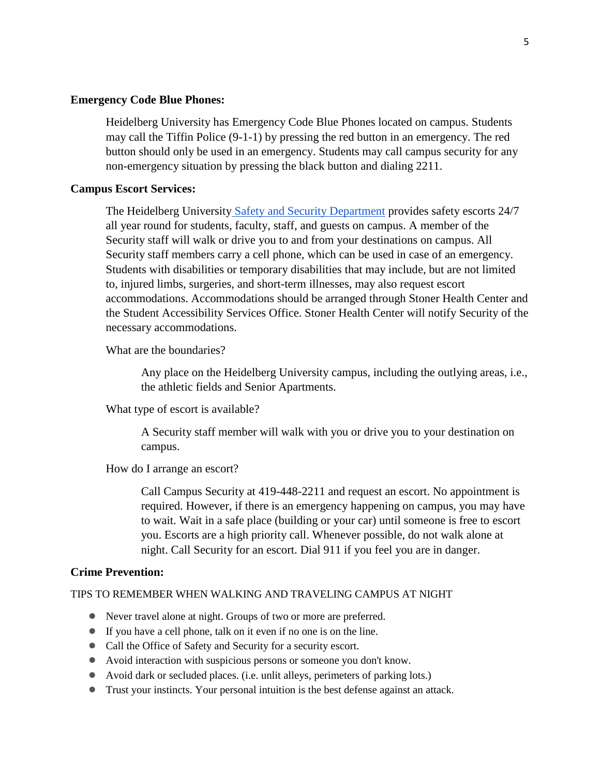#### **Emergency Code Blue Phones:**

Heidelberg University has Emergency Code Blue Phones located on campus. Students may call the Tiffin Police (9-1-1) by pressing the red button in an emergency. The red button should only be used in an emergency. Students may call campus security for any non-emergency situation by pressing the black button and dialing 2211.

#### **Campus Escort Services:**

The Heidelberg University [Safety and Security Department](https://inside.heidelberg.edu/departments-offices/safety-security) provides safety escorts 24/7 all year round for students, faculty, staff, and guests on campus. A member of the Security staff will walk or drive you to and from your destinations on campus. All Security staff members carry a cell phone, which can be used in case of an emergency. Students with disabilities or temporary disabilities that may include, but are not limited to, injured limbs, surgeries, and short-term illnesses, may also request escort accommodations. Accommodations should be arranged through Stoner Health Center and the Student Accessibility Services Office. Stoner Health Center will notify Security of the necessary accommodations.

What are the boundaries?

Any place on the Heidelberg University campus, including the outlying areas, i.e., the athletic fields and Senior Apartments.

What type of escort is available?

A Security staff member will walk with you or drive you to your destination on campus.

How do I arrange an escort?

Call Campus Security at 419-448-2211 and request an escort. No appointment is required. However, if there is an emergency happening on campus, you may have to wait. Wait in a safe place (building or your car) until someone is free to escort you. Escorts are a high priority call. Whenever possible, do not walk alone at night. Call Security for an escort. Dial 911 if you feel you are in danger.

#### **Crime Prevention:**

#### TIPS TO REMEMBER WHEN WALKING AND TRAVELING CAMPUS AT NIGHT

- Never travel alone at night. Groups of two or more are preferred.
- If you have a cell phone, talk on it even if no one is on the line.
- Call the Office of Safety and Security for a security escort.
- Avoid interaction with suspicious persons or someone you don't know.
- Avoid dark or secluded places. (i.e. unlit alleys, perimeters of parking lots.)
- Trust your instincts. Your personal intuition is the best defense against an attack.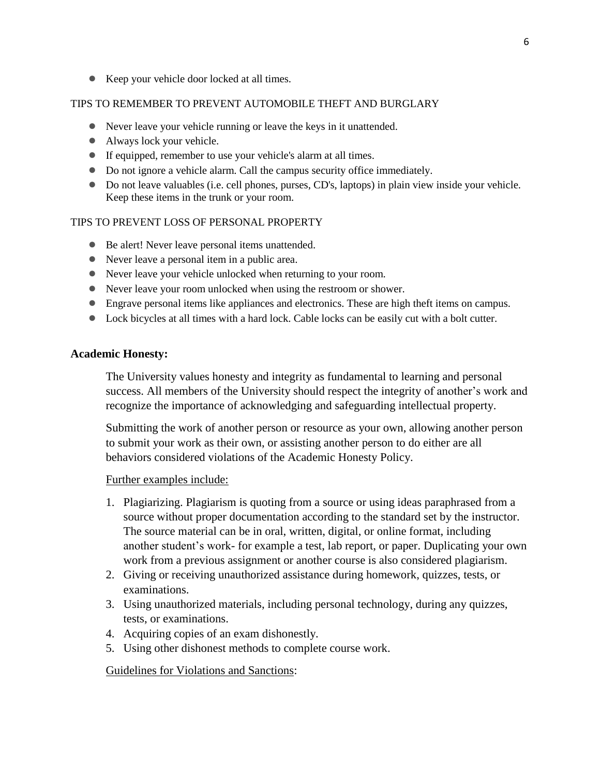● Keep your vehicle door locked at all times.

#### TIPS TO REMEMBER TO PREVENT AUTOMOBILE THEFT AND BURGLARY

- Never leave your vehicle running or leave the keys in it unattended.
- Always lock your vehicle.
- If equipped, remember to use your vehicle's alarm at all times.
- Do not ignore a vehicle alarm. Call the campus security office immediately.
- Do not leave valuables (i.e. cell phones, purses, CD's, laptops) in plain view inside your vehicle. Keep these items in the trunk or your room.

## TIPS TO PREVENT LOSS OF PERSONAL PROPERTY

- Be alert! Never leave personal items unattended.
- Never leave a personal item in a public area.
- Never leave your vehicle unlocked when returning to your room.
- Never leave your room unlocked when using the restroom or shower.
- Engrave personal items like appliances and electronics. These are high theft items on campus.
- Lock bicycles at all times with a hard lock. Cable locks can be easily cut with a bolt cutter.

## **Academic Honesty:**

The University values honesty and integrity as fundamental to learning and personal success. All members of the University should respect the integrity of another's work and recognize the importance of acknowledging and safeguarding intellectual property.

Submitting the work of another person or resource as your own, allowing another person to submit your work as their own, or assisting another person to do either are all behaviors considered violations of the Academic Honesty Policy.

## Further examples include:

- 1. Plagiarizing. Plagiarism is quoting from a source or using ideas paraphrased from a source without proper documentation according to the standard set by the instructor. The source material can be in oral, written, digital, or online format, including another student's work- for example a test, lab report, or paper. Duplicating your own work from a previous assignment or another course is also considered plagiarism.
- 2. Giving or receiving unauthorized assistance during homework, quizzes, tests, or examinations.
- 3. Using unauthorized materials, including personal technology, during any quizzes, tests, or examinations.
- 4. Acquiring copies of an exam dishonestly.
- 5. Using other dishonest methods to complete course work.

Guidelines for Violations and Sanctions: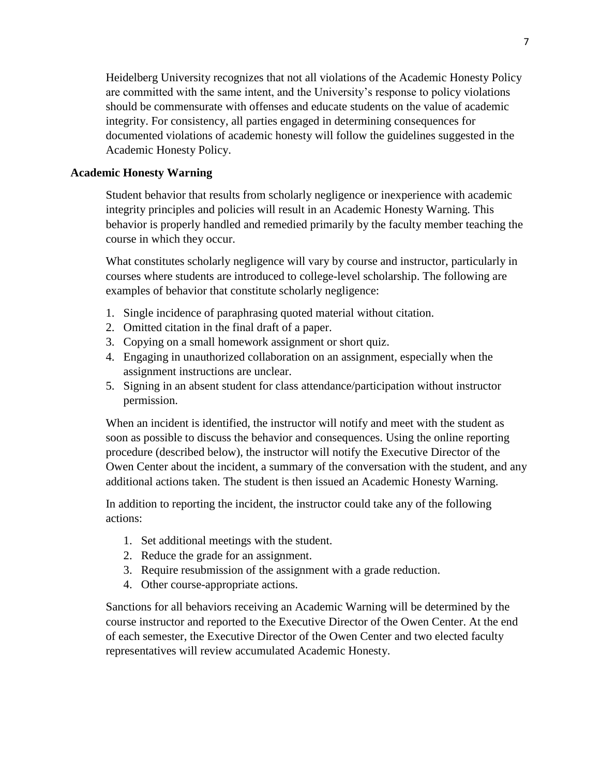Heidelberg University recognizes that not all violations of the Academic Honesty Policy are committed with the same intent, and the University's response to policy violations should be commensurate with offenses and educate students on the value of academic integrity. For consistency, all parties engaged in determining consequences for documented violations of academic honesty will follow the guidelines suggested in the Academic Honesty Policy.

## **Academic Honesty Warning**

Student behavior that results from scholarly negligence or inexperience with academic integrity principles and policies will result in an Academic Honesty Warning. This behavior is properly handled and remedied primarily by the faculty member teaching the course in which they occur.

What constitutes scholarly negligence will vary by course and instructor, particularly in courses where students are introduced to college-level scholarship. The following are examples of behavior that constitute scholarly negligence:

- 1. Single incidence of paraphrasing quoted material without citation.
- 2. Omitted citation in the final draft of a paper.
- 3. Copying on a small homework assignment or short quiz.
- 4. Engaging in unauthorized collaboration on an assignment, especially when the assignment instructions are unclear.
- 5. Signing in an absent student for class attendance/participation without instructor permission.

When an incident is identified, the instructor will notify and meet with the student as soon as possible to discuss the behavior and consequences. Using the online reporting procedure (described below), the instructor will notify the Executive Director of the Owen Center about the incident, a summary of the conversation with the student, and any additional actions taken. The student is then issued an Academic Honesty Warning.

In addition to reporting the incident, the instructor could take any of the following actions:

- 1. Set additional meetings with the student.
- 2. Reduce the grade for an assignment.
- 3. Require resubmission of the assignment with a grade reduction.
- 4. Other course-appropriate actions.

Sanctions for all behaviors receiving an Academic Warning will be determined by the course instructor and reported to the Executive Director of the Owen Center. At the end of each semester, the Executive Director of the Owen Center and two elected faculty representatives will review accumulated Academic Honesty.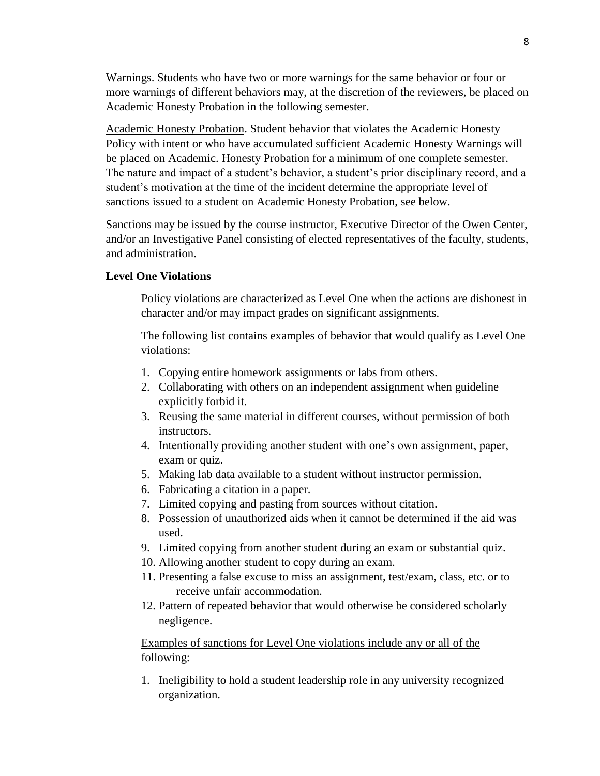Warnings. Students who have two or more warnings for the same behavior or four or more warnings of different behaviors may, at the discretion of the reviewers, be placed on Academic Honesty Probation in the following semester.

Academic Honesty Probation. Student behavior that violates the Academic Honesty Policy with intent or who have accumulated sufficient Academic Honesty Warnings will be placed on Academic. Honesty Probation for a minimum of one complete semester. The nature and impact of a student's behavior, a student's prior disciplinary record, and a student's motivation at the time of the incident determine the appropriate level of sanctions issued to a student on Academic Honesty Probation, see below.

Sanctions may be issued by the course instructor, Executive Director of the Owen Center, and/or an Investigative Panel consisting of elected representatives of the faculty, students, and administration.

## **Level One Violations**

Policy violations are characterized as Level One when the actions are dishonest in character and/or may impact grades on significant assignments.

The following list contains examples of behavior that would qualify as Level One violations:

- 1. Copying entire homework assignments or labs from others.
- 2. Collaborating with others on an independent assignment when guideline explicitly forbid it.
- 3. Reusing the same material in different courses, without permission of both instructors.
- 4. Intentionally providing another student with one's own assignment, paper, exam or quiz.
- 5. Making lab data available to a student without instructor permission.
- 6. Fabricating a citation in a paper.
- 7. Limited copying and pasting from sources without citation.
- 8. Possession of unauthorized aids when it cannot be determined if the aid was used.
- 9. Limited copying from another student during an exam or substantial quiz.
- 10. Allowing another student to copy during an exam.
- 11. Presenting a false excuse to miss an assignment, test/exam, class, etc. or to receive unfair accommodation.
- 12. Pattern of repeated behavior that would otherwise be considered scholarly negligence.

Examples of sanctions for Level One violations include any or all of the following:

1. Ineligibility to hold a student leadership role in any university recognized organization.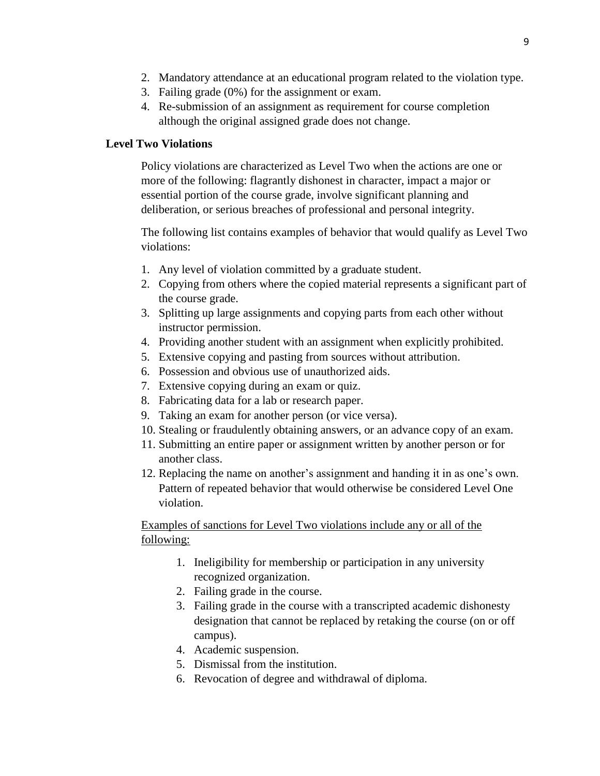- 2. Mandatory attendance at an educational program related to the violation type.
- 3. Failing grade (0%) for the assignment or exam.
- 4. Re-submission of an assignment as requirement for course completion although the original assigned grade does not change.

# **Level Two Violations**

Policy violations are characterized as Level Two when the actions are one or more of the following: flagrantly dishonest in character, impact a major or essential portion of the course grade, involve significant planning and deliberation, or serious breaches of professional and personal integrity.

The following list contains examples of behavior that would qualify as Level Two violations:

- 1. Any level of violation committed by a graduate student.
- 2. Copying from others where the copied material represents a significant part of the course grade.
- 3. Splitting up large assignments and copying parts from each other without instructor permission.
- 4. Providing another student with an assignment when explicitly prohibited.
- 5. Extensive copying and pasting from sources without attribution.
- 6. Possession and obvious use of unauthorized aids.
- 7. Extensive copying during an exam or quiz.
- 8. Fabricating data for a lab or research paper.
- 9. Taking an exam for another person (or vice versa).
- 10. Stealing or fraudulently obtaining answers, or an advance copy of an exam.
- 11. Submitting an entire paper or assignment written by another person or for another class.
- 12. Replacing the name on another's assignment and handing it in as one's own. Pattern of repeated behavior that would otherwise be considered Level One violation.

Examples of sanctions for Level Two violations include any or all of the following:

- 1. Ineligibility for membership or participation in any university recognized organization.
- 2. Failing grade in the course.
- 3. Failing grade in the course with a transcripted academic dishonesty designation that cannot be replaced by retaking the course (on or off campus).
- 4. Academic suspension.
- 5. Dismissal from the institution.
- 6. Revocation of degree and withdrawal of diploma.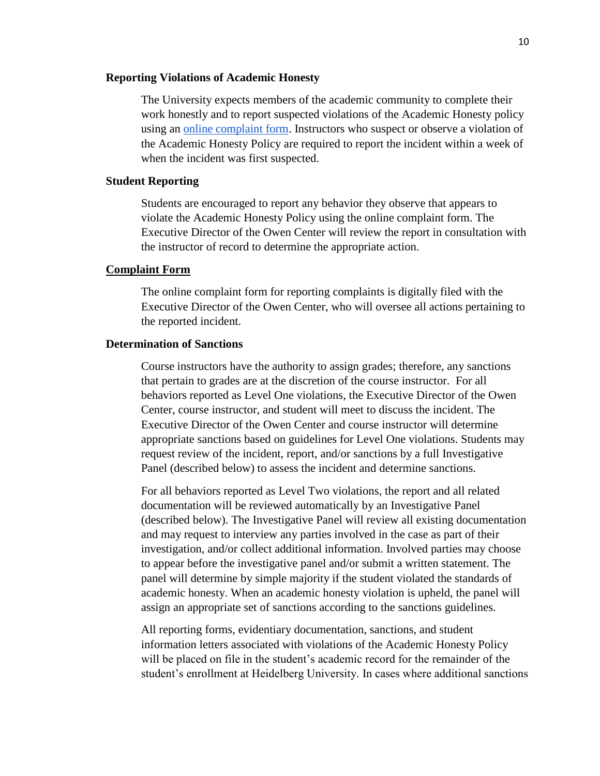#### **Reporting Violations of Academic Honesty**

The University expects members of the academic community to complete their work honestly and to report suspected violations of the Academic Honesty policy using an [online complaint form.](https://inside.heidelberg.edu/departments-offices/academic-affairs/academic-honesty-incident-report-form) Instructors who suspect or observe a violation of the Academic Honesty Policy are required to report the incident within a week of when the incident was first suspected.

#### **Student Reporting**

Students are encouraged to report any behavior they observe that appears to violate the Academic Honesty Policy using the online complaint form. The Executive Director of the Owen Center will review the report in consultation with the instructor of record to determine the appropriate action.

#### **[Complaint Form](https://inside.heidelberg.edu/departments-offices/academic-affairs/academic-honesty-incident-report-form)**

The online complaint form for reporting complaints is digitally filed with the Executive Director of the Owen Center, who will oversee all actions pertaining to the reported incident.

#### **Determination of Sanctions**

Course instructors have the authority to assign grades; therefore, any sanctions that pertain to grades are at the discretion of the course instructor. For all behaviors reported as Level One violations, the Executive Director of the Owen Center, course instructor, and student will meet to discuss the incident. The Executive Director of the Owen Center and course instructor will determine appropriate sanctions based on guidelines for Level One violations. Students may request review of the incident, report, and/or sanctions by a full Investigative Panel (described below) to assess the incident and determine sanctions.

For all behaviors reported as Level Two violations, the report and all related documentation will be reviewed automatically by an Investigative Panel (described below). The Investigative Panel will review all existing documentation and may request to interview any parties involved in the case as part of their investigation, and/or collect additional information. Involved parties may choose to appear before the investigative panel and/or submit a written statement. The panel will determine by simple majority if the student violated the standards of academic honesty. When an academic honesty violation is upheld, the panel will assign an appropriate set of sanctions according to the sanctions guidelines.

All reporting forms, evidentiary documentation, sanctions, and student information letters associated with violations of the Academic Honesty Policy will be placed on file in the student's academic record for the remainder of the student's enrollment at Heidelberg University. In cases where additional sanctions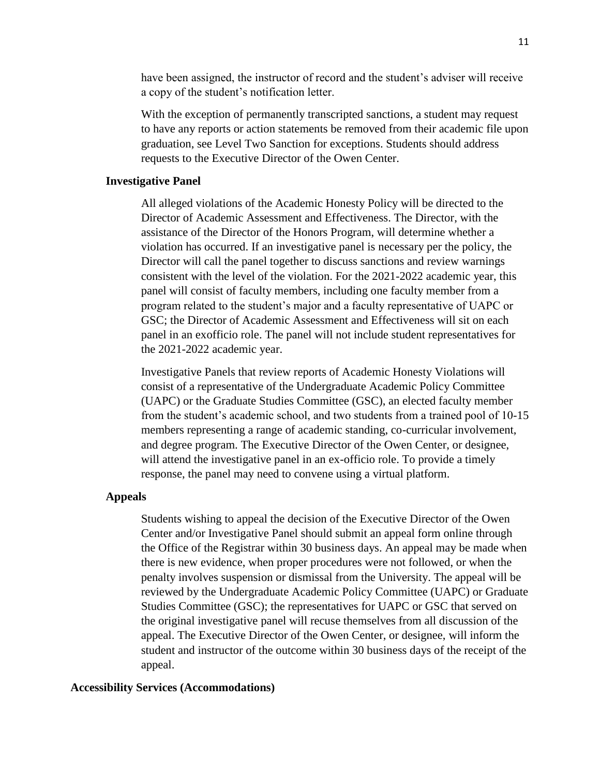have been assigned, the instructor of record and the student's adviser will receive a copy of the student's notification letter.

With the exception of permanently transcripted sanctions, a student may request to have any reports or action statements be removed from their academic file upon graduation, see Level Two Sanction for exceptions. Students should address requests to the Executive Director of the Owen Center.

#### **Investigative Panel**

All alleged violations of the Academic Honesty Policy will be directed to the Director of Academic Assessment and Effectiveness. The Director, with the assistance of the Director of the Honors Program, will determine whether a violation has occurred. If an investigative panel is necessary per the policy, the Director will call the panel together to discuss sanctions and review warnings consistent with the level of the violation. For the 2021-2022 academic year, this panel will consist of faculty members, including one faculty member from a program related to the student's major and a faculty representative of UAPC or GSC; the Director of Academic Assessment and Effectiveness will sit on each panel in an exofficio role. The panel will not include student representatives for the 2021-2022 academic year.

Investigative Panels that review reports of Academic Honesty Violations will consist of a representative of the Undergraduate Academic Policy Committee (UAPC) or the Graduate Studies Committee (GSC), an elected faculty member from the student's academic school, and two students from a trained pool of 10-15 members representing a range of academic standing, co-curricular involvement, and degree program. The Executive Director of the Owen Center, or designee, will attend the investigative panel in an ex-officio role. To provide a timely response, the panel may need to convene using a virtual platform.

#### **Appeals**

Students wishing to appeal the decision of the Executive Director of the Owen Center and/or Investigative Panel should submit an appeal form online through the Office of the Registrar within 30 business days. An appeal may be made when there is new evidence, when proper procedures were not followed, or when the penalty involves suspension or dismissal from the University. The appeal will be reviewed by the Undergraduate Academic Policy Committee (UAPC) or Graduate Studies Committee (GSC); the representatives for UAPC or GSC that served on the original investigative panel will recuse themselves from all discussion of the appeal. The Executive Director of the Owen Center, or designee, will inform the student and instructor of the outcome within 30 business days of the receipt of the appeal.

#### **Accessibility Services (Accommodations)**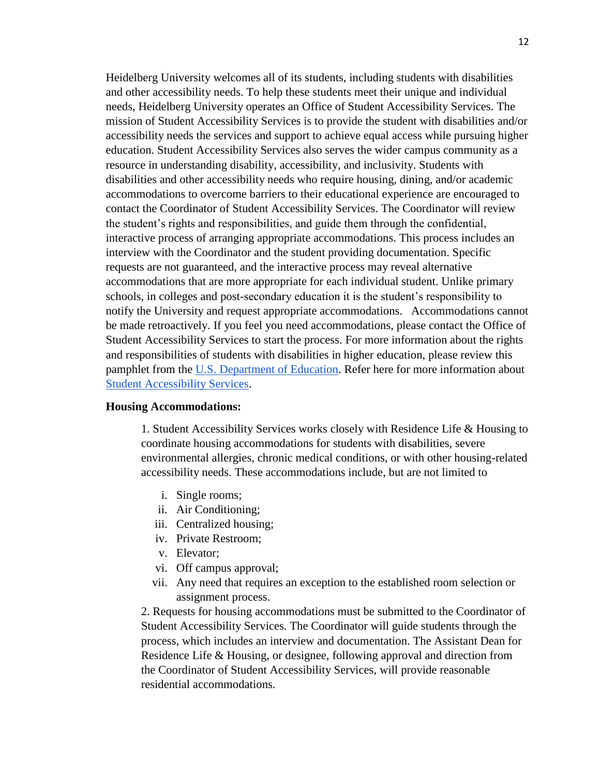Heidelberg University welcomes all of its students, including students with disabilities and other accessibility needs. To help these students meet their unique and individual needs, Heidelberg University operates an Office of Student Accessibility Services. The mission of Student Accessibility Services is to provide the student with disabilities and/or accessibility needs the services and support to achieve equal access while pursuing higher education. Student Accessibility Services also serves the wider campus community as a resource in understanding disability, accessibility, and inclusivity. Students with disabilities and other accessibility needs who require housing, dining, and/or academic accommodations to overcome barriers to their educational experience are encouraged to contact the Coordinator of Student Accessibility Services. The Coordinator will review the student's rights and responsibilities, and guide them through the confidential, interactive process of arranging appropriate accommodations. This process includes an interview with the Coordinator and the student providing documentation. Specific requests are not guaranteed, and the interactive process may reveal alternative accommodations that are more appropriate for each individual student. Unlike primary schools, in colleges and post-secondary education it is the student's responsibility to notify the University and request appropriate accommodations. Accommodations cannot be made retroactively. If you feel you need accommodations, please contact the Office of Student Accessibility Services to start the process. For more information about the rights and responsibilities of students with disabilities in higher education, please review this pamphlet from the [U.S. Department of Education.](https://www.ed.gov/) Refer here for more information about **[Student Accessibility Services.](https://inside.heidelberg.edu/departments-offices/student-accessibility-services/applying-accommodations)** 

#### **Housing Accommodations:**

1. Student Accessibility Services works closely with Residence Life & Housing to coordinate housing accommodations for students with disabilities, severe environmental allergies, chronic medical conditions, or with other housing-related accessibility needs. These accommodations include, but are not limited to

- i. Single rooms;
- ii. Air Conditioning;
- iii. Centralized housing;
- iv. Private Restroom;
- v. Elevator;
- vi. Off campus approval;
- vii. Any need that requires an exception to the established room selection or assignment process.

2. Requests for housing accommodations must be submitted to the Coordinator of Student Accessibility Services. The Coordinator will guide students through the process, which includes an interview and documentation. The Assistant Dean for Residence Life & Housing, or designee, following approval and direction from the Coordinator of Student Accessibility Services, will provide reasonable residential accommodations.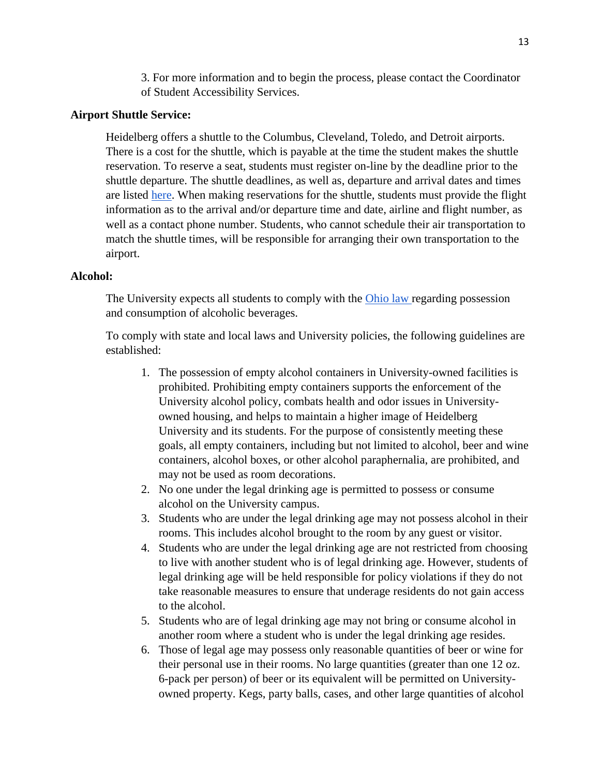3. For more information and to begin the process, please contact the Coordinator of Student Accessibility Services.

#### **Airport Shuttle Service:**

Heidelberg offers a shuttle to the Columbus, Cleveland, Toledo, and Detroit airports. There is a cost for the shuttle, which is payable at the time the student makes the shuttle reservation. To reserve a seat, students must register on-line by the deadline prior to the shuttle departure. The shuttle deadlines, as well as, departure and arrival dates and times are listed [here.](https://inside.heidelberg.edu/departments-offices/student-affairs/airport-shuttle-service) When making reservations for the shuttle, students must provide the flight information as to the arrival and/or departure time and date, airline and flight number, as well as a contact phone number. Students, who cannot schedule their air transportation to match the shuttle times, will be responsible for arranging their own transportation to the airport.

## **Alcohol:**

The University expects all students to comply with the [Ohio law r](https://codes.ohio.gov/orc/4301.69)egarding possession and consumption of alcoholic beverages.

To comply with state and local laws and University policies, the following guidelines are established:

- 1. The possession of empty alcohol containers in University-owned facilities is prohibited. Prohibiting empty containers supports the enforcement of the University alcohol policy, combats health and odor issues in Universityowned housing, and helps to maintain a higher image of Heidelberg University and its students. For the purpose of consistently meeting these goals, all empty containers, including but not limited to alcohol, beer and wine containers, alcohol boxes, or other alcohol paraphernalia, are prohibited, and may not be used as room decorations.
- 2. No one under the legal drinking age is permitted to possess or consume alcohol on the University campus.
- 3. Students who are under the legal drinking age may not possess alcohol in their rooms. This includes alcohol brought to the room by any guest or visitor.
- 4. Students who are under the legal drinking age are not restricted from choosing to live with another student who is of legal drinking age. However, students of legal drinking age will be held responsible for policy violations if they do not take reasonable measures to ensure that underage residents do not gain access to the alcohol.
- 5. Students who are of legal drinking age may not bring or consume alcohol in another room where a student who is under the legal drinking age resides.
- 6. Those of legal age may possess only reasonable quantities of beer or wine for their personal use in their rooms. No large quantities (greater than one 12 oz. 6-pack per person) of beer or its equivalent will be permitted on Universityowned property. Kegs, party balls, cases, and other large quantities of alcohol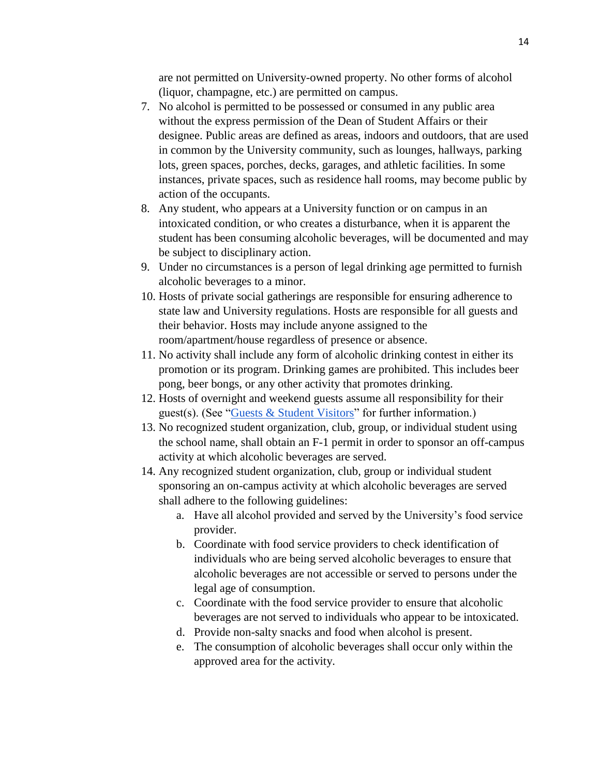are not permitted on University-owned property. No other forms of alcohol (liquor, champagne, etc.) are permitted on campus.

- 7. No alcohol is permitted to be possessed or consumed in any public area without the express permission of the Dean of Student Affairs or their designee. Public areas are defined as areas, indoors and outdoors, that are used in common by the University community, such as lounges, hallways, parking lots, green spaces, porches, decks, garages, and athletic facilities. In some instances, private spaces, such as residence hall rooms, may become public by action of the occupants.
- 8. Any student, who appears at a University function or on campus in an intoxicated condition, or who creates a disturbance, when it is apparent the student has been consuming alcoholic beverages, will be documented and may be subject to disciplinary action.
- 9. Under no circumstances is a person of legal drinking age permitted to furnish alcoholic beverages to a minor.
- 10. Hosts of private social gatherings are responsible for ensuring adherence to state law and University regulations. Hosts are responsible for all guests and their behavior. Hosts may include anyone assigned to the room/apartment/house regardless of presence or absence.
- 11. No activity shall include any form of alcoholic drinking contest in either its promotion or its program. Drinking games are prohibited. This includes beer pong, beer bongs, or any other activity that promotes drinking.
- 12. Hosts of overnight and weekend guests assume all responsibility for their guest(s). (See ["Guests & Student Visitors"](https://inside.heidelberg.edu/departments-offices/residence-life-housing/guest-check-form) for further information.)
- 13. No recognized student organization, club, group, or individual student using the school name, shall obtain an F-1 permit in order to sponsor an off-campus activity at which alcoholic beverages are served.
- 14. Any recognized student organization, club, group or individual student sponsoring an on-campus activity at which alcoholic beverages are served shall adhere to the following guidelines:
	- a. Have all alcohol provided and served by the University's food service provider.
	- b. Coordinate with food service providers to check identification of individuals who are being served alcoholic beverages to ensure that alcoholic beverages are not accessible or served to persons under the legal age of consumption.
	- c. Coordinate with the food service provider to ensure that alcoholic beverages are not served to individuals who appear to be intoxicated.
	- d. Provide non-salty snacks and food when alcohol is present.
	- e. The consumption of alcoholic beverages shall occur only within the approved area for the activity.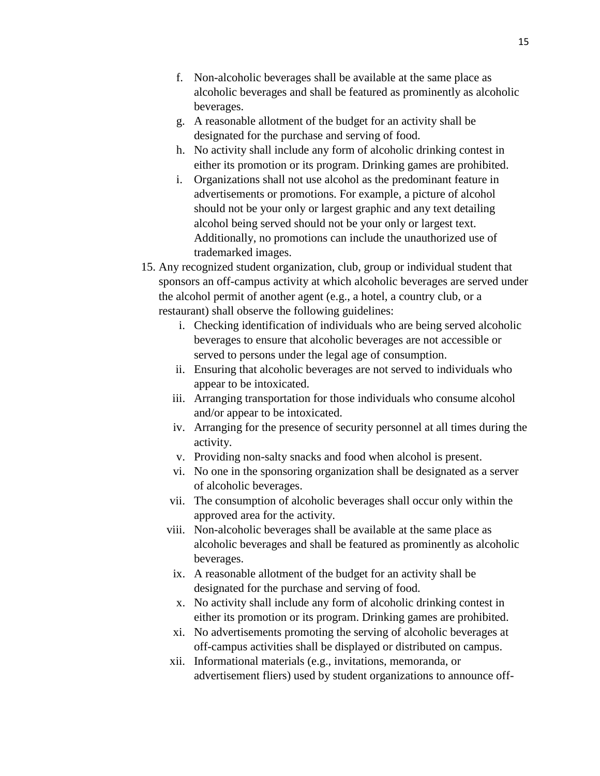- f. Non-alcoholic beverages shall be available at the same place as alcoholic beverages and shall be featured as prominently as alcoholic beverages.
- g. A reasonable allotment of the budget for an activity shall be designated for the purchase and serving of food.
- h. No activity shall include any form of alcoholic drinking contest in either its promotion or its program. Drinking games are prohibited.
- i. Organizations shall not use alcohol as the predominant feature in advertisements or promotions. For example, a picture of alcohol should not be your only or largest graphic and any text detailing alcohol being served should not be your only or largest text. Additionally, no promotions can include the unauthorized use of trademarked images.
- 15. Any recognized student organization, club, group or individual student that sponsors an off-campus activity at which alcoholic beverages are served under the alcohol permit of another agent (e.g., a hotel, a country club, or a restaurant) shall observe the following guidelines:
	- i. Checking identification of individuals who are being served alcoholic beverages to ensure that alcoholic beverages are not accessible or served to persons under the legal age of consumption.
	- ii. Ensuring that alcoholic beverages are not served to individuals who appear to be intoxicated.
	- iii. Arranging transportation for those individuals who consume alcohol and/or appear to be intoxicated.
	- iv. Arranging for the presence of security personnel at all times during the activity.
	- v. Providing non-salty snacks and food when alcohol is present.
	- vi. No one in the sponsoring organization shall be designated as a server of alcoholic beverages.
	- vii. The consumption of alcoholic beverages shall occur only within the approved area for the activity.
	- viii. Non-alcoholic beverages shall be available at the same place as alcoholic beverages and shall be featured as prominently as alcoholic beverages.
	- ix. A reasonable allotment of the budget for an activity shall be designated for the purchase and serving of food.
	- x. No activity shall include any form of alcoholic drinking contest in either its promotion or its program. Drinking games are prohibited.
	- xi. No advertisements promoting the serving of alcoholic beverages at off-campus activities shall be displayed or distributed on campus.
	- xii. Informational materials (e.g., invitations, memoranda, or advertisement fliers) used by student organizations to announce off-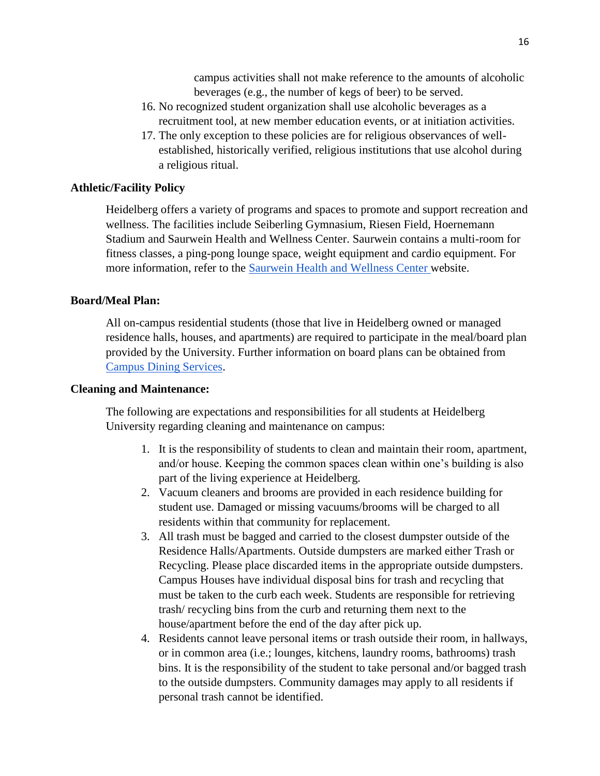campus activities shall not make reference to the amounts of alcoholic beverages (e.g., the number of kegs of beer) to be served.

- 16. No recognized student organization shall use alcoholic beverages as a recruitment tool, at new member education events, or at initiation activities.
- 17. The only exception to these policies are for religious observances of wellestablished, historically verified, religious institutions that use alcohol during a religious ritual.

## **Athletic/Facility Policy**

Heidelberg offers a variety of programs and spaces to promote and support recreation and wellness. The facilities include Seiberling Gymnasium, Riesen Field, Hoernemann Stadium and Saurwein Health and Wellness Center. Saurwein contains a multi-room for fitness classes, a ping-pong lounge space, weight equipment and cardio equipment. For more information, refer to the [Saurwein Health and Wellness Center w](https://inside.heidelberg.edu/departments-offices/saurwein-health-wellness-center/facility-policies-procedures)ebsite.

#### **Board/Meal Plan:**

All on-campus residential students (those that live in Heidelberg owned or managed residence halls, houses, and apartments) are required to participate in the meal/board plan provided by the University. Further information on board plans can be obtained from [Campus Dining Services.](https://inside.heidelberg.edu/departments-offices/dining)

#### **Cleaning and Maintenance:**

The following are expectations and responsibilities for all students at Heidelberg University regarding cleaning and maintenance on campus:

- 1. It is the responsibility of students to clean and maintain their room, apartment, and/or house. Keeping the common spaces clean within one's building is also part of the living experience at Heidelberg.
- 2. Vacuum cleaners and brooms are provided in each residence building for student use. Damaged or missing vacuums/brooms will be charged to all residents within that community for replacement.
- 3. All trash must be bagged and carried to the closest dumpster outside of the Residence Halls/Apartments. Outside dumpsters are marked either Trash or Recycling. Please place discarded items in the appropriate outside dumpsters. Campus Houses have individual disposal bins for trash and recycling that must be taken to the curb each week. Students are responsible for retrieving trash/ recycling bins from the curb and returning them next to the house/apartment before the end of the day after pick up.
- 4. Residents cannot leave personal items or trash outside their room, in hallways, or in common area (i.e.; lounges, kitchens, laundry rooms, bathrooms) trash bins. It is the responsibility of the student to take personal and/or bagged trash to the outside dumpsters. Community damages may apply to all residents if personal trash cannot be identified.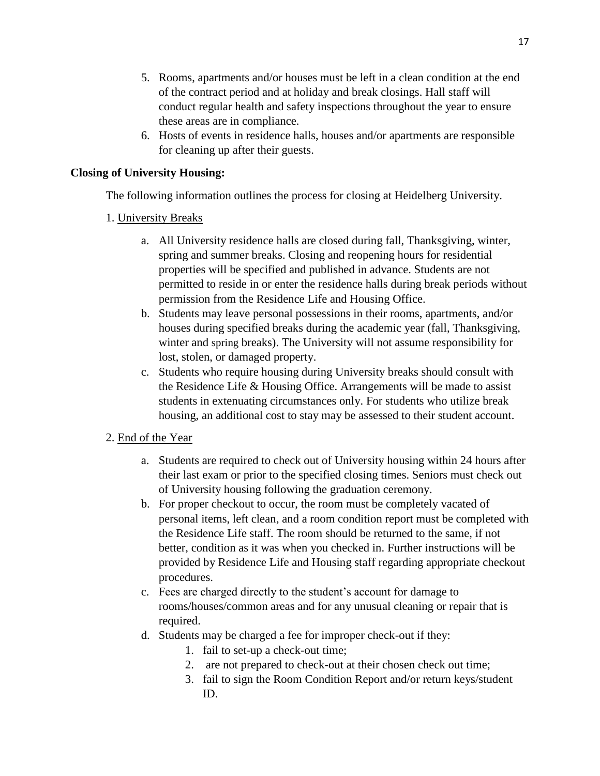- 5. Rooms, apartments and/or houses must be left in a clean condition at the end of the contract period and at holiday and break closings. Hall staff will conduct regular health and safety inspections throughout the year to ensure these areas are in compliance.
- 6. Hosts of events in residence halls, houses and/or apartments are responsible for cleaning up after their guests.

# **Closing of University Housing:**

The following information outlines the process for closing at Heidelberg University.

# 1. University Breaks

- a. All University residence halls are closed during fall, Thanksgiving, winter, spring and summer breaks. Closing and reopening hours for residential properties will be specified and published in advance. Students are not permitted to reside in or enter the residence halls during break periods without permission from the Residence Life and Housing Office.
- b. Students may leave personal possessions in their rooms, apartments, and/or houses during specified breaks during the academic year (fall, Thanksgiving, winter and spring breaks). The University will not assume responsibility for lost, stolen, or damaged property.
- c. Students who require housing during University breaks should consult with the Residence Life & Housing Office. Arrangements will be made to assist students in extenuating circumstances only. For students who utilize break housing, an additional cost to stay may be assessed to their student account.

# 2. End of the Year

- a. Students are required to check out of University housing within 24 hours after their last exam or prior to the specified closing times. Seniors must check out of University housing following the graduation ceremony.
- b. For proper checkout to occur, the room must be completely vacated of personal items, left clean, and a room condition report must be completed with the Residence Life staff. The room should be returned to the same, if not better, condition as it was when you checked in. Further instructions will be provided by Residence Life and Housing staff regarding appropriate checkout procedures.
- c. Fees are charged directly to the student's account for damage to rooms/houses/common areas and for any unusual cleaning or repair that is required.
- d. Students may be charged a fee for improper check-out if they:
	- 1. fail to set-up a check-out time;
	- 2. are not prepared to check-out at their chosen check out time;
	- 3. fail to sign the Room Condition Report and/or return keys/student ID.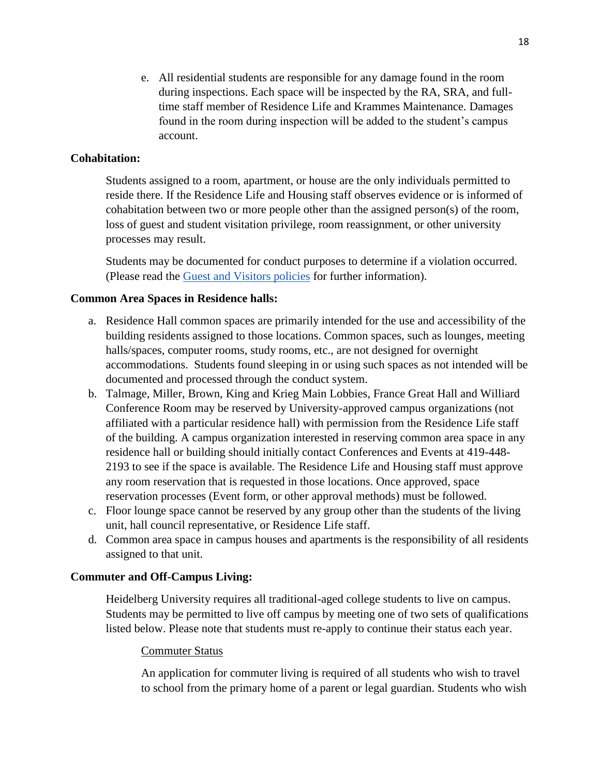e. All residential students are responsible for any damage found in the room during inspections. Each space will be inspected by the RA, SRA, and fulltime staff member of Residence Life and Krammes Maintenance. Damages found in the room during inspection will be added to the student's campus account.

## **Cohabitation:**

Students assigned to a room, apartment, or house are the only individuals permitted to reside there. If the Residence Life and Housing staff observes evidence or is informed of cohabitation between two or more people other than the assigned person(s) of the room, loss of guest and student visitation privilege, room reassignment, or other university processes may result.

Students may be documented for conduct purposes to determine if a violation occurred. (Please read the [Guest and Visitors policies](https://inside.heidelberg.edu/departments-offices/residence-life-housing/guest-check-form) for further information).

#### **Common Area Spaces in Residence halls:**

- a. Residence Hall common spaces are primarily intended for the use and accessibility of the building residents assigned to those locations. Common spaces, such as lounges, meeting halls/spaces, computer rooms, study rooms, etc., are not designed for overnight accommodations. Students found sleeping in or using such spaces as not intended will be documented and processed through the conduct system.
- b. Talmage, Miller, Brown, King and Krieg Main Lobbies, France Great Hall and Williard Conference Room may be reserved by University-approved campus organizations (not affiliated with a particular residence hall) with permission from the Residence Life staff of the building. A campus organization interested in reserving common area space in any residence hall or building should initially contact Conferences and Events at 419-448- 2193 to see if the space is available. The Residence Life and Housing staff must approve any room reservation that is requested in those locations. Once approved, space reservation processes (Event form, or other approval methods) must be followed.
- c. Floor lounge space cannot be reserved by any group other than the students of the living unit, hall council representative, or Residence Life staff.
- d. Common area space in campus houses and apartments is the responsibility of all residents assigned to that unit.

## **Commuter and Off-Campus Living:**

Heidelberg University requires all traditional-aged college students to live on campus. Students may be permitted to live off campus by meeting one of two sets of qualifications listed below. Please note that students must re-apply to continue their status each year.

#### Commuter Status

An application for commuter living is required of all students who wish to travel to school from the primary home of a parent or legal guardian. Students who wish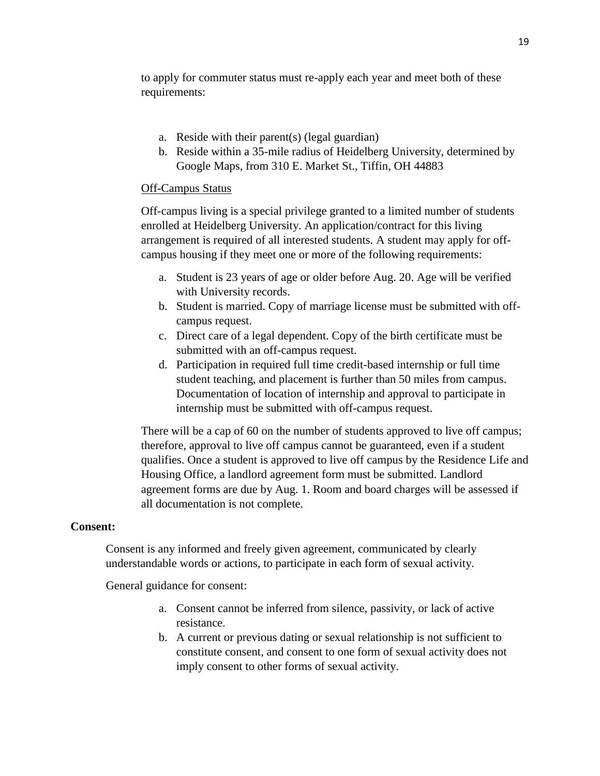to apply for commuter status must re-apply each year and meet both of these requirements:

- a. Reside with their parent(s) (legal guardian)
- b. Reside within a 35-mile radius of Heidelberg University, determined by Google Maps, from 310 E. Market St., Tiffin, OH 44883

#### Off-Campus Status

Off-campus living is a special privilege granted to a limited number of students enrolled at Heidelberg University. An application/contract for this living arrangement is required of all interested students. A student may apply for offcampus housing if they meet one or more of the following requirements:

- a. Student is 23 years of age or older before Aug. 20. Age will be verified with University records.
- b. Student is married. Copy of marriage license must be submitted with offcampus request.
- c. Direct care of a legal dependent. Copy of the birth certificate must be submitted with an off-campus request.
- d. Participation in required full time credit-based internship or full time student teaching, and placement is further than 50 miles from campus. Documentation of location of internship and approval to participate in internship must be submitted with off-campus request.

There will be a cap of 60 on the number of students approved to live off campus; therefore, approval to live off campus cannot be guaranteed, even if a student qualifies. Once a student is approved to live off campus by the Residence Life and Housing Office, a landlord agreement form must be submitted. Landlord agreement forms are due by Aug. 1. Room and board charges will be assessed if all documentation is not complete.

#### **Consent:**

Consent is any informed and freely given agreement, communicated by clearly understandable words or actions, to participate in each form of sexual activity.

General guidance for consent:

- a. Consent cannot be inferred from silence, passivity, or lack of active resistance.
- b. A current or previous dating or sexual relationship is not sufficient to constitute consent, and consent to one form of sexual activity does not imply consent to other forms of sexual activity.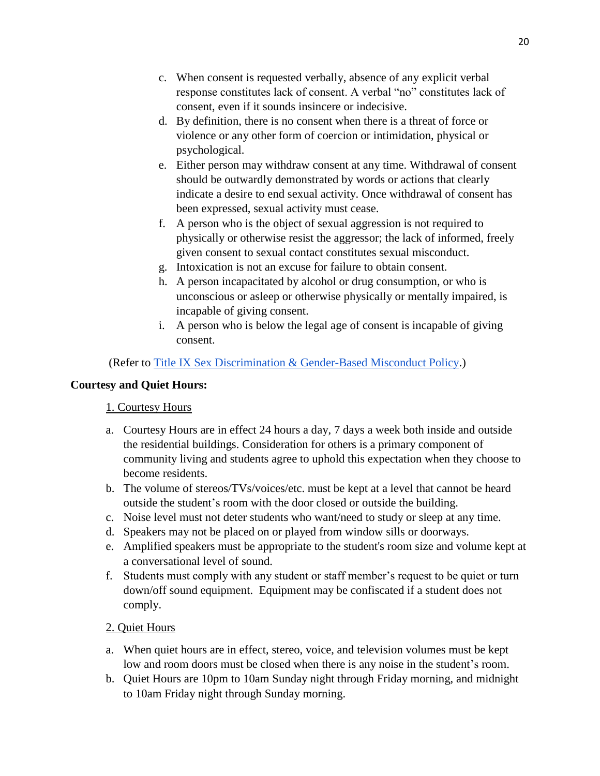- c. When consent is requested verbally, absence of any explicit verbal response constitutes lack of consent. A verbal "no" constitutes lack of consent, even if it sounds insincere or indecisive.
- d. By definition, there is no consent when there is a threat of force or violence or any other form of coercion or intimidation, physical or psychological.
- e. Either person may withdraw consent at any time. Withdrawal of consent should be outwardly demonstrated by words or actions that clearly indicate a desire to end sexual activity. Once withdrawal of consent has been expressed, sexual activity must cease.
- f. A person who is the object of sexual aggression is not required to physically or otherwise resist the aggressor; the lack of informed, freely given consent to sexual contact constitutes sexual misconduct.
- g. Intoxication is not an excuse for failure to obtain consent.
- h. A person incapacitated by alcohol or drug consumption, or who is unconscious or asleep or otherwise physically or mentally impaired, is incapable of giving consent.
- i. A person who is below the legal age of consent is incapable of giving consent.

(Refer to [Title IX Sex Discrimination & Gender-Based Misconduct Policy.](https://inside.heidelberg.edu/departments-offices/title-ix))

# **Courtesy and Quiet Hours:**

# 1. Courtesy Hours

- a. Courtesy Hours are in effect 24 hours a day, 7 days a week both inside and outside the residential buildings. Consideration for others is a primary component of community living and students agree to uphold this expectation when they choose to become residents.
- b. The volume of stereos/TVs/voices/etc. must be kept at a level that cannot be heard outside the student's room with the door closed or outside the building.
- c. Noise level must not deter students who want/need to study or sleep at any time.
- d. Speakers may not be placed on or played from window sills or doorways.
- e. Amplified speakers must be appropriate to the student's room size and volume kept at a conversational level of sound.
- f. Students must comply with any student or staff member's request to be quiet or turn down/off sound equipment. Equipment may be confiscated if a student does not comply.

# 2. Quiet Hours

- a. When quiet hours are in effect, stereo, voice, and television volumes must be kept low and room doors must be closed when there is any noise in the student's room.
- b. Quiet Hours are 10pm to 10am Sunday night through Friday morning, and midnight to 10am Friday night through Sunday morning.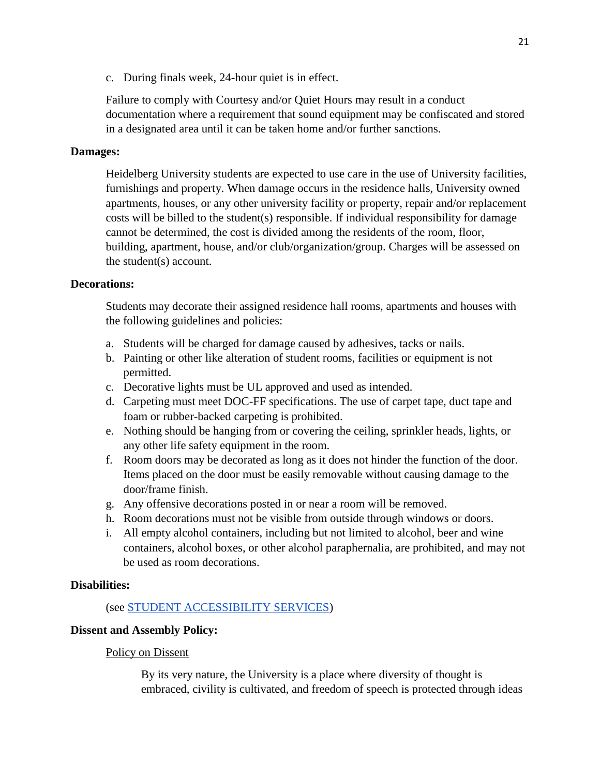c. During finals week, 24-hour quiet is in effect.

Failure to comply with Courtesy and/or Quiet Hours may result in a conduct documentation where a requirement that sound equipment may be confiscated and stored in a designated area until it can be taken home and/or further sanctions.

## **Damages:**

Heidelberg University students are expected to use care in the use of University facilities, furnishings and property. When damage occurs in the residence halls, University owned apartments, houses, or any other university facility or property, repair and/or replacement costs will be billed to the student(s) responsible. If individual responsibility for damage cannot be determined, the cost is divided among the residents of the room, floor, building, apartment, house, and/or club/organization/group. Charges will be assessed on the student(s) account.

## **Decorations:**

Students may decorate their assigned residence hall rooms, apartments and houses with the following guidelines and policies:

- a. Students will be charged for damage caused by adhesives, tacks or nails.
- b. Painting or other like alteration of student rooms, facilities or equipment is not permitted.
- c. Decorative lights must be UL approved and used as intended.
- d. Carpeting must meet DOC-FF specifications. The use of carpet tape, duct tape and foam or rubber-backed carpeting is prohibited.
- e. Nothing should be hanging from or covering the ceiling, sprinkler heads, lights, or any other life safety equipment in the room.
- f. Room doors may be decorated as long as it does not hinder the function of the door. Items placed on the door must be easily removable without causing damage to the door/frame finish.
- g. Any offensive decorations posted in or near a room will be removed.
- h. Room decorations must not be visible from outside through windows or doors.
- i. All empty alcohol containers, including but not limited to alcohol, beer and wine containers, alcohol boxes, or other alcohol paraphernalia, are prohibited, and may not be used as room decorations.

## **Disabilities:**

## (see [STUDENT ACCESSIBILITY SERVICES\)](https://inside.heidelberg.edu/departments-offices/accessibility)

## **Dissent and Assembly Policy:**

#### Policy on Dissent

By its very nature, the University is a place where diversity of thought is embraced, civility is cultivated, and freedom of speech is protected through ideas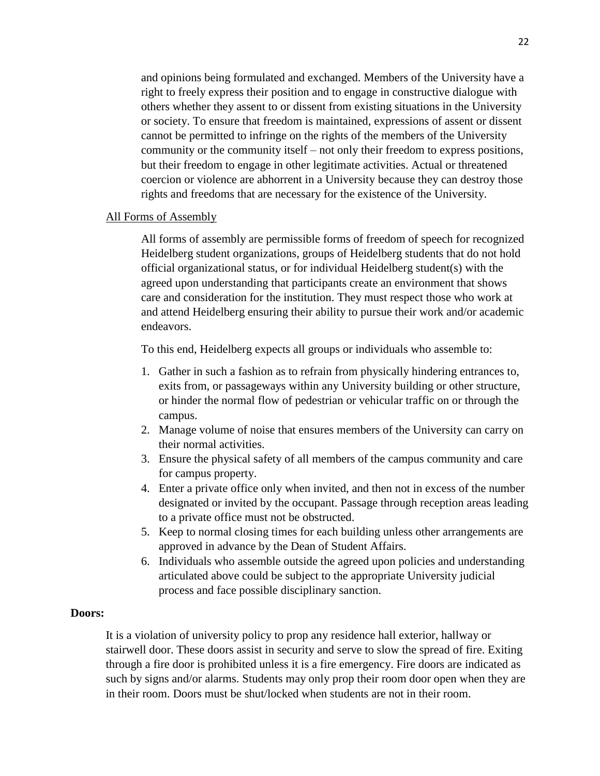and opinions being formulated and exchanged. Members of the University have a right to freely express their position and to engage in constructive dialogue with others whether they assent to or dissent from existing situations in the University or society. To ensure that freedom is maintained, expressions of assent or dissent cannot be permitted to infringe on the rights of the members of the University community or the community itself – not only their freedom to express positions, but their freedom to engage in other legitimate activities. Actual or threatened coercion or violence are abhorrent in a University because they can destroy those rights and freedoms that are necessary for the existence of the University.

#### All Forms of Assembly

All forms of assembly are permissible forms of freedom of speech for recognized Heidelberg student organizations, groups of Heidelberg students that do not hold official organizational status, or for individual Heidelberg student(s) with the agreed upon understanding that participants create an environment that shows care and consideration for the institution. They must respect those who work at and attend Heidelberg ensuring their ability to pursue their work and/or academic endeavors.

To this end, Heidelberg expects all groups or individuals who assemble to:

- 1. Gather in such a fashion as to refrain from physically hindering entrances to, exits from, or passageways within any University building or other structure, or hinder the normal flow of pedestrian or vehicular traffic on or through the campus.
- 2. Manage volume of noise that ensures members of the University can carry on their normal activities.
- 3. Ensure the physical safety of all members of the campus community and care for campus property.
- 4. Enter a private office only when invited, and then not in excess of the number designated or invited by the occupant. Passage through reception areas leading to a private office must not be obstructed.
- 5. Keep to normal closing times for each building unless other arrangements are approved in advance by the Dean of Student Affairs.
- 6. Individuals who assemble outside the agreed upon policies and understanding articulated above could be subject to the appropriate University judicial process and face possible disciplinary sanction.

#### **Doors:**

It is a violation of university policy to prop any residence hall exterior, hallway or stairwell door. These doors assist in security and serve to slow the spread of fire. Exiting through a fire door is prohibited unless it is a fire emergency. Fire doors are indicated as such by signs and/or alarms. Students may only prop their room door open when they are in their room. Doors must be shut/locked when students are not in their room.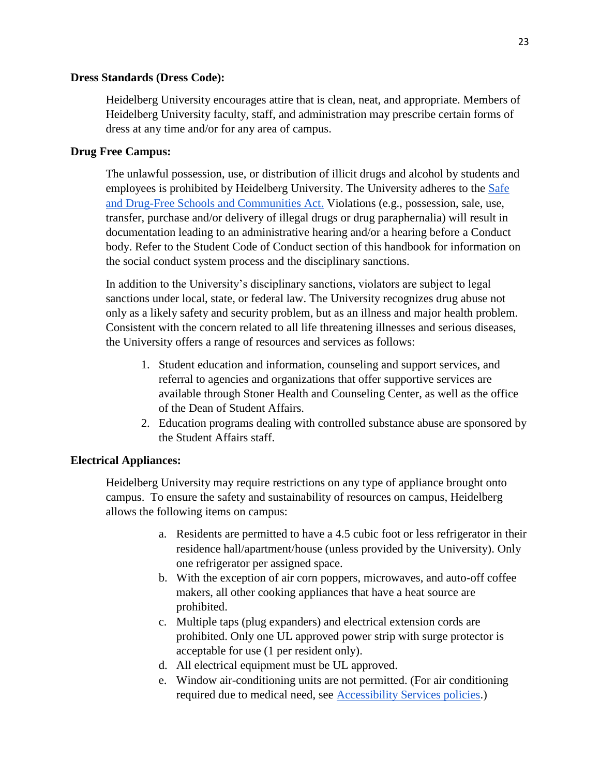#### **Dress Standards (Dress Code):**

Heidelberg University encourages attire that is clean, neat, and appropriate. Members of Heidelberg University faculty, staff, and administration may prescribe certain forms of dress at any time and/or for any area of campus.

## **Drug Free Campus:**

The unlawful possession, use, or distribution of illicit drugs and alcohol by students and employees is prohibited by Heidelberg University. The University adheres to the [Safe](https://www2.ed.gov/policy/elsec/leg/esea02/pg51.html)  [and Drug-Free Schools and Communities Act.](https://www2.ed.gov/policy/elsec/leg/esea02/pg51.html) Violations (e.g., possession, sale, use, transfer, purchase and/or delivery of illegal drugs or drug paraphernalia) will result in documentation leading to an administrative hearing and/or a hearing before a Conduct body. Refer to the Student Code of Conduct section of this handbook for information on the social conduct system process and the disciplinary sanctions.

In addition to the University's disciplinary sanctions, violators are subject to legal sanctions under local, state, or federal law. The University recognizes drug abuse not only as a likely safety and security problem, but as an illness and major health problem. Consistent with the concern related to all life threatening illnesses and serious diseases, the University offers a range of resources and services as follows:

- 1. Student education and information, counseling and support services, and referral to agencies and organizations that offer supportive services are available through Stoner Health and Counseling Center, as well as the office of the Dean of Student Affairs.
- 2. Education programs dealing with controlled substance abuse are sponsored by the Student Affairs staff.

## **Electrical Appliances:**

Heidelberg University may require restrictions on any type of appliance brought onto campus. To ensure the safety and sustainability of resources on campus, Heidelberg allows the following items on campus:

- a. Residents are permitted to have a 4.5 cubic foot or less refrigerator in their residence hall/apartment/house (unless provided by the University). Only one refrigerator per assigned space.
- b. With the exception of air corn poppers, microwaves, and auto-off coffee makers, all other cooking appliances that have a heat source are prohibited.
- c. Multiple taps (plug expanders) and electrical extension cords are prohibited. Only one UL approved power strip with surge protector is acceptable for use (1 per resident only).
- d. All electrical equipment must be UL approved.
- e. Window air-conditioning units are not permitted. (For air conditioning required due to medical need, see [Accessibility Services policies.](https://inside.heidelberg.edu/departments-offices/accessibility))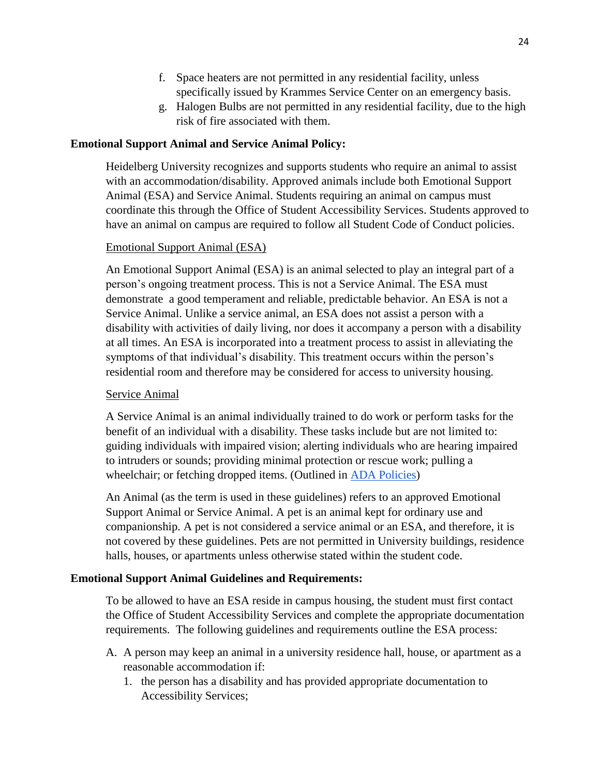- f. Space heaters are not permitted in any residential facility, unless specifically issued by Krammes Service Center on an emergency basis.
- g. Halogen Bulbs are not permitted in any residential facility, due to the high risk of fire associated with them.

# **Emotional Support Animal and Service Animal Policy:**

Heidelberg University recognizes and supports students who require an animal to assist with an accommodation/disability. Approved animals include both Emotional Support Animal (ESA) and Service Animal. Students requiring an animal on campus must coordinate this through the Office of Student Accessibility Services. Students approved to have an animal on campus are required to follow all Student Code of Conduct policies.

# Emotional Support Animal (ESA)

An Emotional Support Animal (ESA) is an animal selected to play an integral part of a person's ongoing treatment process. This is not a Service Animal. The ESA must demonstrate a good temperament and reliable, predictable behavior. An ESA is not a Service Animal. Unlike a service animal, an ESA does not assist a person with a disability with activities of daily living, nor does it accompany a person with a disability at all times. An ESA is incorporated into a treatment process to assist in alleviating the symptoms of that individual's disability. This treatment occurs within the person's residential room and therefore may be considered for access to university housing.

# Service Animal

A Service Animal is an animal individually trained to do work or perform tasks for the benefit of an individual with a disability. These tasks include but are not limited to: guiding individuals with impaired vision; alerting individuals who are hearing impaired to intruders or sounds; providing minimal protection or rescue work; pulling a wheelchair; or fetching dropped items. (Outlined in [ADA Policies\)](https://www.dol.gov/general/topic/disability/ada#:~:text=The%20Americans%20with%20Disabilities%20Act,local%20government)

An Animal (as the term is used in these guidelines) refers to an approved Emotional Support Animal or Service Animal. A pet is an animal kept for ordinary use and companionship. A pet is not considered a service animal or an ESA, and therefore, it is not covered by these guidelines. Pets are not permitted in University buildings, residence halls, houses, or apartments unless otherwise stated within the student code.

# **Emotional Support Animal Guidelines and Requirements:**

To be allowed to have an ESA reside in campus housing, the student must first contact the Office of Student Accessibility Services and complete the appropriate documentation requirements. The following guidelines and requirements outline the ESA process:

- A. A person may keep an animal in a university residence hall, house, or apartment as a reasonable accommodation if:
	- 1. the person has a disability and has provided appropriate documentation to Accessibility Services;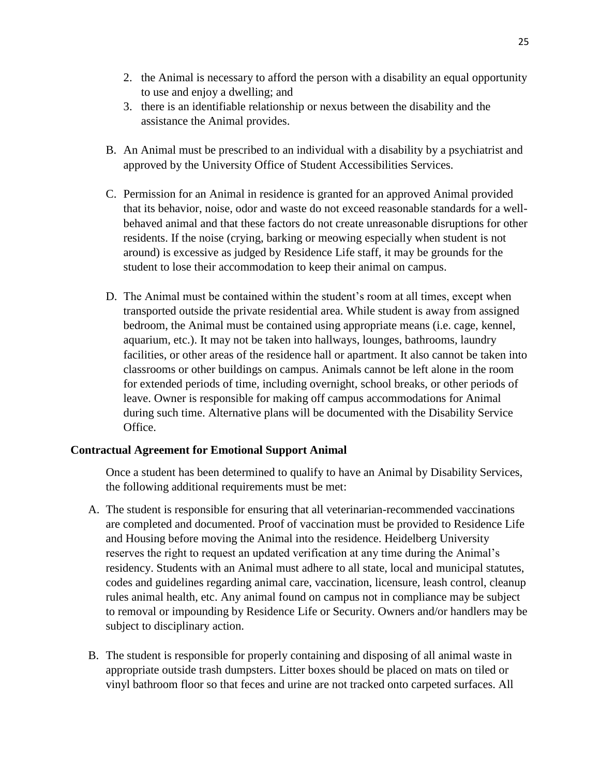- 2. the Animal is necessary to afford the person with a disability an equal opportunity to use and enjoy a dwelling; and
- 3. there is an identifiable relationship or nexus between the disability and the assistance the Animal provides.
- B. An Animal must be prescribed to an individual with a disability by a psychiatrist and approved by the University Office of Student Accessibilities Services.
- C. Permission for an Animal in residence is granted for an approved Animal provided that its behavior, noise, odor and waste do not exceed reasonable standards for a wellbehaved animal and that these factors do not create unreasonable disruptions for other residents. If the noise (crying, barking or meowing especially when student is not around) is excessive as judged by Residence Life staff, it may be grounds for the student to lose their accommodation to keep their animal on campus.
- D. The Animal must be contained within the student's room at all times, except when transported outside the private residential area. While student is away from assigned bedroom, the Animal must be contained using appropriate means (i.e. cage, kennel, aquarium, etc.). It may not be taken into hallways, lounges, bathrooms, laundry facilities, or other areas of the residence hall or apartment. It also cannot be taken into classrooms or other buildings on campus. Animals cannot be left alone in the room for extended periods of time, including overnight, school breaks, or other periods of leave. Owner is responsible for making off campus accommodations for Animal during such time. Alternative plans will be documented with the Disability Service Office.

## **Contractual Agreement for Emotional Support Animal**

Once a student has been determined to qualify to have an Animal by Disability Services, the following additional requirements must be met:

- A. The student is responsible for ensuring that all veterinarian-recommended vaccinations are completed and documented. Proof of vaccination must be provided to Residence Life and Housing before moving the Animal into the residence. Heidelberg University reserves the right to request an updated verification at any time during the Animal's residency. Students with an Animal must adhere to all state, local and municipal statutes, codes and guidelines regarding animal care, vaccination, licensure, leash control, cleanup rules animal health, etc. Any animal found on campus not in compliance may be subject to removal or impounding by Residence Life or Security. Owners and/or handlers may be subject to disciplinary action.
- B. The student is responsible for properly containing and disposing of all animal waste in appropriate outside trash dumpsters. Litter boxes should be placed on mats on tiled or vinyl bathroom floor so that feces and urine are not tracked onto carpeted surfaces. All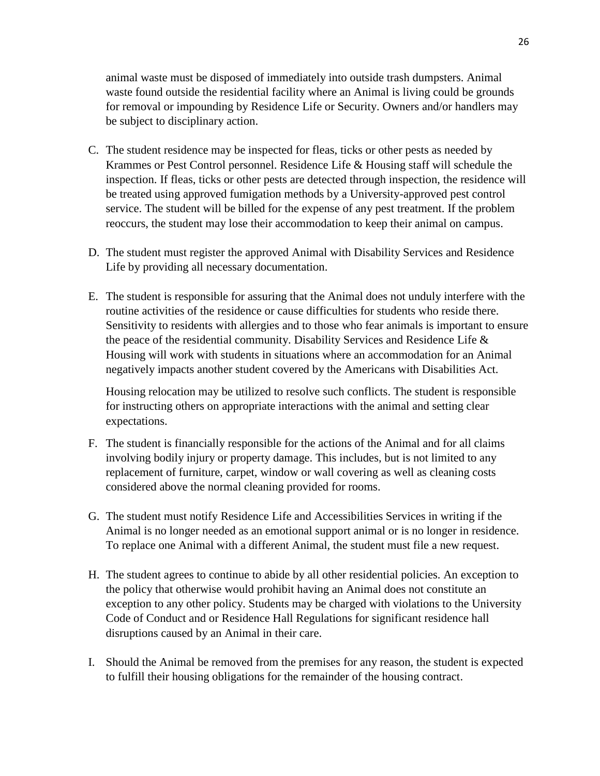animal waste must be disposed of immediately into outside trash dumpsters. Animal waste found outside the residential facility where an Animal is living could be grounds for removal or impounding by Residence Life or Security. Owners and/or handlers may be subject to disciplinary action.

- C. The student residence may be inspected for fleas, ticks or other pests as needed by Krammes or Pest Control personnel. Residence Life & Housing staff will schedule the inspection. If fleas, ticks or other pests are detected through inspection, the residence will be treated using approved fumigation methods by a University-approved pest control service. The student will be billed for the expense of any pest treatment. If the problem reoccurs, the student may lose their accommodation to keep their animal on campus.
- D. The student must register the approved Animal with Disability Services and Residence Life by providing all necessary documentation.
- E. The student is responsible for assuring that the Animal does not unduly interfere with the routine activities of the residence or cause difficulties for students who reside there. Sensitivity to residents with allergies and to those who fear animals is important to ensure the peace of the residential community. Disability Services and Residence Life  $\&$ Housing will work with students in situations where an accommodation for an Animal negatively impacts another student covered by the Americans with Disabilities Act.

Housing relocation may be utilized to resolve such conflicts. The student is responsible for instructing others on appropriate interactions with the animal and setting clear expectations.

- F. The student is financially responsible for the actions of the Animal and for all claims involving bodily injury or property damage. This includes, but is not limited to any replacement of furniture, carpet, window or wall covering as well as cleaning costs considered above the normal cleaning provided for rooms.
- G. The student must notify Residence Life and Accessibilities Services in writing if the Animal is no longer needed as an emotional support animal or is no longer in residence. To replace one Animal with a different Animal, the student must file a new request.
- H. The student agrees to continue to abide by all other residential policies. An exception to the policy that otherwise would prohibit having an Animal does not constitute an exception to any other policy. Students may be charged with violations to the University Code of Conduct and or Residence Hall Regulations for significant residence hall disruptions caused by an Animal in their care.
- I. Should the Animal be removed from the premises for any reason, the student is expected to fulfill their housing obligations for the remainder of the housing contract.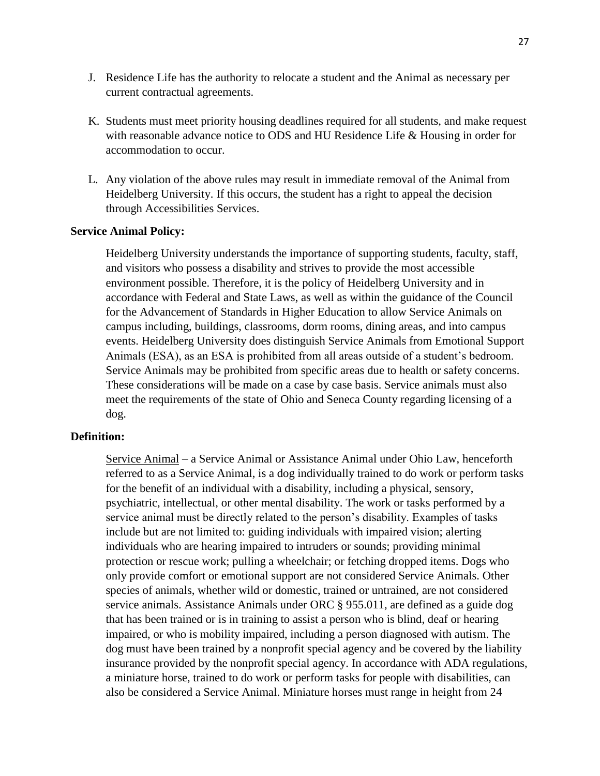- J. Residence Life has the authority to relocate a student and the Animal as necessary per current contractual agreements.
- K. Students must meet priority housing deadlines required for all students, and make request with reasonable advance notice to ODS and HU Residence Life & Housing in order for accommodation to occur.
- L. Any violation of the above rules may result in immediate removal of the Animal from Heidelberg University. If this occurs, the student has a right to appeal the decision through Accessibilities Services.

#### **Service Animal Policy:**

Heidelberg University understands the importance of supporting students, faculty, staff, and visitors who possess a disability and strives to provide the most accessible environment possible. Therefore, it is the policy of Heidelberg University and in accordance with Federal and State Laws, as well as within the guidance of the Council for the Advancement of Standards in Higher Education to allow Service Animals on campus including, buildings, classrooms, dorm rooms, dining areas, and into campus events. Heidelberg University does distinguish Service Animals from Emotional Support Animals (ESA), as an ESA is prohibited from all areas outside of a student's bedroom. Service Animals may be prohibited from specific areas due to health or safety concerns. These considerations will be made on a case by case basis. Service animals must also meet the requirements of the state of Ohio and Seneca County regarding licensing of a dog.

# **Definition:**

Service Animal – a Service Animal or Assistance Animal under Ohio Law, henceforth referred to as a Service Animal, is a dog individually trained to do work or perform tasks for the benefit of an individual with a disability, including a physical, sensory, psychiatric, intellectual, or other mental disability. The work or tasks performed by a service animal must be directly related to the person's disability. Examples of tasks include but are not limited to: guiding individuals with impaired vision; alerting individuals who are hearing impaired to intruders or sounds; providing minimal protection or rescue work; pulling a wheelchair; or fetching dropped items. Dogs who only provide comfort or emotional support are not considered Service Animals. Other species of animals, whether wild or domestic, trained or untrained, are not considered service animals. Assistance Animals under ORC § 955.011, are defined as a guide dog that has been trained or is in training to assist a person who is blind, deaf or hearing impaired, or who is mobility impaired, including a person diagnosed with autism. The dog must have been trained by a nonprofit special agency and be covered by the liability insurance provided by the nonprofit special agency. In accordance with ADA regulations, a miniature horse, trained to do work or perform tasks for people with disabilities, can also be considered a Service Animal. Miniature horses must range in height from 24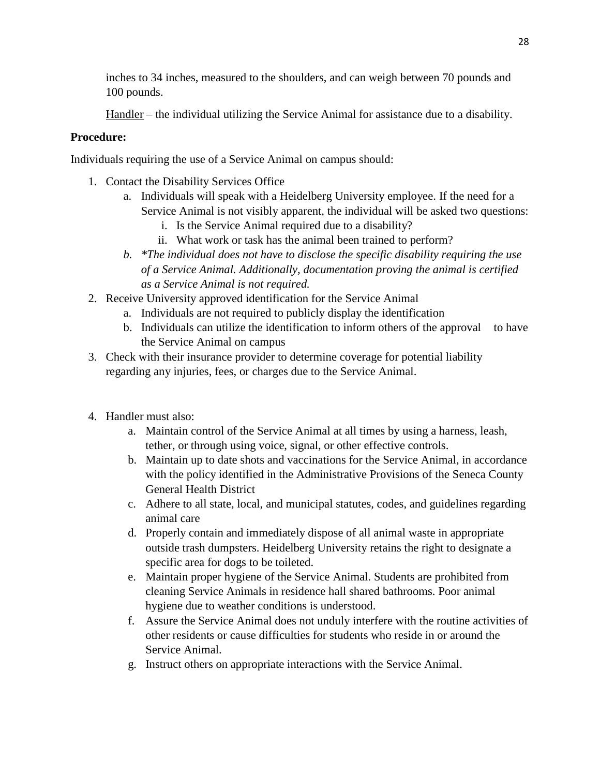inches to 34 inches, measured to the shoulders, and can weigh between 70 pounds and 100 pounds.

Handler – the individual utilizing the Service Animal for assistance due to a disability.

# **Procedure:**

Individuals requiring the use of a Service Animal on campus should:

- 1. Contact the Disability Services Office
	- a. Individuals will speak with a Heidelberg University employee. If the need for a Service Animal is not visibly apparent, the individual will be asked two questions:
		- i. Is the Service Animal required due to a disability?
		- ii. What work or task has the animal been trained to perform?
	- *b. \*The individual does not have to disclose the specific disability requiring the use of a Service Animal. Additionally, documentation proving the animal is certified as a Service Animal is not required.*
- 2. Receive University approved identification for the Service Animal
	- a. Individuals are not required to publicly display the identification
	- b. Individuals can utilize the identification to inform others of the approval to have the Service Animal on campus
- 3. Check with their insurance provider to determine coverage for potential liability regarding any injuries, fees, or charges due to the Service Animal.
- 4. Handler must also:
	- a. Maintain control of the Service Animal at all times by using a harness, leash, tether, or through using voice, signal, or other effective controls.
	- b. Maintain up to date shots and vaccinations for the Service Animal, in accordance with the policy identified in the Administrative Provisions of the Seneca County General Health District
	- c. Adhere to all state, local, and municipal statutes, codes, and guidelines regarding animal care
	- d. Properly contain and immediately dispose of all animal waste in appropriate outside trash dumpsters. Heidelberg University retains the right to designate a specific area for dogs to be toileted.
	- e. Maintain proper hygiene of the Service Animal. Students are prohibited from cleaning Service Animals in residence hall shared bathrooms. Poor animal hygiene due to weather conditions is understood.
	- f. Assure the Service Animal does not unduly interfere with the routine activities of other residents or cause difficulties for students who reside in or around the Service Animal.
	- g. Instruct others on appropriate interactions with the Service Animal.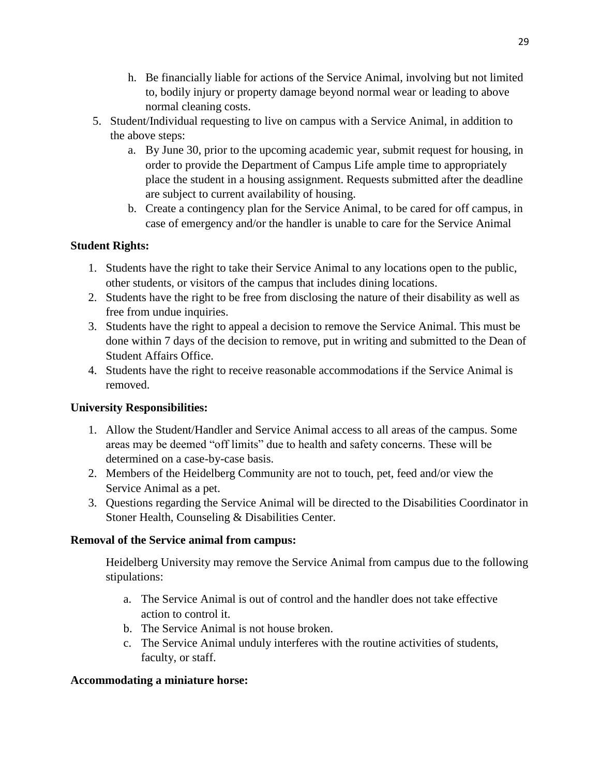- h. Be financially liable for actions of the Service Animal, involving but not limited to, bodily injury or property damage beyond normal wear or leading to above normal cleaning costs.
- 5. Student/Individual requesting to live on campus with a Service Animal, in addition to the above steps:
	- a. By June 30, prior to the upcoming academic year, submit request for housing, in order to provide the Department of Campus Life ample time to appropriately place the student in a housing assignment. Requests submitted after the deadline are subject to current availability of housing.
	- b. Create a contingency plan for the Service Animal, to be cared for off campus, in case of emergency and/or the handler is unable to care for the Service Animal

# **Student Rights:**

- 1. Students have the right to take their Service Animal to any locations open to the public, other students, or visitors of the campus that includes dining locations.
- 2. Students have the right to be free from disclosing the nature of their disability as well as free from undue inquiries.
- 3. Students have the right to appeal a decision to remove the Service Animal. This must be done within 7 days of the decision to remove, put in writing and submitted to the Dean of Student Affairs Office.
- 4. Students have the right to receive reasonable accommodations if the Service Animal is removed.

# **University Responsibilities:**

- 1. Allow the Student/Handler and Service Animal access to all areas of the campus. Some areas may be deemed "off limits" due to health and safety concerns. These will be determined on a case-by-case basis.
- 2. Members of the Heidelberg Community are not to touch, pet, feed and/or view the Service Animal as a pet.
- 3. Questions regarding the Service Animal will be directed to the Disabilities Coordinator in Stoner Health, Counseling & Disabilities Center.

# **Removal of the Service animal from campus:**

Heidelberg University may remove the Service Animal from campus due to the following stipulations:

- a. The Service Animal is out of control and the handler does not take effective action to control it.
- b. The Service Animal is not house broken.
- c. The Service Animal unduly interferes with the routine activities of students, faculty, or staff.

## **Accommodating a miniature horse:**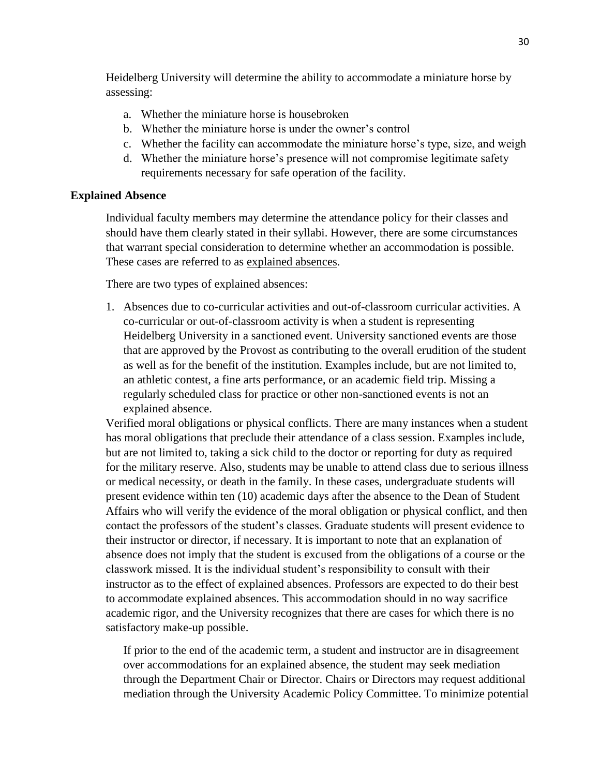Heidelberg University will determine the ability to accommodate a miniature horse by assessing:

- a. Whether the miniature horse is housebroken
- b. Whether the miniature horse is under the owner's control
- c. Whether the facility can accommodate the miniature horse's type, size, and weigh
- d. Whether the miniature horse's presence will not compromise legitimate safety requirements necessary for safe operation of the facility.

#### **Explained Absence**

Individual faculty members may determine the attendance policy for their classes and should have them clearly stated in their syllabi. However, there are some circumstances that warrant special consideration to determine whether an accommodation is possible. These cases are referred to as explained absences.

There are two types of explained absences:

1. Absences due to co-curricular activities and out-of-classroom curricular activities. A co-curricular or out-of-classroom activity is when a student is representing Heidelberg University in a sanctioned event. University sanctioned events are those that are approved by the Provost as contributing to the overall erudition of the student as well as for the benefit of the institution. Examples include, but are not limited to, an athletic contest, a fine arts performance, or an academic field trip. Missing a regularly scheduled class for practice or other non-sanctioned events is not an explained absence.

Verified moral obligations or physical conflicts. There are many instances when a student has moral obligations that preclude their attendance of a class session. Examples include, but are not limited to, taking a sick child to the doctor or reporting for duty as required for the military reserve. Also, students may be unable to attend class due to serious illness or medical necessity, or death in the family. In these cases, undergraduate students will present evidence within ten (10) academic days after the absence to the Dean of Student Affairs who will verify the evidence of the moral obligation or physical conflict, and then contact the professors of the student's classes. Graduate students will present evidence to their instructor or director, if necessary. It is important to note that an explanation of absence does not imply that the student is excused from the obligations of a course or the classwork missed. It is the individual student's responsibility to consult with their instructor as to the effect of explained absences. Professors are expected to do their best to accommodate explained absences. This accommodation should in no way sacrifice academic rigor, and the University recognizes that there are cases for which there is no satisfactory make-up possible.

If prior to the end of the academic term, a student and instructor are in disagreement over accommodations for an explained absence, the student may seek mediation through the Department Chair or Director. Chairs or Directors may request additional mediation through the University Academic Policy Committee. To minimize potential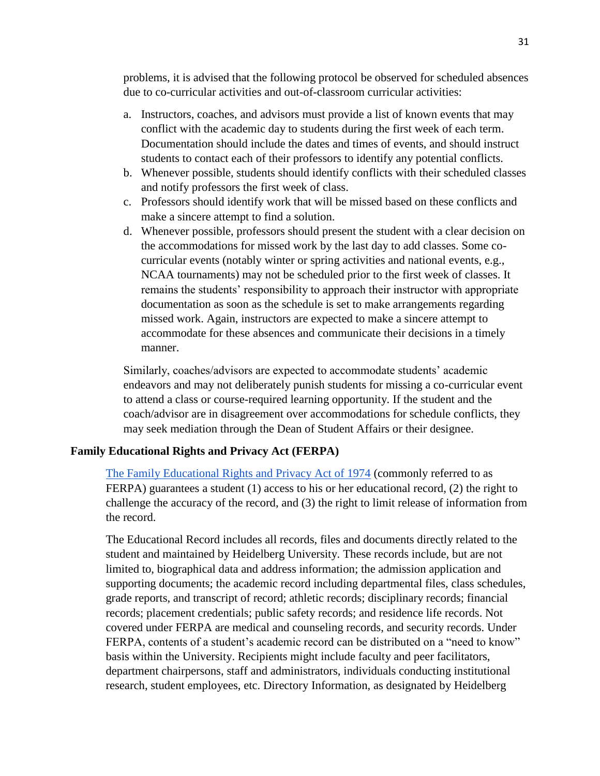problems, it is advised that the following protocol be observed for scheduled absences due to co-curricular activities and out-of-classroom curricular activities:

- a. Instructors, coaches, and advisors must provide a list of known events that may conflict with the academic day to students during the first week of each term. Documentation should include the dates and times of events, and should instruct students to contact each of their professors to identify any potential conflicts.
- b. Whenever possible, students should identify conflicts with their scheduled classes and notify professors the first week of class.
- c. Professors should identify work that will be missed based on these conflicts and make a sincere attempt to find a solution.
- d. Whenever possible, professors should present the student with a clear decision on the accommodations for missed work by the last day to add classes. Some cocurricular events (notably winter or spring activities and national events, e.g., NCAA tournaments) may not be scheduled prior to the first week of classes. It remains the students' responsibility to approach their instructor with appropriate documentation as soon as the schedule is set to make arrangements regarding missed work. Again, instructors are expected to make a sincere attempt to accommodate for these absences and communicate their decisions in a timely manner.

Similarly, coaches/advisors are expected to accommodate students' academic endeavors and may not deliberately punish students for missing a co-curricular event to attend a class or course-required learning opportunity. If the student and the coach/advisor are in disagreement over accommodations for schedule conflicts, they may seek mediation through the Dean of Student Affairs or their designee.

## **Family Educational Rights and Privacy Act (FERPA)**

[The Family Educational Rights and Privacy Act of 1974](https://www2.ed.gov/policy/gen/guid/fpco/ferpa/index.html) (commonly referred to as FERPA) guarantees a student (1) access to his or her educational record, (2) the right to challenge the accuracy of the record, and (3) the right to limit release of information from the record.

The Educational Record includes all records, files and documents directly related to the student and maintained by Heidelberg University. These records include, but are not limited to, biographical data and address information; the admission application and supporting documents; the academic record including departmental files, class schedules, grade reports, and transcript of record; athletic records; disciplinary records; financial records; placement credentials; public safety records; and residence life records. Not covered under FERPA are medical and counseling records, and security records. Under FERPA, contents of a student's academic record can be distributed on a "need to know" basis within the University. Recipients might include faculty and peer facilitators, department chairpersons, staff and administrators, individuals conducting institutional research, student employees, etc. Directory Information, as designated by Heidelberg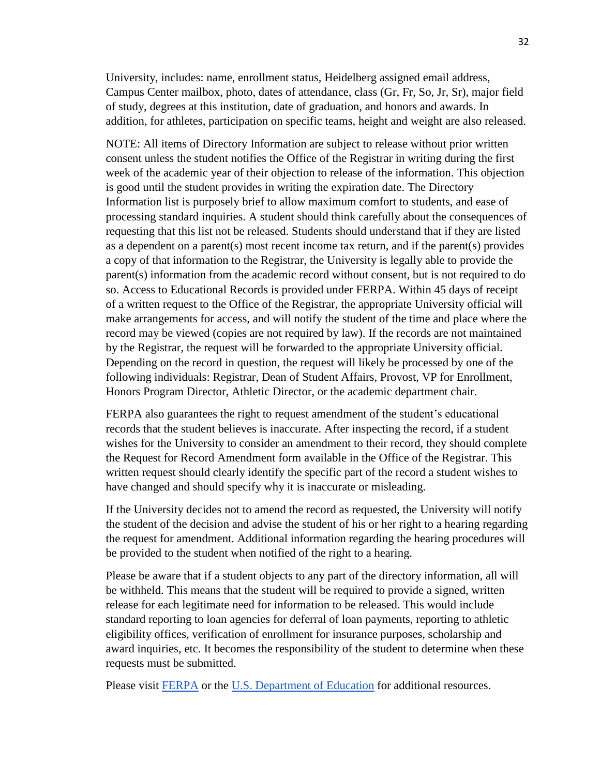University, includes: name, enrollment status, Heidelberg assigned email address, Campus Center mailbox, photo, dates of attendance, class (Gr, Fr, So, Jr, Sr), major field of study, degrees at this institution, date of graduation, and honors and awards. In addition, for athletes, participation on specific teams, height and weight are also released.

NOTE: All items of Directory Information are subject to release without prior written consent unless the student notifies the Office of the Registrar in writing during the first week of the academic year of their objection to release of the information. This objection is good until the student provides in writing the expiration date. The Directory Information list is purposely brief to allow maximum comfort to students, and ease of processing standard inquiries. A student should think carefully about the consequences of requesting that this list not be released. Students should understand that if they are listed as a dependent on a parent(s) most recent income tax return, and if the parent(s) provides a copy of that information to the Registrar, the University is legally able to provide the parent(s) information from the academic record without consent, but is not required to do so. Access to Educational Records is provided under FERPA. Within 45 days of receipt of a written request to the Office of the Registrar, the appropriate University official will make arrangements for access, and will notify the student of the time and place where the record may be viewed (copies are not required by law). If the records are not maintained by the Registrar, the request will be forwarded to the appropriate University official. Depending on the record in question, the request will likely be processed by one of the following individuals: Registrar, Dean of Student Affairs, Provost, VP for Enrollment, Honors Program Director, Athletic Director, or the academic department chair.

FERPA also guarantees the right to request amendment of the student's educational records that the student believes is inaccurate. After inspecting the record, if a student wishes for the University to consider an amendment to their record, they should complete the Request for Record Amendment form available in the Office of the Registrar. This written request should clearly identify the specific part of the record a student wishes to have changed and should specify why it is inaccurate or misleading.

If the University decides not to amend the record as requested, the University will notify the student of the decision and advise the student of his or her right to a hearing regarding the request for amendment. Additional information regarding the hearing procedures will be provided to the student when notified of the right to a hearing.

Please be aware that if a student objects to any part of the directory information, all will be withheld. This means that the student will be required to provide a signed, written release for each legitimate need for information to be released. This would include standard reporting to loan agencies for deferral of loan payments, reporting to athletic eligibility offices, verification of enrollment for insurance purposes, scholarship and award inquiries, etc. It becomes the responsibility of the student to determine when these requests must be submitted.

Please visit [FERPA](https://www2.ed.gov/policy/gen/guid/fpco/ferpa/index.html) or the [U.S. Department of Education](https://www.ed.gov/) for additional resources.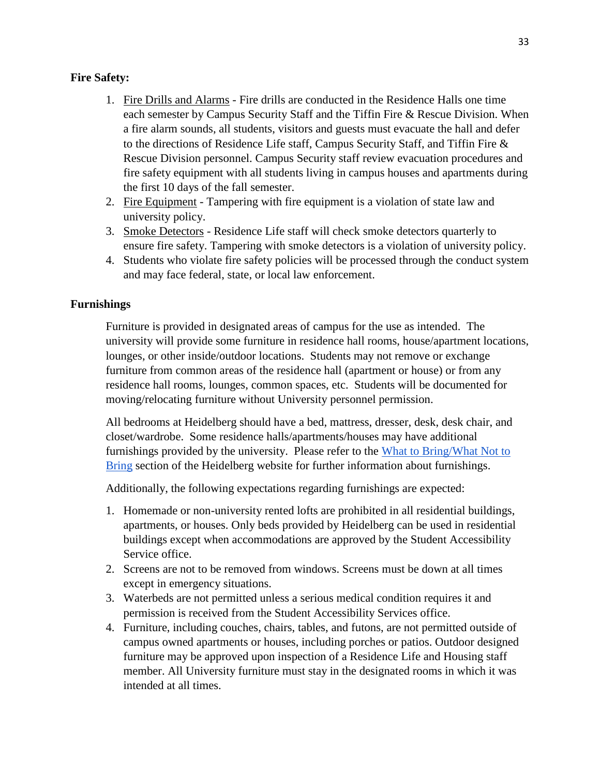# **Fire Safety:**

- 1. Fire Drills and Alarms Fire drills are conducted in the Residence Halls one time each semester by Campus Security Staff and the Tiffin Fire & Rescue Division. When a fire alarm sounds, all students, visitors and guests must evacuate the hall and defer to the directions of Residence Life staff, Campus Security Staff, and Tiffin Fire & Rescue Division personnel. Campus Security staff review evacuation procedures and fire safety equipment with all students living in campus houses and apartments during the first 10 days of the fall semester.
- 2. Fire Equipment Tampering with fire equipment is a violation of state law and university policy.
- 3. Smoke Detectors Residence Life staff will check smoke detectors quarterly to ensure fire safety. Tampering with smoke detectors is a violation of university policy.
- 4. Students who violate fire safety policies will be processed through the conduct system and may face federal, state, or local law enforcement.

# **Furnishings**

Furniture is provided in designated areas of campus for the use as intended. The university will provide some furniture in residence hall rooms, house/apartment locations, lounges, or other inside/outdoor locations. Students may not remove or exchange furniture from common areas of the residence hall (apartment or house) or from any residence hall rooms, lounges, common spaces, etc. Students will be documented for moving/relocating furniture without University personnel permission.

All bedrooms at Heidelberg should have a bed, mattress, dresser, desk, desk chair, and closet/wardrobe. Some residence halls/apartments/houses may have additional furnishings provided by the university. Please refer to the [What to Bring/What Not to](https://inside.heidelberg.edu/sites/default/files/documents/whattobring2020.pdf)  [Bring](https://inside.heidelberg.edu/sites/default/files/documents/whattobring2020.pdf) section of the Heidelberg website for further information about furnishings.

Additionally, the following expectations regarding furnishings are expected:

- 1. Homemade or non-university rented lofts are prohibited in all residential buildings, apartments, or houses. Only beds provided by Heidelberg can be used in residential buildings except when accommodations are approved by the Student Accessibility Service office.
- 2. Screens are not to be removed from windows. Screens must be down at all times except in emergency situations.
- 3. Waterbeds are not permitted unless a serious medical condition requires it and permission is received from the Student Accessibility Services office.
- 4. Furniture, including couches, chairs, tables, and futons, are not permitted outside of campus owned apartments or houses, including porches or patios. Outdoor designed furniture may be approved upon inspection of a Residence Life and Housing staff member. All University furniture must stay in the designated rooms in which it was intended at all times.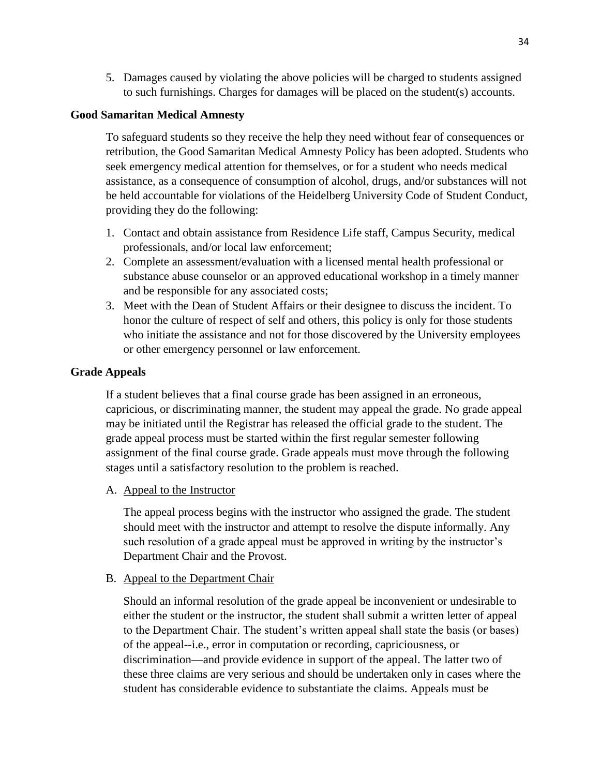5. Damages caused by violating the above policies will be charged to students assigned to such furnishings. Charges for damages will be placed on the student(s) accounts.

## **Good Samaritan Medical Amnesty**

To safeguard students so they receive the help they need without fear of consequences or retribution, the Good Samaritan Medical Amnesty Policy has been adopted. Students who seek emergency medical attention for themselves, or for a student who needs medical assistance, as a consequence of consumption of alcohol, drugs, and/or substances will not be held accountable for violations of the Heidelberg University Code of Student Conduct, providing they do the following:

- 1. Contact and obtain assistance from Residence Life staff, Campus Security, medical professionals, and/or local law enforcement;
- 2. Complete an assessment/evaluation with a licensed mental health professional or substance abuse counselor or an approved educational workshop in a timely manner and be responsible for any associated costs;
- 3. Meet with the Dean of Student Affairs or their designee to discuss the incident. To honor the culture of respect of self and others, this policy is only for those students who initiate the assistance and not for those discovered by the University employees or other emergency personnel or law enforcement.

## **Grade Appeals**

If a student believes that a final course grade has been assigned in an erroneous, capricious, or discriminating manner, the student may appeal the grade. No grade appeal may be initiated until the Registrar has released the official grade to the student. The grade appeal process must be started within the first regular semester following assignment of the final course grade. Grade appeals must move through the following stages until a satisfactory resolution to the problem is reached.

A. Appeal to the Instructor

The appeal process begins with the instructor who assigned the grade. The student should meet with the instructor and attempt to resolve the dispute informally. Any such resolution of a grade appeal must be approved in writing by the instructor's Department Chair and the Provost.

#### B. Appeal to the Department Chair

Should an informal resolution of the grade appeal be inconvenient or undesirable to either the student or the instructor, the student shall submit a written letter of appeal to the Department Chair. The student's written appeal shall state the basis (or bases) of the appeal--i.e., error in computation or recording, capriciousness, or discrimination—and provide evidence in support of the appeal. The latter two of these three claims are very serious and should be undertaken only in cases where the student has considerable evidence to substantiate the claims. Appeals must be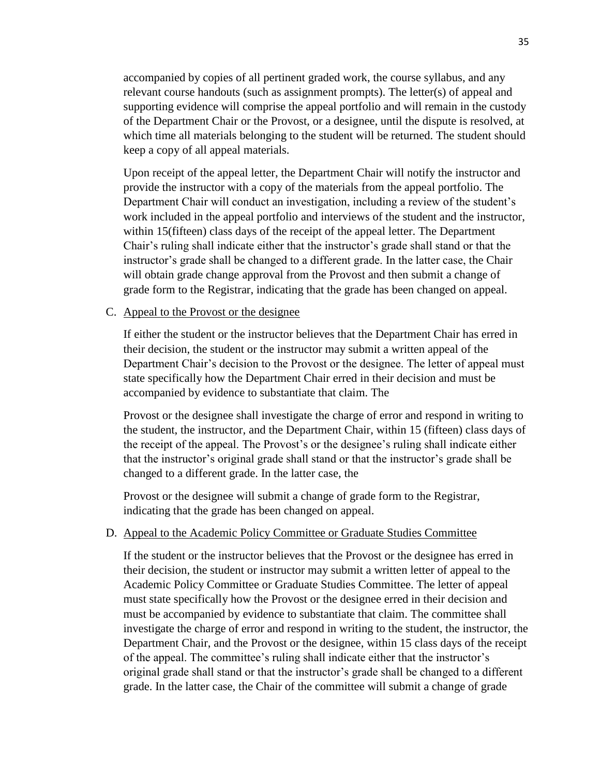accompanied by copies of all pertinent graded work, the course syllabus, and any relevant course handouts (such as assignment prompts). The letter(s) of appeal and supporting evidence will comprise the appeal portfolio and will remain in the custody of the Department Chair or the Provost, or a designee, until the dispute is resolved, at which time all materials belonging to the student will be returned. The student should keep a copy of all appeal materials.

Upon receipt of the appeal letter, the Department Chair will notify the instructor and provide the instructor with a copy of the materials from the appeal portfolio. The Department Chair will conduct an investigation, including a review of the student's work included in the appeal portfolio and interviews of the student and the instructor, within 15(fifteen) class days of the receipt of the appeal letter. The Department Chair's ruling shall indicate either that the instructor's grade shall stand or that the instructor's grade shall be changed to a different grade. In the latter case, the Chair will obtain grade change approval from the Provost and then submit a change of grade form to the Registrar, indicating that the grade has been changed on appeal.

#### C. Appeal to the Provost or the designee

If either the student or the instructor believes that the Department Chair has erred in their decision, the student or the instructor may submit a written appeal of the Department Chair's decision to the Provost or the designee. The letter of appeal must state specifically how the Department Chair erred in their decision and must be accompanied by evidence to substantiate that claim. The

Provost or the designee shall investigate the charge of error and respond in writing to the student, the instructor, and the Department Chair, within 15 (fifteen) class days of the receipt of the appeal. The Provost's or the designee's ruling shall indicate either that the instructor's original grade shall stand or that the instructor's grade shall be changed to a different grade. In the latter case, the

Provost or the designee will submit a change of grade form to the Registrar, indicating that the grade has been changed on appeal.

#### D. Appeal to the Academic Policy Committee or Graduate Studies Committee

If the student or the instructor believes that the Provost or the designee has erred in their decision, the student or instructor may submit a written letter of appeal to the Academic Policy Committee or Graduate Studies Committee. The letter of appeal must state specifically how the Provost or the designee erred in their decision and must be accompanied by evidence to substantiate that claim. The committee shall investigate the charge of error and respond in writing to the student, the instructor, the Department Chair, and the Provost or the designee, within 15 class days of the receipt of the appeal. The committee's ruling shall indicate either that the instructor's original grade shall stand or that the instructor's grade shall be changed to a different grade. In the latter case, the Chair of the committee will submit a change of grade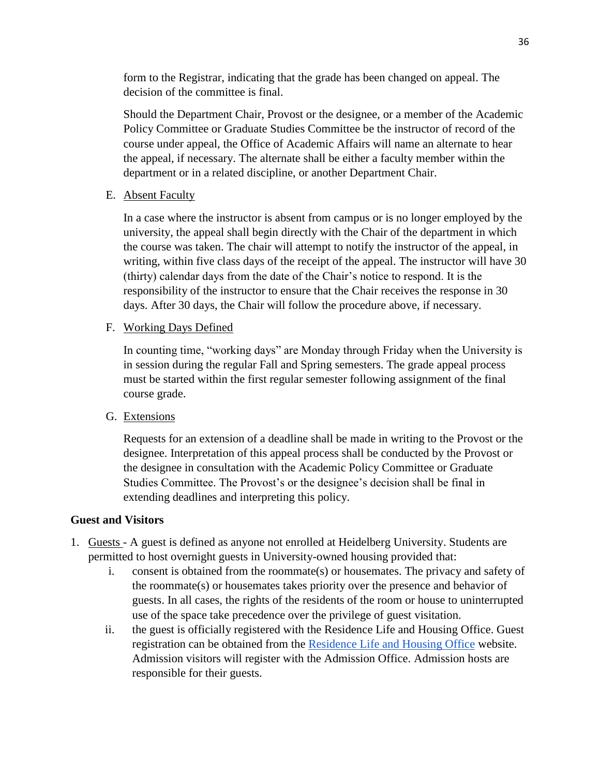form to the Registrar, indicating that the grade has been changed on appeal. The decision of the committee is final.

Should the Department Chair, Provost or the designee, or a member of the Academic Policy Committee or Graduate Studies Committee be the instructor of record of the course under appeal, the Office of Academic Affairs will name an alternate to hear the appeal, if necessary. The alternate shall be either a faculty member within the department or in a related discipline, or another Department Chair.

## E. Absent Faculty

In a case where the instructor is absent from campus or is no longer employed by the university, the appeal shall begin directly with the Chair of the department in which the course was taken. The chair will attempt to notify the instructor of the appeal, in writing, within five class days of the receipt of the appeal. The instructor will have 30 (thirty) calendar days from the date of the Chair's notice to respond. It is the responsibility of the instructor to ensure that the Chair receives the response in 30 days. After 30 days, the Chair will follow the procedure above, if necessary.

## F. Working Days Defined

In counting time, "working days" are Monday through Friday when the University is in session during the regular Fall and Spring semesters. The grade appeal process must be started within the first regular semester following assignment of the final course grade.

#### G. Extensions

Requests for an extension of a deadline shall be made in writing to the Provost or the designee. Interpretation of this appeal process shall be conducted by the Provost or the designee in consultation with the Academic Policy Committee or Graduate Studies Committee. The Provost's or the designee's decision shall be final in extending deadlines and interpreting this policy.

#### **Guest and Visitors**

- 1. Guests A guest is defined as anyone not enrolled at Heidelberg University. Students are permitted to host overnight guests in University-owned housing provided that:
	- i. consent is obtained from the roommate(s) or housemates. The privacy and safety of the roommate(s) or housemates takes priority over the presence and behavior of guests. In all cases, the rights of the residents of the room or house to uninterrupted use of the space take precedence over the privilege of guest visitation.
	- ii. the guest is officially registered with the Residence Life and Housing Office. Guest registration can be obtained from the [Residence Life and Housing Office](https://inside.heidelberg.edu/departments-offices/residence-life-housing/guest-check-form) website. Admission visitors will register with the Admission Office. Admission hosts are responsible for their guests.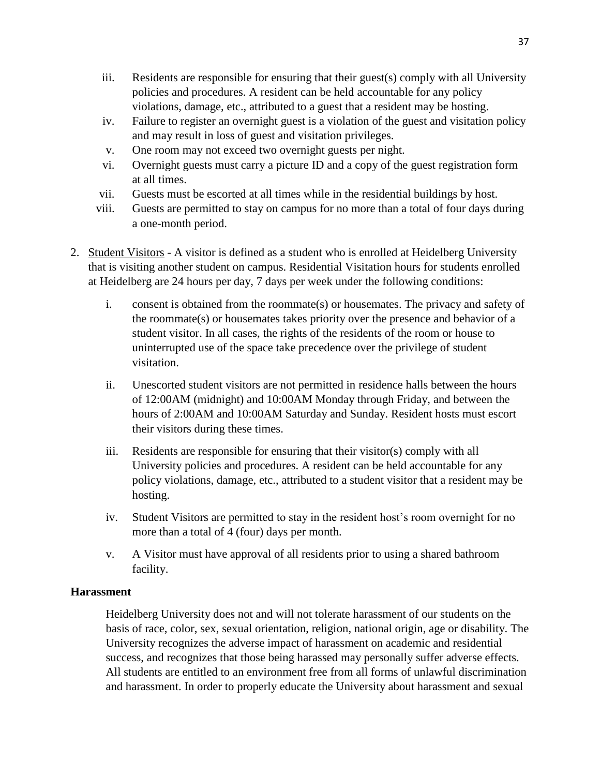- iii. Residents are responsible for ensuring that their guest(s) comply with all University policies and procedures. A resident can be held accountable for any policy violations, damage, etc., attributed to a guest that a resident may be hosting.
- iv. Failure to register an overnight guest is a violation of the guest and visitation policy and may result in loss of guest and visitation privileges.
- v. One room may not exceed two overnight guests per night.
- vi. Overnight guests must carry a picture ID and a copy of the guest registration form at all times.
- vii. Guests must be escorted at all times while in the residential buildings by host.
- viii. Guests are permitted to stay on campus for no more than a total of four days during a one-month period.
- 2. Student Visitors A visitor is defined as a student who is enrolled at Heidelberg University that is visiting another student on campus. Residential Visitation hours for students enrolled at Heidelberg are 24 hours per day, 7 days per week under the following conditions:
	- i. consent is obtained from the roommate(s) or housemates. The privacy and safety of the roommate(s) or housemates takes priority over the presence and behavior of a student visitor. In all cases, the rights of the residents of the room or house to uninterrupted use of the space take precedence over the privilege of student visitation.
	- ii. Unescorted student visitors are not permitted in residence halls between the hours of 12:00AM (midnight) and 10:00AM Monday through Friday, and between the hours of 2:00AM and 10:00AM Saturday and Sunday. Resident hosts must escort their visitors during these times.
	- iii. Residents are responsible for ensuring that their visitor(s) comply with all University policies and procedures. A resident can be held accountable for any policy violations, damage, etc., attributed to a student visitor that a resident may be hosting.
	- iv. Student Visitors are permitted to stay in the resident host's room overnight for no more than a total of 4 (four) days per month.
	- v. A Visitor must have approval of all residents prior to using a shared bathroom facility.

# **Harassment**

Heidelberg University does not and will not tolerate harassment of our students on the basis of race, color, sex, sexual orientation, religion, national origin, age or disability. The University recognizes the adverse impact of harassment on academic and residential success, and recognizes that those being harassed may personally suffer adverse effects. All students are entitled to an environment free from all forms of unlawful discrimination and harassment. In order to properly educate the University about harassment and sexual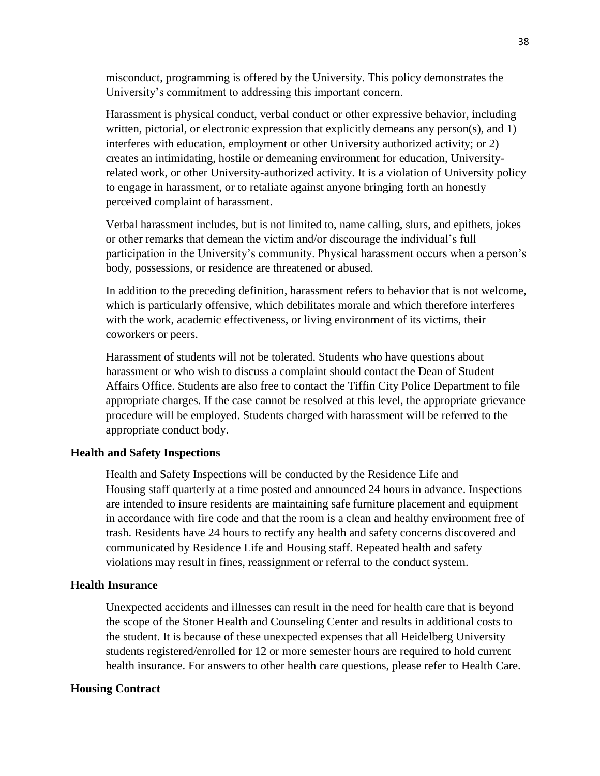misconduct, programming is offered by the University. This policy demonstrates the University's commitment to addressing this important concern.

Harassment is physical conduct, verbal conduct or other expressive behavior, including written, pictorial, or electronic expression that explicitly demeans any person(s), and 1) interferes with education, employment or other University authorized activity; or 2) creates an intimidating, hostile or demeaning environment for education, Universityrelated work, or other University-authorized activity. It is a violation of University policy to engage in harassment, or to retaliate against anyone bringing forth an honestly perceived complaint of harassment.

Verbal harassment includes, but is not limited to, name calling, slurs, and epithets, jokes or other remarks that demean the victim and/or discourage the individual's full participation in the University's community. Physical harassment occurs when a person's body, possessions, or residence are threatened or abused.

In addition to the preceding definition, harassment refers to behavior that is not welcome, which is particularly offensive, which debilitates morale and which therefore interferes with the work, academic effectiveness, or living environment of its victims, their coworkers or peers.

Harassment of students will not be tolerated. Students who have questions about harassment or who wish to discuss a complaint should contact the Dean of Student Affairs Office. Students are also free to contact the Tiffin City Police Department to file appropriate charges. If the case cannot be resolved at this level, the appropriate grievance procedure will be employed. Students charged with harassment will be referred to the appropriate conduct body.

### **Health and Safety Inspections**

Health and Safety Inspections will be conducted by the Residence Life and Housing staff quarterly at a time posted and announced 24 hours in advance. Inspections are intended to insure residents are maintaining safe furniture placement and equipment in accordance with fire code and that the room is a clean and healthy environment free of trash. Residents have 24 hours to rectify any health and safety concerns discovered and communicated by Residence Life and Housing staff. Repeated health and safety violations may result in fines, reassignment or referral to the conduct system.

### **Health Insurance**

Unexpected accidents and illnesses can result in the need for health care that is beyond the scope of the Stoner Health and Counseling Center and results in additional costs to the student. It is because of these unexpected expenses that all Heidelberg University students registered/enrolled for 12 or more semester hours are required to hold current health insurance. For answers to other health care questions, please refer to Health Care.

#### **Housing Contract**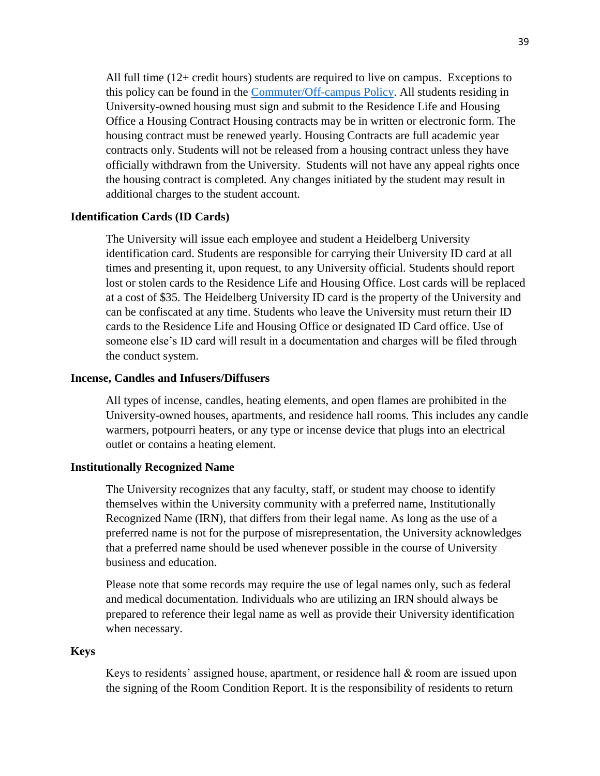All full time (12+ credit hours) students are required to live on campus. Exceptions to this policy can be found in the [Commuter/Off-campus Policy.](https://inside.heidelberg.edu/departments-offices/residence-life/commuting-living-campus) All students residing in University-owned housing must sign and submit to the Residence Life and Housing Office a Housing Contract Housing contracts may be in written or electronic form. The housing contract must be renewed yearly. Housing Contracts are full academic year contracts only. Students will not be released from a housing contract unless they have officially withdrawn from the University. Students will not have any appeal rights once the housing contract is completed. Any changes initiated by the student may result in additional charges to the student account.

### **Identification Cards (ID Cards)**

The University will issue each employee and student a Heidelberg University identification card. Students are responsible for carrying their University ID card at all times and presenting it, upon request, to any University official. Students should report lost or stolen cards to the Residence Life and Housing Office. Lost cards will be replaced at a cost of \$35. The Heidelberg University ID card is the property of the University and can be confiscated at any time. Students who leave the University must return their ID cards to the Residence Life and Housing Office or designated ID Card office. Use of someone else's ID card will result in a documentation and charges will be filed through the conduct system.

#### **Incense, Candles and Infusers/Diffusers**

All types of incense, candles, heating elements, and open flames are prohibited in the University-owned houses, apartments, and residence hall rooms. This includes any candle warmers, potpourri heaters, or any type or incense device that plugs into an electrical outlet or contains a heating element.

### **Institutionally Recognized Name**

The University recognizes that any faculty, staff, or student may choose to identify themselves within the University community with a preferred name, Institutionally Recognized Name (IRN), that differs from their legal name. As long as the use of a preferred name is not for the purpose of misrepresentation, the University acknowledges that a preferred name should be used whenever possible in the course of University business and education.

Please note that some records may require the use of legal names only, such as federal and medical documentation. Individuals who are utilizing an IRN should always be prepared to reference their legal name as well as provide their University identification when necessary.

### **Keys**

Keys to residents' assigned house, apartment, or residence hall & room are issued upon the signing of the Room Condition Report. It is the responsibility of residents to return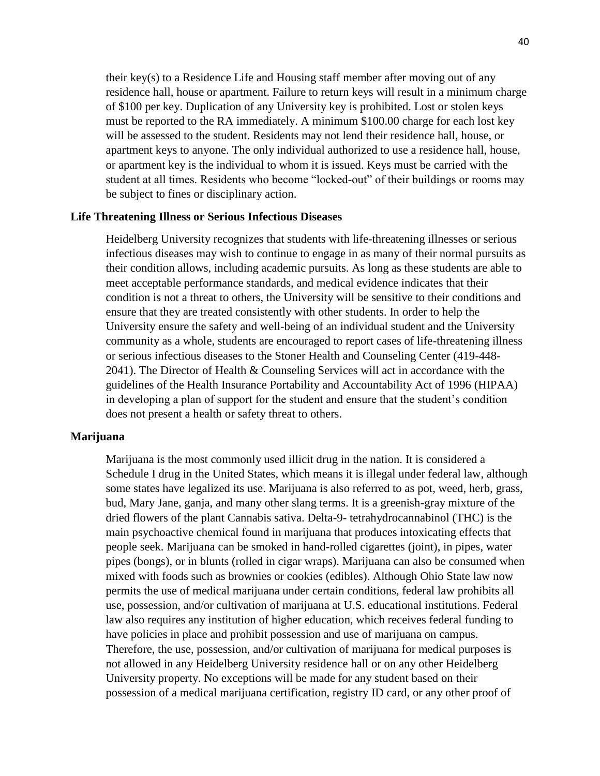their key(s) to a Residence Life and Housing staff member after moving out of any residence hall, house or apartment. Failure to return keys will result in a minimum charge of \$100 per key. Duplication of any University key is prohibited. Lost or stolen keys must be reported to the RA immediately. A minimum \$100.00 charge for each lost key will be assessed to the student. Residents may not lend their residence hall, house, or apartment keys to anyone. The only individual authorized to use a residence hall, house, or apartment key is the individual to whom it is issued. Keys must be carried with the student at all times. Residents who become "locked-out" of their buildings or rooms may be subject to fines or disciplinary action.

### **Life Threatening Illness or Serious Infectious Diseases**

Heidelberg University recognizes that students with life-threatening illnesses or serious infectious diseases may wish to continue to engage in as many of their normal pursuits as their condition allows, including academic pursuits. As long as these students are able to meet acceptable performance standards, and medical evidence indicates that their condition is not a threat to others, the University will be sensitive to their conditions and ensure that they are treated consistently with other students. In order to help the University ensure the safety and well-being of an individual student and the University community as a whole, students are encouraged to report cases of life-threatening illness or serious infectious diseases to the Stoner Health and Counseling Center (419-448- 2041). The Director of Health & Counseling Services will act in accordance with the guidelines of the Health Insurance Portability and Accountability Act of 1996 (HIPAA) in developing a plan of support for the student and ensure that the student's condition does not present a health or safety threat to others.

#### **Marijuana**

Marijuana is the most commonly used illicit drug in the nation. It is considered a Schedule I drug in the United States, which means it is illegal under federal law, although some states have legalized its use. Marijuana is also referred to as pot, weed, herb, grass, bud, Mary Jane, ganja, and many other slang terms. It is a greenish-gray mixture of the dried flowers of the plant Cannabis sativa. Delta-9- tetrahydrocannabinol (THC) is the main psychoactive chemical found in marijuana that produces intoxicating effects that people seek. Marijuana can be smoked in hand-rolled cigarettes (joint), in pipes, water pipes (bongs), or in blunts (rolled in cigar wraps). Marijuana can also be consumed when mixed with foods such as brownies or cookies (edibles). Although Ohio State law now permits the use of medical marijuana under certain conditions, federal law prohibits all use, possession, and/or cultivation of marijuana at U.S. educational institutions. Federal law also requires any institution of higher education, which receives federal funding to have policies in place and prohibit possession and use of marijuana on campus. Therefore, the use, possession, and/or cultivation of marijuana for medical purposes is not allowed in any Heidelberg University residence hall or on any other Heidelberg University property. No exceptions will be made for any student based on their possession of a medical marijuana certification, registry ID card, or any other proof of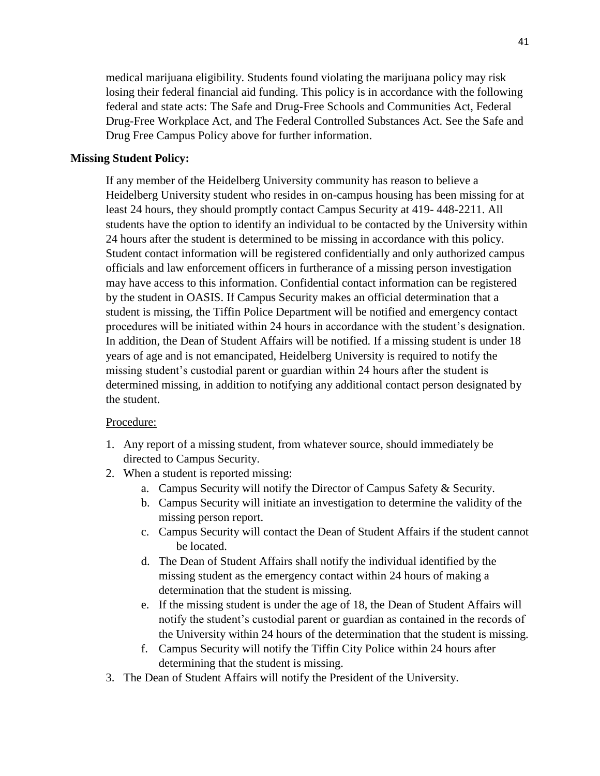medical marijuana eligibility. Students found violating the marijuana policy may risk losing their federal financial aid funding. This policy is in accordance with the following federal and state acts: The Safe and Drug-Free Schools and Communities Act, Federal Drug-Free Workplace Act, and The Federal Controlled Substances Act. See the Safe and Drug Free Campus Policy above for further information.

### **Missing Student Policy:**

If any member of the Heidelberg University community has reason to believe a Heidelberg University student who resides in on-campus housing has been missing for at least 24 hours, they should promptly contact Campus Security at 419- 448-2211. All students have the option to identify an individual to be contacted by the University within 24 hours after the student is determined to be missing in accordance with this policy. Student contact information will be registered confidentially and only authorized campus officials and law enforcement officers in furtherance of a missing person investigation may have access to this information. Confidential contact information can be registered by the student in OASIS. If Campus Security makes an official determination that a student is missing, the Tiffin Police Department will be notified and emergency contact procedures will be initiated within 24 hours in accordance with the student's designation. In addition, the Dean of Student Affairs will be notified. If a missing student is under 18 years of age and is not emancipated, Heidelberg University is required to notify the missing student's custodial parent or guardian within 24 hours after the student is determined missing, in addition to notifying any additional contact person designated by the student.

### Procedure:

- 1. Any report of a missing student, from whatever source, should immediately be directed to Campus Security.
- 2. When a student is reported missing:
	- a. Campus Security will notify the Director of Campus Safety & Security.
	- b. Campus Security will initiate an investigation to determine the validity of the missing person report.
	- c. Campus Security will contact the Dean of Student Affairs if the student cannot be located.
	- d. The Dean of Student Affairs shall notify the individual identified by the missing student as the emergency contact within 24 hours of making a determination that the student is missing.
	- e. If the missing student is under the age of 18, the Dean of Student Affairs will notify the student's custodial parent or guardian as contained in the records of the University within 24 hours of the determination that the student is missing.
	- f. Campus Security will notify the Tiffin City Police within 24 hours after determining that the student is missing.
- 3. The Dean of Student Affairs will notify the President of the University.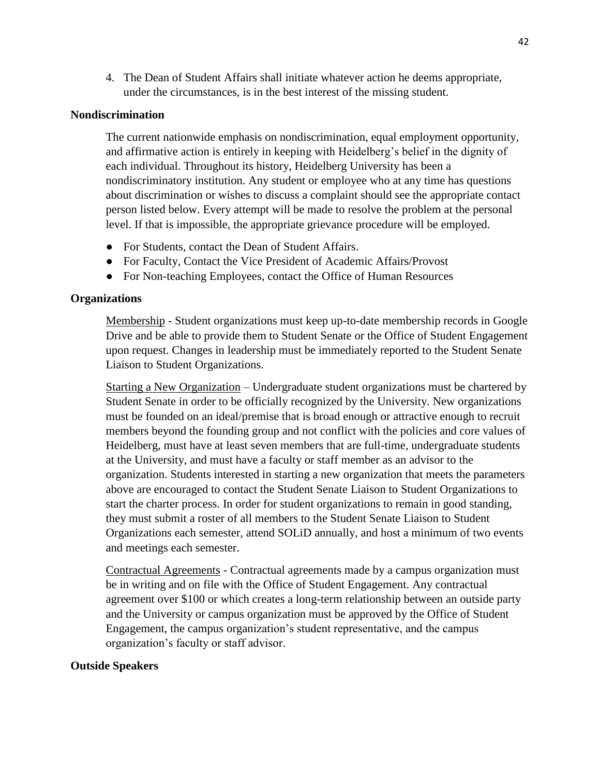4. The Dean of Student Affairs shall initiate whatever action he deems appropriate, under the circumstances, is in the best interest of the missing student.

### **Nondiscrimination**

The current nationwide emphasis on nondiscrimination, equal employment opportunity, and affirmative action is entirely in keeping with Heidelberg's belief in the dignity of each individual. Throughout its history, Heidelberg University has been a nondiscriminatory institution. Any student or employee who at any time has questions about discrimination or wishes to discuss a complaint should see the appropriate contact person listed below. Every attempt will be made to resolve the problem at the personal level. If that is impossible, the appropriate grievance procedure will be employed.

- For Students, contact the Dean of Student Affairs.
- For Faculty, Contact the Vice President of Academic Affairs/Provost
- For Non-teaching Employees, contact the Office of Human Resources

### **Organizations**

Membership - Student organizations must keep up-to-date membership records in Google Drive and be able to provide them to Student Senate or the Office of Student Engagement upon request. Changes in leadership must be immediately reported to the Student Senate Liaison to Student Organizations.

Starting a New Organization – Undergraduate student organizations must be chartered by Student Senate in order to be officially recognized by the University. New organizations must be founded on an ideal/premise that is broad enough or attractive enough to recruit members beyond the founding group and not conflict with the policies and core values of Heidelberg, must have at least seven members that are full-time, undergraduate students at the University, and must have a faculty or staff member as an advisor to the organization. Students interested in starting a new organization that meets the parameters above are encouraged to contact the Student Senate Liaison to Student Organizations to start the charter process. In order for student organizations to remain in good standing, they must submit a roster of all members to the Student Senate Liaison to Student Organizations each semester, attend SOLiD annually, and host a minimum of two events and meetings each semester.

Contractual Agreements - Contractual agreements made by a campus organization must be in writing and on file with the Office of Student Engagement. Any contractual agreement over \$100 or which creates a long-term relationship between an outside party and the University or campus organization must be approved by the Office of Student Engagement, the campus organization's student representative, and the campus organization's faculty or staff advisor.

### **Outside Speakers**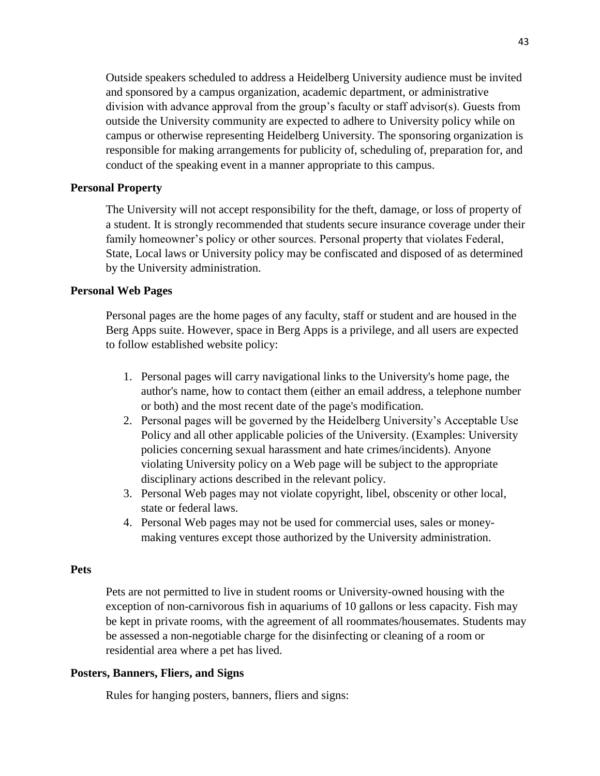Outside speakers scheduled to address a Heidelberg University audience must be invited and sponsored by a campus organization, academic department, or administrative division with advance approval from the group's faculty or staff advisor(s). Guests from outside the University community are expected to adhere to University policy while on campus or otherwise representing Heidelberg University. The sponsoring organization is responsible for making arrangements for publicity of, scheduling of, preparation for, and conduct of the speaking event in a manner appropriate to this campus.

### **Personal Property**

The University will not accept responsibility for the theft, damage, or loss of property of a student. It is strongly recommended that students secure insurance coverage under their family homeowner's policy or other sources. Personal property that violates Federal, State, Local laws or University policy may be confiscated and disposed of as determined by the University administration.

### **Personal Web Pages**

Personal pages are the home pages of any faculty, staff or student and are housed in the Berg Apps suite. However, space in Berg Apps is a privilege, and all users are expected to follow established website policy:

- 1. Personal pages will carry navigational links to the University's home page, the author's name, how to contact them (either an email address, a telephone number or both) and the most recent date of the page's modification.
- 2. Personal pages will be governed by the Heidelberg University's Acceptable Use Policy and all other applicable policies of the University. (Examples: University policies concerning sexual harassment and hate crimes/incidents). Anyone violating University policy on a Web page will be subject to the appropriate disciplinary actions described in the relevant policy.
- 3. Personal Web pages may not violate copyright, libel, obscenity or other local, state or federal laws.
- 4. Personal Web pages may not be used for commercial uses, sales or moneymaking ventures except those authorized by the University administration.

#### **Pets**

Pets are not permitted to live in student rooms or University-owned housing with the exception of non-carnivorous fish in aquariums of 10 gallons or less capacity. Fish may be kept in private rooms, with the agreement of all roommates/housemates. Students may be assessed a non-negotiable charge for the disinfecting or cleaning of a room or residential area where a pet has lived.

### **Posters, Banners, Fliers, and Signs**

Rules for hanging posters, banners, fliers and signs: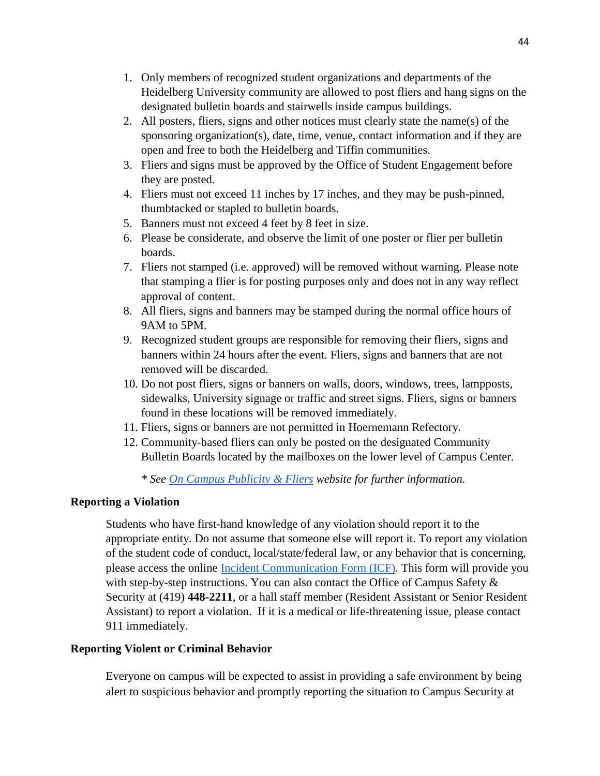- 1. Only members of recognized student organizations and departments of the Heidelberg University community are allowed to post fliers and hang signs on the designated bulletin boards and stairwells inside campus buildings.
- 2. All posters, fliers, signs and other notices must clearly state the name(s) of the sponsoring organization(s), date, time, venue, contact information and if they are open and free to both the Heidelberg and Tiffin communities.
- 3. Fliers and signs must be approved by the Office of Student Engagement before they are posted.
- 4. Fliers must not exceed 11 inches by 17 inches, and they may be push-pinned, thumbtacked or stapled to bulletin boards.
- 5. Banners must not exceed 4 feet by 8 feet in size.
- 6. Please be considerate, and observe the limit of one poster or flier per bulletin boards.
- 7. Fliers not stamped (i.e. approved) will be removed without warning. Please note that stamping a flier is for posting purposes only and does not in any way reflect approval of content.
- 8. All fliers, signs and banners may be stamped during the normal office hours of 9AM to 5PM.
- 9. Recognized student groups are responsible for removing their fliers, signs and banners within 24 hours after the event. Fliers, signs and banners that are not removed will be discarded.
- 10. Do not post fliers, signs or banners on walls, doors, windows, trees, lampposts, sidewalks, University signage or traffic and street signs. Fliers, signs or banners found in these locations will be removed immediately.
- 11. Fliers, signs or banners are not permitted in Hoernemann Refectory.
- 12. Community-based fliers can only be posted on the designated Community Bulletin Boards located by the mailboxes on the lower level of Campus Center.

*\* See [On Campus Publicity & Fliers](https://inside.heidelberg.edu/departments-offices/student-engagement/campus-publicity-fliers) website for further information.*

### **Reporting a Violation**

Students who have first-hand knowledge of any violation should report it to the appropriate entity. Do not assume that someone else will report it. To report any violation of the student code of conduct, local/state/federal law, or any behavior that is concerning, please access the online [Incident Communication Form \(ICF\).](https://heidelberg.guardianconduct.com/incident-reporting/new) This form will provide you with step-by-step instructions. You can also contact the Office of Campus Safety  $\&$ Security at (419) **448-2211**, or a hall staff member (Resident Assistant or Senior Resident Assistant) to report a violation. If it is a medical or life-threatening issue, please contact 911 immediately.

### **Reporting Violent or Criminal Behavior**

Everyone on campus will be expected to assist in providing a safe environment by being alert to suspicious behavior and promptly reporting the situation to Campus Security at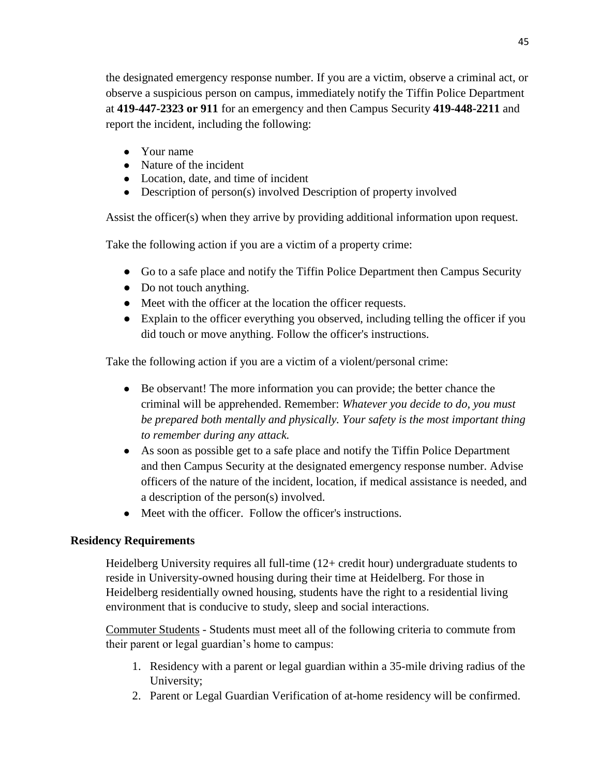the designated emergency response number. If you are a victim, observe a criminal act, or observe a suspicious person on campus, immediately notify the Tiffin Police Department at **419-447-2323 or 911** for an emergency and then Campus Security **419-448-2211** and report the incident, including the following:

- Your name
- Nature of the incident
- Location, date, and time of incident
- Description of person(s) involved Description of property involved

Assist the officer(s) when they arrive by providing additional information upon request.

Take the following action if you are a victim of a property crime:

- Go to a safe place and notify the Tiffin Police Department then Campus Security
- Do not touch anything.
- Meet with the officer at the location the officer requests.
- Explain to the officer everything you observed, including telling the officer if you did touch or move anything. Follow the officer's instructions.

Take the following action if you are a victim of a violent/personal crime:

- Be observant! The more information you can provide; the better chance the criminal will be apprehended. Remember: *Whatever you decide to do, you must be prepared both mentally and physically. Your safety is the most important thing to remember during any attack.*
- As soon as possible get to a safe place and notify the Tiffin Police Department and then Campus Security at the designated emergency response number. Advise officers of the nature of the incident, location, if medical assistance is needed, and a description of the person(s) involved.
- Meet with the officer. Follow the officer's instructions.

# **Residency Requirements**

Heidelberg University requires all full-time (12+ credit hour) undergraduate students to reside in University-owned housing during their time at Heidelberg. For those in Heidelberg residentially owned housing, students have the right to a residential living environment that is conducive to study, sleep and social interactions.

Commuter Students - Students must meet all of the following criteria to commute from their parent or legal guardian's home to campus:

- 1. Residency with a parent or legal guardian within a 35-mile driving radius of the University;
- 2. Parent or Legal Guardian Verification of at-home residency will be confirmed.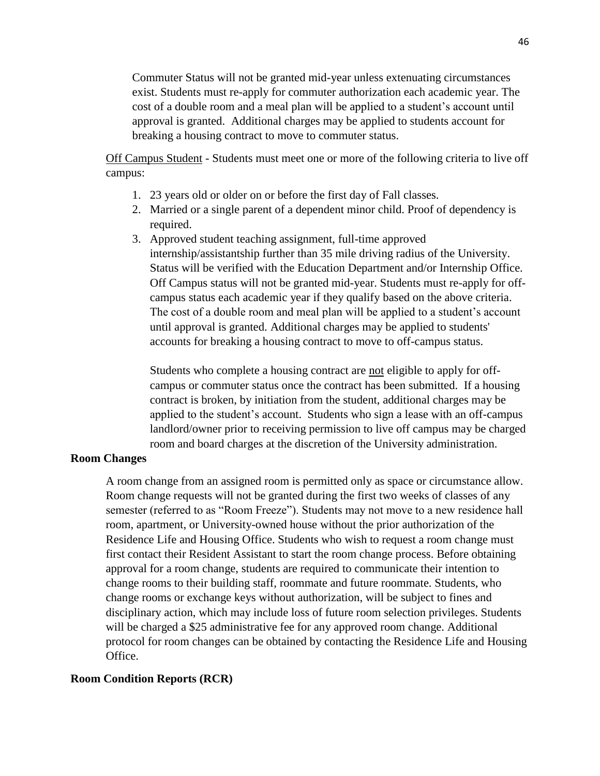Commuter Status will not be granted mid-year unless extenuating circumstances exist. Students must re-apply for commuter authorization each academic year. The cost of a double room and a meal plan will be applied to a student's account until approval is granted. Additional charges may be applied to students account for breaking a housing contract to move to commuter status.

Off Campus Student - Students must meet one or more of the following criteria to live off campus:

- 1. 23 years old or older on or before the first day of Fall classes.
- 2. Married or a single parent of a dependent minor child. Proof of dependency is required.
- 3. Approved student teaching assignment, full-time approved internship/assistantship further than 35 mile driving radius of the University. Status will be verified with the Education Department and/or Internship Office. Off Campus status will not be granted mid-year. Students must re-apply for offcampus status each academic year if they qualify based on the above criteria. The cost of a double room and meal plan will be applied to a student's account until approval is granted. Additional charges may be applied to students' accounts for breaking a housing contract to move to off-campus status.

Students who complete a housing contract are not eligible to apply for offcampus or commuter status once the contract has been submitted. If a housing contract is broken, by initiation from the student, additional charges may be applied to the student's account. Students who sign a lease with an off-campus landlord/owner prior to receiving permission to live off campus may be charged room and board charges at the discretion of the University administration.

### **Room Changes**

A room change from an assigned room is permitted only as space or circumstance allow. Room change requests will not be granted during the first two weeks of classes of any semester (referred to as "Room Freeze"). Students may not move to a new residence hall room, apartment, or University-owned house without the prior authorization of the Residence Life and Housing Office. Students who wish to request a room change must first contact their Resident Assistant to start the room change process. Before obtaining approval for a room change, students are required to communicate their intention to change rooms to their building staff, roommate and future roommate. Students, who change rooms or exchange keys without authorization, will be subject to fines and disciplinary action, which may include loss of future room selection privileges. Students will be charged a \$25 administrative fee for any approved room change. Additional protocol for room changes can be obtained by contacting the Residence Life and Housing Office.

### **Room Condition Reports (RCR)**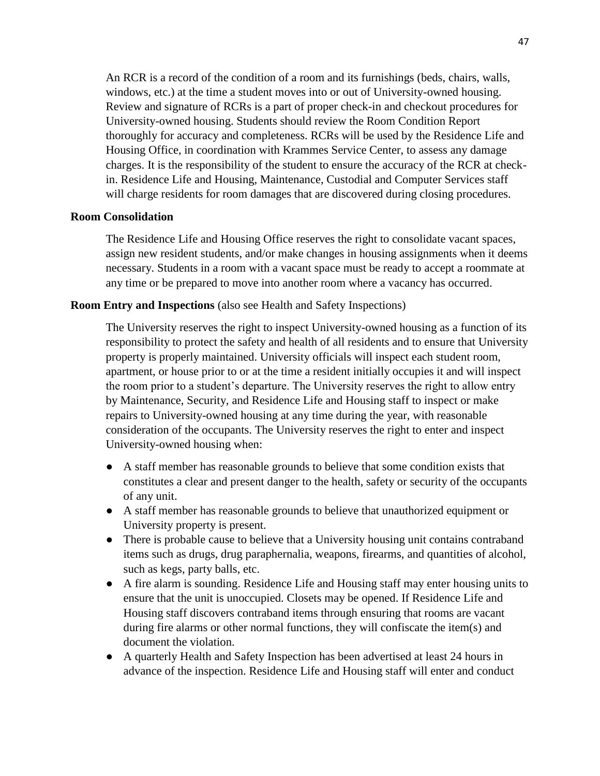An RCR is a record of the condition of a room and its furnishings (beds, chairs, walls, windows, etc.) at the time a student moves into or out of University-owned housing. Review and signature of RCRs is a part of proper check-in and checkout procedures for University-owned housing. Students should review the Room Condition Report thoroughly for accuracy and completeness. RCRs will be used by the Residence Life and Housing Office, in coordination with Krammes Service Center, to assess any damage charges. It is the responsibility of the student to ensure the accuracy of the RCR at checkin. Residence Life and Housing, Maintenance, Custodial and Computer Services staff will charge residents for room damages that are discovered during closing procedures.

# **Room Consolidation**

The Residence Life and Housing Office reserves the right to consolidate vacant spaces, assign new resident students, and/or make changes in housing assignments when it deems necessary. Students in a room with a vacant space must be ready to accept a roommate at any time or be prepared to move into another room where a vacancy has occurred.

### **Room Entry and Inspections** (also see Health and Safety Inspections)

The University reserves the right to inspect University-owned housing as a function of its responsibility to protect the safety and health of all residents and to ensure that University property is properly maintained. University officials will inspect each student room, apartment, or house prior to or at the time a resident initially occupies it and will inspect the room prior to a student's departure. The University reserves the right to allow entry by Maintenance, Security, and Residence Life and Housing staff to inspect or make repairs to University-owned housing at any time during the year, with reasonable consideration of the occupants. The University reserves the right to enter and inspect University-owned housing when:

- A staff member has reasonable grounds to believe that some condition exists that constitutes a clear and present danger to the health, safety or security of the occupants of any unit.
- A staff member has reasonable grounds to believe that unauthorized equipment or University property is present.
- There is probable cause to believe that a University housing unit contains contraband items such as drugs, drug paraphernalia, weapons, firearms, and quantities of alcohol, such as kegs, party balls, etc.
- A fire alarm is sounding. Residence Life and Housing staff may enter housing units to ensure that the unit is unoccupied. Closets may be opened. If Residence Life and Housing staff discovers contraband items through ensuring that rooms are vacant during fire alarms or other normal functions, they will confiscate the item(s) and document the violation.
- A quarterly Health and Safety Inspection has been advertised at least 24 hours in advance of the inspection. Residence Life and Housing staff will enter and conduct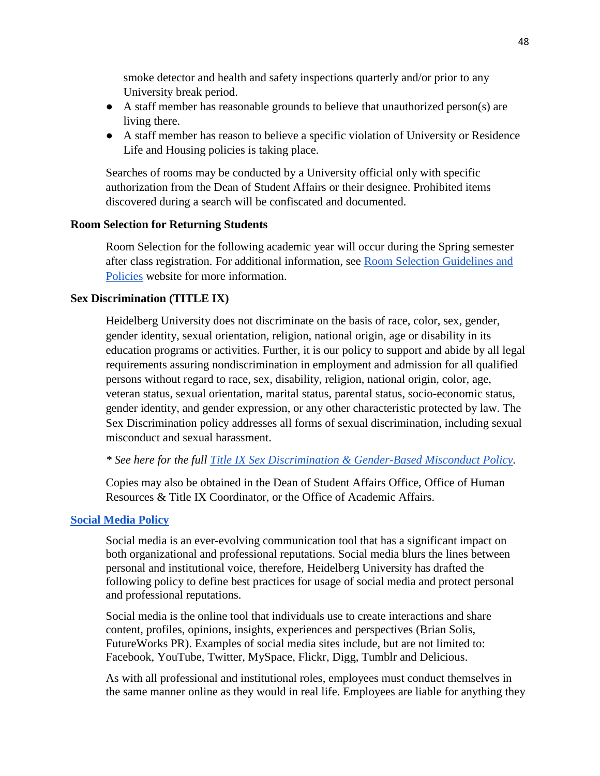smoke detector and health and safety inspections quarterly and/or prior to any University break period.

- A staff member has reasonable grounds to believe that unauthorized person(s) are living there.
- A staff member has reason to believe a specific violation of University or Residence Life and Housing policies is taking place.

Searches of rooms may be conducted by a University official only with specific authorization from the Dean of Student Affairs or their designee. Prohibited items discovered during a search will be confiscated and documented.

### **Room Selection for Returning Students**

Room Selection for the following academic year will occur during the Spring semester after class registration. For additional information, see [Room Selection Guidelines and](https://inside.heidelberg.edu/docs/housing-selection-guidebook)  [Policies](https://inside.heidelberg.edu/docs/housing-selection-guidebook) website for more information.

### **Sex Discrimination (TITLE IX)**

Heidelberg University does not discriminate on the basis of race, color, sex, gender, gender identity, sexual orientation, religion, national origin, age or disability in its education programs or activities. Further, it is our policy to support and abide by all legal requirements assuring nondiscrimination in employment and admission for all qualified persons without regard to race, sex, disability, religion, national origin, color, age, veteran status, sexual orientation, marital status, parental status, socio-economic status, gender identity, and gender expression, or any other characteristic protected by law. The Sex Discrimination policy addresses all forms of sexual discrimination, including sexual misconduct and sexual harassment.

*\* See here for the full [Title IX Sex Discrimination & Gender-Based Misconduct Policy.](https://www.google.com/url?q=https://inside.heidelberg.edu/departments-offices/title-ix&sa=D&source=editors&ust=1620657678997000&usg=AOvVaw2Fw8QDsfT_bndiPR7iuc5Z)*

Copies may also be obtained in the Dean of Student Affairs Office, Office of Human Resources & Title IX Coordinator, or the Office of Academic Affairs.

### **[Social Media Policy](https://inside.heidelberg.edu/departments-offices/marketing-communication-services/guidelines-policies/social-media)**

Social media is an ever-evolving communication tool that has a significant impact on both organizational and professional reputations. Social media blurs the lines between personal and institutional voice, therefore, Heidelberg University has drafted the following policy to define best practices for usage of social media and protect personal and professional reputations.

Social media is the online tool that individuals use to create interactions and share content, profiles, opinions, insights, experiences and perspectives (Brian Solis, FutureWorks PR). Examples of social media sites include, but are not limited to: Facebook, YouTube, Twitter, MySpace, Flickr, Digg, Tumblr and Delicious.

As with all professional and institutional roles, employees must conduct themselves in the same manner online as they would in real life. Employees are liable for anything they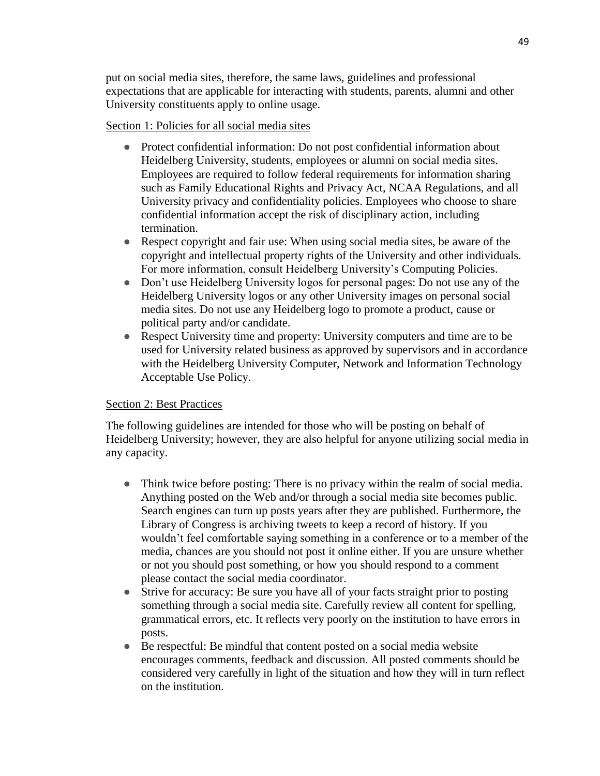put on social media sites, therefore, the same laws, guidelines and professional expectations that are applicable for interacting with students, parents, alumni and other University constituents apply to online usage.

# Section 1: Policies for all social media sites

- Protect confidential information: Do not post confidential information about Heidelberg University, students, employees or alumni on social media sites. Employees are required to follow federal requirements for information sharing such as Family Educational Rights and Privacy Act, NCAA Regulations, and all University privacy and confidentiality policies. Employees who choose to share confidential information accept the risk of disciplinary action, including termination.
- Respect copyright and fair use: When using social media sites, be aware of the copyright and intellectual property rights of the University and other individuals. For more information, consult Heidelberg University's [Computing Policies.](https://inside.heidelberg.edu/offices/cnit/it-policies-and)
- Don't use Heidelberg University logos for personal pages: Do not use any of the Heidelberg University logos or any other University images on personal social media sites. Do not use any Heidelberg logo to promote a product, cause or political party and/or candidate.
- Respect University time and property: University computers and time are to be used for University related business as approved by supervisors and in accordance with the Heidelberg University Computer, Network and Information Technology [Acceptable Use Policy.](https://docs.google.com/document/d/1-AUsKeuWd3CAECMUd0oVoS6dMbUOM-oVM9iA5qgMZ7I/preview)

# Section 2: Best Practices

The following guidelines are intended for those who will be posting on behalf of Heidelberg University; however, they are also helpful for anyone utilizing social media in any capacity.

- Think twice before posting: There is no privacy within the realm of social media. Anything posted on the Web and/or through a social media site becomes public. Search engines can turn up posts years after they are published. Furthermore, the Library of Congress is archiving tweets to keep a record of history. If you wouldn't feel comfortable saying something in a conference or to a member of the media, chances are you should not post it online either. If you are unsure whether or not you should post something, or how you should respond to a comment please contact the social media coordinator.
- Strive for accuracy: Be sure you have all of your facts straight prior to posting something through a social media site. Carefully review all content for spelling, grammatical errors, etc. It reflects very poorly on the institution to have errors in posts.
- Be respectful: Be mindful that content posted on a social media website encourages comments, feedback and discussion. All posted comments should be considered very carefully in light of the situation and how they will in turn reflect on the institution.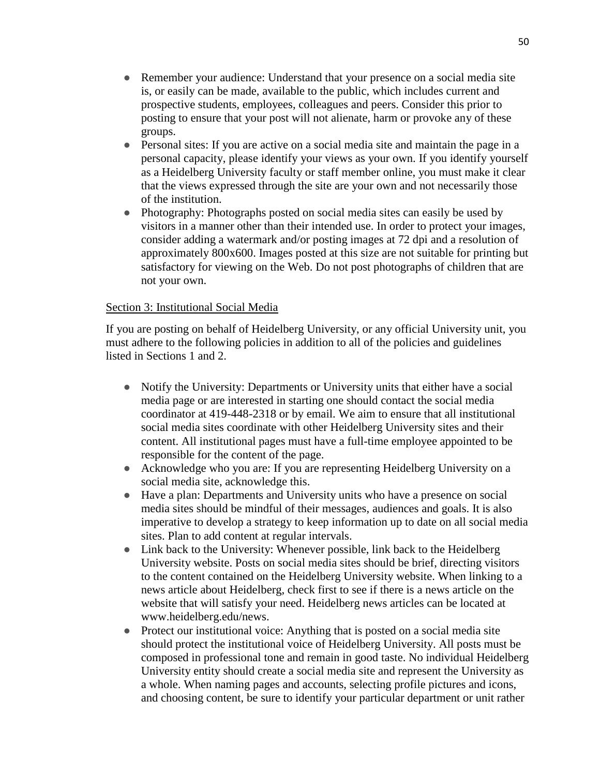- Remember your audience: Understand that your presence on a social media site is, or easily can be made, available to the public, which includes current and prospective students, employees, colleagues and peers. Consider this prior to posting to ensure that your post will not alienate, harm or provoke any of these groups.
- Personal sites: If you are active on a social media site and maintain the page in a personal capacity, please identify your views as your own. If you identify yourself as a Heidelberg University faculty or staff member online, you must make it clear that the views expressed through the site are your own and not necessarily those of the institution.
- Photography: Photographs posted on social media sites can easily be used by visitors in a manner other than their intended use. In order to protect your images, consider adding a watermark and/or posting images at 72 dpi and a resolution of approximately 800x600. Images posted at this size are not suitable for printing but satisfactory for viewing on the Web. Do not post photographs of children that are not your own.

### Section 3: Institutional Social Media

If you are posting on behalf of Heidelberg University, or any official University unit, you must adhere to the following policies in addition to all of the policies and guidelines listed in Sections 1 and 2.

- Notify the University: Departments or University units that either have a social media page or are interested in starting one should contact the social media coordinator at 419-448-2318 or by email. We aim to ensure that all institutional social media sites coordinate with other Heidelberg University sites and their content. All institutional pages must have a full-time employee appointed to be responsible for the content of the page.
- Acknowledge who you are: If you are representing Heidelberg University on a social media site, acknowledge this.
- Have a plan: Departments and University units who have a presence on social media sites should be mindful of their messages, audiences and goals. It is also imperative to develop a strategy to keep information up to date on all social media sites. Plan to add content at regular intervals.
- Link back to the University: Whenever possible, link back to the Heidelberg University website. Posts on social media sites should be brief, directing visitors to the content contained on the Heidelberg University website. When linking to a news article about Heidelberg, check first to see if there is a news article on the website that will satisfy your need. Heidelberg news articles can be located at [www.heidelberg.edu/news.](http://www.heidelberg.edu/newsevents)
- Protect our institutional voice: Anything that is posted on a social media site should protect the institutional voice of Heidelberg University. All posts must be composed in professional tone and remain in good taste. No individual Heidelberg University entity should create a social media site and represent the University as a whole. When naming pages and accounts, selecting profile pictures and icons, and choosing content, be sure to identify your particular department or unit rather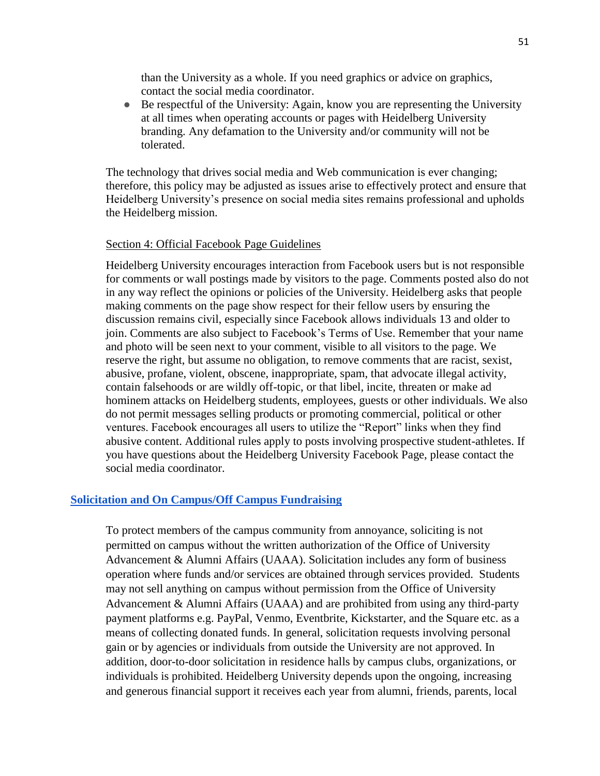than the University as a whole. If you need graphics or advice on graphics, contact the social media coordinator.

• Be respectful of the University: Again, know you are representing the University at all times when operating accounts or pages with Heidelberg University branding. Any defamation to the University and/or community will not be tolerated.

The technology that drives social media and Web communication is ever changing; therefore, this policy may be adjusted as issues arise to effectively protect and ensure that Heidelberg University's presence on social media sites remains professional and upholds the Heidelberg mission.

#### Section 4: Official Facebook Page Guidelines

Heidelberg University encourages interaction from Facebook users but is not responsible for comments or wall postings made by visitors to the page. Comments posted also do not in any way reflect the opinions or policies of the University. Heidelberg asks that people making comments on the page show respect for their fellow users by ensuring the discussion remains civil, especially since Facebook allows individuals 13 and older to join. Comments are also subject to [Facebook's Terms of Use.](https://www.facebook.com/legal/terms) Remember that your name and photo will be seen next to your comment, visible to all visitors to the page. We reserve the right, but assume no obligation, to remove comments that are racist, sexist, abusive, profane, violent, obscene, inappropriate, spam, that advocate illegal activity, contain falsehoods or are wildly off-topic, or that libel, incite, threaten or make ad hominem attacks on Heidelberg students, employees, guests or other individuals. We also do not permit messages selling products or promoting commercial, political or other ventures. Facebook encourages all users to utilize the "Report" links when they find abusive content. Additional rules apply to posts involving prospective student-athletes. If you have questions about the Heidelberg University Facebook Page, please contact the social media coordinator.

### **[Solicitation and On Campus/Off Campus Fundraising](https://inside.heidelberg.edu/sites/default/files/documents/fundraisingpolicy.pdf)**

To protect members of the campus community from annoyance, soliciting is not permitted on campus without the written authorization of the Office of University Advancement & Alumni Affairs (UAAA). Solicitation includes any form of business operation where funds and/or services are obtained through services provided. Students may not sell anything on campus without permission from the Office of University Advancement & Alumni Affairs (UAAA) and are prohibited from using any third-party payment platforms e.g. PayPal, Venmo, Eventbrite, Kickstarter, and the Square etc. as a means of collecting donated funds. In general, solicitation requests involving personal gain or by agencies or individuals from outside the University are not approved. In addition, door-to-door solicitation in residence halls by campus clubs, organizations, or individuals is prohibited. Heidelberg University depends upon the ongoing, increasing and generous financial support it receives each year from alumni, friends, parents, local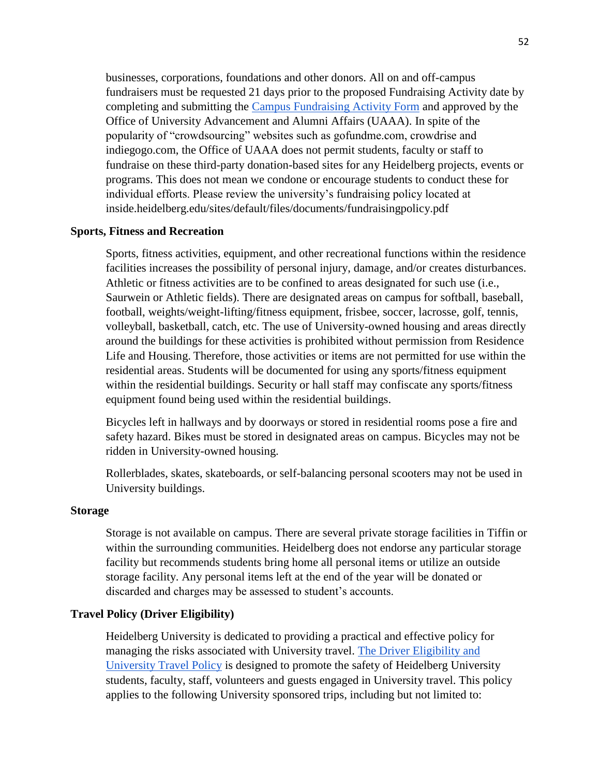businesses, corporations, foundations and other donors. All on and off-campus fundraisers must be requested 21 days prior to the proposed Fundraising Activity date by completing and submitting the [Campus Fundraising Activity Form](https://inside.heidelberg.edu/departments-offices/university-advancement/campus-fundraising-activity-form) and approved by the Office of University Advancement and Alumni Affairs (UAAA). In spite of the popularity of "crowdsourcing" websites such as gofundme.com, crowdrise and indiegogo.com, the Office of UAAA does not permit students, faculty or staff to fundraise on these third-party donation-based sites for any Heidelberg projects, events or programs. This does not mean we condone or encourage students to conduct these for individual efforts. Please review the university's fundraising policy located at [inside.heidelberg.edu/sites/default/files/documents/fundraisingpolicy.pdf](https://inside.heidelberg.edu/sites/default/files/documents/fundraisingpolicy.pdf) 

### **Sports, Fitness and Recreation**

Sports, fitness activities, equipment, and other recreational functions within the residence facilities increases the possibility of personal injury, damage, and/or creates disturbances. Athletic or fitness activities are to be confined to areas designated for such use (i.e., Saurwein or Athletic fields). There are designated areas on campus for softball, baseball, football, weights/weight-lifting/fitness equipment, frisbee, soccer, lacrosse, golf, tennis, volleyball, basketball, catch, etc. The use of University-owned housing and areas directly around the buildings for these activities is prohibited without permission from Residence Life and Housing. Therefore, those activities or items are not permitted for use within the residential areas. Students will be documented for using any sports/fitness equipment within the residential buildings. Security or hall staff may confiscate any sports/fitness equipment found being used within the residential buildings.

Bicycles left in hallways and by doorways or stored in residential rooms pose a fire and safety hazard. Bikes must be stored in designated areas on campus. Bicycles may not be ridden in University-owned housing.

Rollerblades, skates, skateboards, or self-balancing personal scooters may not be used in University buildings.

#### **Storage**

Storage is not available on campus. There are several private storage facilities in Tiffin or within the surrounding communities. Heidelberg does not endorse any particular storage facility but recommends students bring home all personal items or utilize an outside storage facility. Any personal items left at the end of the year will be donated or discarded and charges may be assessed to student's accounts.

### **Travel Policy (Driver Eligibility)**

Heidelberg University is dedicated to providing a practical and effective policy for managing the risks associated with University travel. The Driver Eligibility and [University Travel Policy](https://inside.heidelberg.edu/sites/default/files/documents/drivereligibilityuniversitytravelpolicy.pdf) is designed to promote the safety of Heidelberg University students, faculty, staff, volunteers and guests engaged in University travel. This policy applies to the following University sponsored trips, including but not limited to: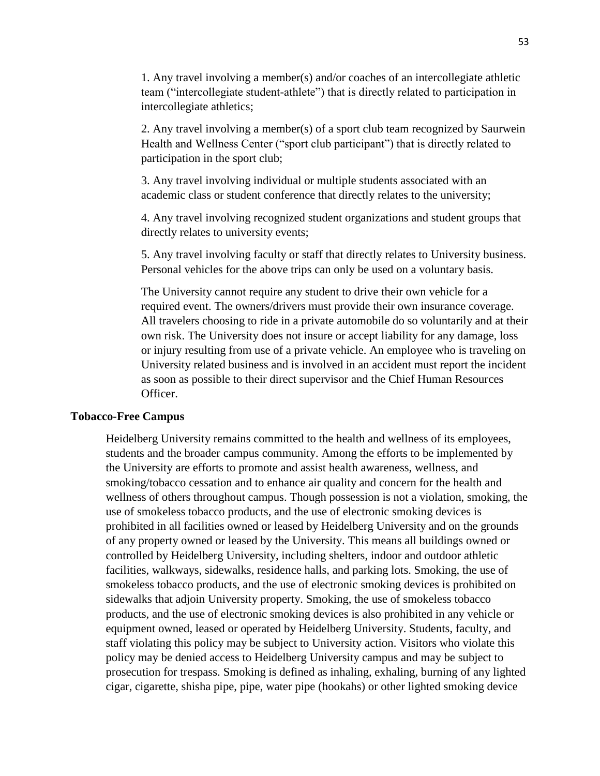1. Any travel involving a member(s) and/or coaches of an intercollegiate athletic team ("intercollegiate student-athlete") that is directly related to participation in intercollegiate athletics;

2. Any travel involving a member(s) of a sport club team recognized by Saurwein Health and Wellness Center ("sport club participant") that is directly related to participation in the sport club;

3. Any travel involving individual or multiple students associated with an academic class or student conference that directly relates to the university;

4. Any travel involving recognized student organizations and student groups that directly relates to university events;

5. Any travel involving faculty or staff that directly relates to University business. Personal vehicles for the above trips can only be used on a voluntary basis.

The University cannot require any student to drive their own vehicle for a required event. The owners/drivers must provide their own insurance coverage. All travelers choosing to ride in a private automobile do so voluntarily and at their own risk. The University does not insure or accept liability for any damage, loss or injury resulting from use of a private vehicle. An employee who is traveling on University related business and is involved in an accident must report the incident as soon as possible to their direct supervisor and the Chief Human Resources Officer.

#### **Tobacco-Free Campus**

Heidelberg University remains committed to the health and wellness of its employees, students and the broader campus community. Among the efforts to be implemented by the University are efforts to promote and assist health awareness, wellness, and smoking/tobacco cessation and to enhance air quality and concern for the health and wellness of others throughout campus. Though possession is not a violation, smoking, the use of smokeless tobacco products, and the use of electronic smoking devices is prohibited in all facilities owned or leased by Heidelberg University and on the grounds of any property owned or leased by the University. This means all buildings owned or controlled by Heidelberg University, including shelters, indoor and outdoor athletic facilities, walkways, sidewalks, residence halls, and parking lots. Smoking, the use of smokeless tobacco products, and the use of electronic smoking devices is prohibited on sidewalks that adjoin University property. Smoking, the use of smokeless tobacco products, and the use of electronic smoking devices is also prohibited in any vehicle or equipment owned, leased or operated by Heidelberg University. Students, faculty, and staff violating this policy may be subject to University action. Visitors who violate this policy may be denied access to Heidelberg University campus and may be subject to prosecution for trespass. Smoking is defined as inhaling, exhaling, burning of any lighted cigar, cigarette, shisha pipe, pipe, water pipe (hookahs) or other lighted smoking device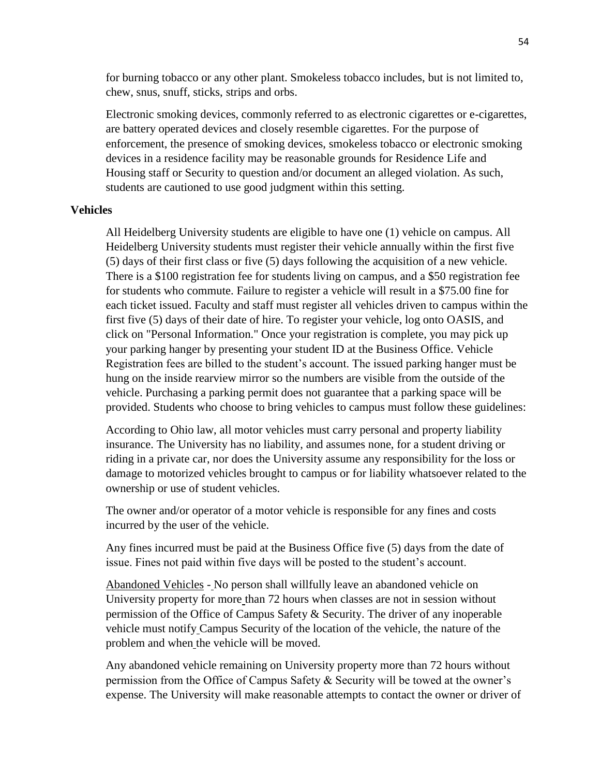for burning tobacco or any other plant. Smokeless tobacco includes, but is not limited to, chew, snus, snuff, sticks, strips and orbs.

Electronic smoking devices, commonly referred to as electronic cigarettes or e-cigarettes, are battery operated devices and closely resemble cigarettes. For the purpose of enforcement, the presence of smoking devices, smokeless tobacco or electronic smoking devices in a residence facility may be reasonable grounds for Residence Life and Housing staff or Security to question and/or document an alleged violation. As such, students are cautioned to use good judgment within this setting.

#### **Vehicles**

All Heidelberg University students are eligible to have one (1) vehicle on campus. All Heidelberg University students must register their vehicle annually within the first five (5) days of their first class or five (5) days following the acquisition of a new vehicle. There is a \$100 registration fee for students living on campus, and a \$50 registration fee for students who commute. Failure to register a vehicle will result in a \$75.00 fine for each ticket issued. Faculty and staff must register all vehicles driven to campus within the first five (5) days of their date of hire. To register your vehicle, log onto OASIS, and click on "Personal Information." Once your registration is complete, you may pick up your parking hanger by presenting your student ID at the Business Office. Vehicle Registration fees are billed to the student's account. The issued parking hanger must be hung on the inside rearview mirror so the numbers are visible from the outside of the vehicle. Purchasing a parking permit does not guarantee that a parking space will be provided. Students who choose to bring vehicles to campus must follow these guidelines:

According to Ohio law, all motor vehicles must carry personal and property liability insurance. The University has no liability, and assumes none, for a student driving or riding in a private car, nor does the University assume any responsibility for the loss or damage to motorized vehicles brought to campus or for liability whatsoever related to the ownership or use of student vehicles.

The owner and/or operator of a motor vehicle is responsible for any fines and costs incurred by the user of the vehicle.

Any fines incurred must be paid at the Business Office five (5) days from the date of issue. Fines not paid within five days will be posted to the student's account.

Abandoned Vehicles - No person shall willfully leave an abandoned vehicle on University property for more than 72 hours when classes are not in session without permission of the Office of Campus Safety & Security. The driver of any inoperable vehicle must notify Campus Security of the location of the vehicle, the nature of the problem and when the vehicle will be moved.

Any abandoned vehicle remaining on University property more than 72 hours without permission from the Office of Campus Safety & Security will be towed at the owner's expense. The University will make reasonable attempts to contact the owner or driver of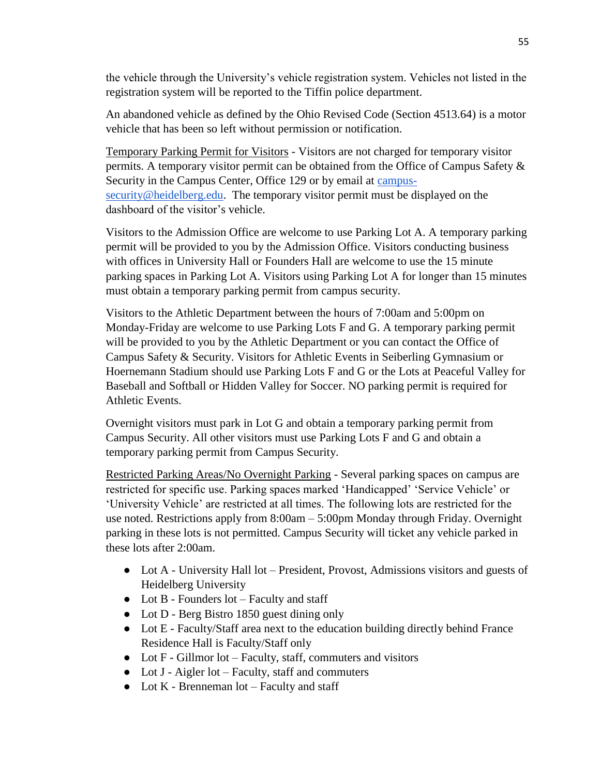the vehicle through the University's vehicle registration system. Vehicles not listed in the registration system will be reported to the Tiffin police department.

An abandoned vehicle as defined by the Ohio Revised Code (Section 4513.64) is a motor vehicle that has been so left without permission or notification.

Temporary Parking Permit for Visitors - Visitors are not charged for temporary visitor permits. A temporary visitor permit can be obtained from the Office of Campus Safety & Security in the Campus Center, Office 129 or by email at [campus](mailto:campus-security@heidelberg.edu)[security@heidelberg.edu.](mailto:campus-security@heidelberg.edu) The temporary visitor permit must be displayed on the dashboard of the visitor's vehicle.

Visitors to the Admission Office are welcome to use Parking Lot A. A temporary parking permit will be provided to you by the Admission Office. Visitors conducting business with offices in University Hall or Founders Hall are welcome to use the 15 minute parking spaces in Parking Lot A. Visitors using Parking Lot A for longer than 15 minutes must obtain a temporary parking permit from campus security.

Visitors to the Athletic Department between the hours of 7:00am and 5:00pm on Monday-Friday are welcome to use Parking Lots F and G. A temporary parking permit will be provided to you by the Athletic Department or you can contact the Office of Campus Safety & Security. Visitors for Athletic Events in Seiberling Gymnasium or Hoernemann Stadium should use Parking Lots F and G or the Lots at Peaceful Valley for Baseball and Softball or Hidden Valley for Soccer. NO parking permit is required for Athletic Events.

Overnight visitors must park in Lot G and obtain a temporary parking permit from Campus Security. All other visitors must use Parking Lots F and G and obtain a temporary parking permit from Campus Security.

Restricted Parking Areas/No Overnight Parking - Several parking spaces on campus are restricted for specific use. Parking spaces marked 'Handicapped' 'Service Vehicle' or 'University Vehicle' are restricted at all times. The following lots are restricted for the use noted. Restrictions apply from 8:00am – 5:00pm Monday through Friday. Overnight parking in these lots is not permitted. Campus Security will ticket any vehicle parked in these lots after 2:00am.

- Lot A University Hall lot President, Provost, Admissions visitors and guests of Heidelberg University
- $\bullet$  Lot B Founders lot Faculty and staff
- Lot D Berg Bistro 1850 guest dining only
- Lot E Faculty/Staff area next to the education building directly behind France Residence Hall is Faculty/Staff only
- Lot F Gillmor lot Faculty, staff, commuters and visitors
- Lot J Aigler lot Faculty, staff and commuters
- $\bullet$  Lot K Brenneman lot Faculty and staff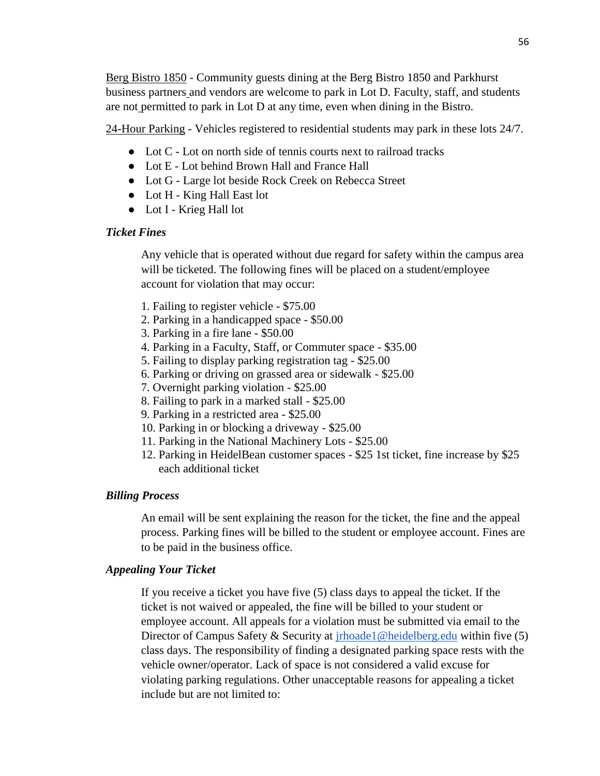Berg Bistro 1850 - Community guests dining at the Berg Bistro 1850 and Parkhurst business partners and vendors are welcome to park in Lot D. Faculty, staff, and students are not permitted to park in Lot D at any time, even when dining in the Bistro.

24-Hour Parking - Vehicles registered to residential students may park in these lots 24/7.

- Lot C Lot on north side of tennis courts next to railroad tracks
- Lot E Lot behind Brown Hall and France Hall
- Lot G Large lot beside Rock Creek on Rebecca Street
- Lot H King Hall East lot
- Lot I Krieg Hall lot

### *Ticket Fines*

Any vehicle that is operated without due regard for safety within the campus area will be ticketed. The following fines will be placed on a student/employee account for violation that may occur:

- 1. Failing to register vehicle \$75.00
- 2. Parking in a handicapped space \$50.00
- 3. Parking in a fire lane \$50.00
- 4. Parking in a Faculty, Staff, or Commuter space \$35.00
- 5. Failing to display parking registration tag \$25.00
- 6. Parking or driving on grassed area or sidewalk \$25.00
- 7. Overnight parking violation \$25.00
- 8. Failing to park in a marked stall \$25.00
- 9. Parking in a restricted area \$25.00
- 10. Parking in or blocking a driveway \$25.00
- 11. Parking in the National Machinery Lots \$25.00
- 12. Parking in HeidelBean customer spaces \$25 1st ticket, fine increase by \$25 each additional ticket

### *Billing Process*

An email will be sent explaining the reason for the ticket, the fine and the appeal process. Parking fines will be billed to the student or employee account. Fines are to be paid in the business office.

### *Appealing Your Ticket*

If you receive a ticket you have five (5) class days to appeal the ticket. If the ticket is not waived or appealed, the fine will be billed to your student or employee account. All appeals for a violation must be submitted via email to the Director of Campus Safety & Security at *irhoade1@heidelberg.edu* within five (5) class days. The responsibility of finding a designated parking space rests with the vehicle owner/operator. Lack of space is not considered a valid excuse for violating parking regulations. Other unacceptable reasons for appealing a ticket include but are not limited to: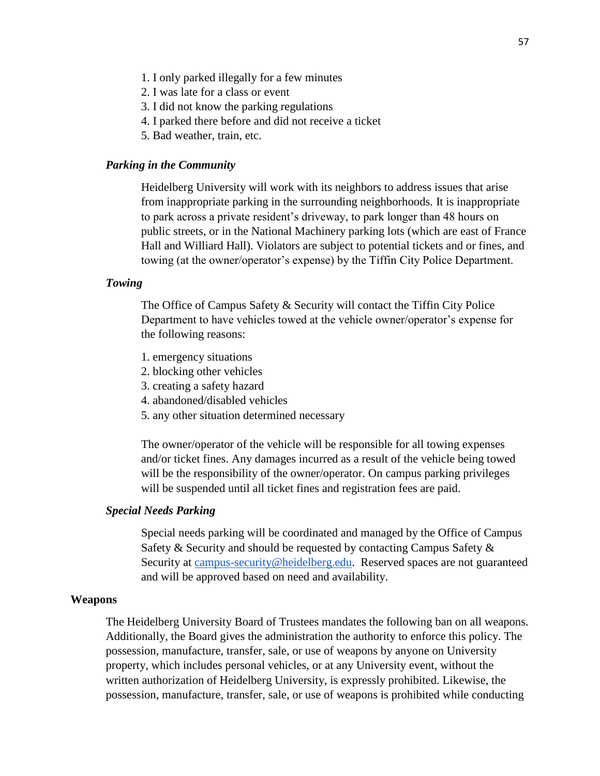- 1. I only parked illegally for a few minutes
- 2. I was late for a class or event
- 3. I did not know the parking regulations
- 4. I parked there before and did not receive a ticket
- 5. Bad weather, train, etc.

#### *Parking in the Community*

Heidelberg University will work with its neighbors to address issues that arise from inappropriate parking in the surrounding neighborhoods. It is inappropriate to park across a private resident's driveway, to park longer than 48 hours on public streets, or in the National Machinery parking lots (which are east of France Hall and Williard Hall). Violators are subject to potential tickets and or fines, and towing (at the owner/operator's expense) by the Tiffin City Police Department.

### *Towing*

The Office of Campus Safety & Security will contact the Tiffin City Police Department to have vehicles towed at the vehicle owner/operator's expense for the following reasons:

- 1. emergency situations
- 2. blocking other vehicles
- 3. creating a safety hazard
- 4. abandoned/disabled vehicles
- 5. any other situation determined necessary

The owner/operator of the vehicle will be responsible for all towing expenses and/or ticket fines. Any damages incurred as a result of the vehicle being towed will be the responsibility of the owner/operator. On campus parking privileges will be suspended until all ticket fines and registration fees are paid.

#### *Special Needs Parking*

Special needs parking will be coordinated and managed by the Office of Campus Safety & Security and should be requested by contacting Campus Safety & Security at [campus-security@heidelberg.edu.](mailto:campus-security@heidelberg.edu) Reserved spaces are not guaranteed and will be approved based on need and availability.

### **Weapons**

The Heidelberg University Board of Trustees mandates the following ban on all weapons. Additionally, the Board gives the administration the authority to enforce this policy. The possession, manufacture, transfer, sale, or use of weapons by anyone on University property, which includes personal vehicles, or at any University event, without the written authorization of Heidelberg University, is expressly prohibited. Likewise, the possession, manufacture, transfer, sale, or use of weapons is prohibited while conducting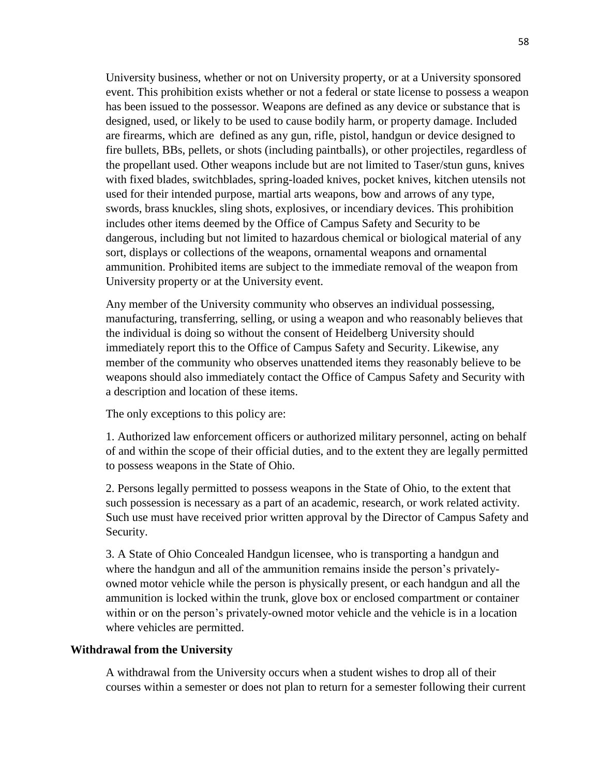University business, whether or not on University property, or at a University sponsored event. This prohibition exists whether or not a federal or state license to possess a weapon has been issued to the possessor. Weapons are defined as any device or substance that is designed, used, or likely to be used to cause bodily harm, or property damage. Included are firearms, which are defined as any gun, rifle, pistol, handgun or device designed to fire bullets, BBs, pellets, or shots (including paintballs), or other projectiles, regardless of the propellant used. Other weapons include but are not limited to Taser/stun guns, knives with fixed blades, switchblades, spring-loaded knives, pocket knives, kitchen utensils not used for their intended purpose, martial arts weapons, bow and arrows of any type, swords, brass knuckles, sling shots, explosives, or incendiary devices. This prohibition includes other items deemed by the Office of Campus Safety and Security to be dangerous, including but not limited to hazardous chemical or biological material of any sort, displays or collections of the weapons, ornamental weapons and ornamental ammunition. Prohibited items are subject to the immediate removal of the weapon from University property or at the University event.

Any member of the University community who observes an individual possessing, manufacturing, transferring, selling, or using a weapon and who reasonably believes that the individual is doing so without the consent of Heidelberg University should immediately report this to the Office of Campus Safety and Security. Likewise, any member of the community who observes unattended items they reasonably believe to be weapons should also immediately contact the Office of Campus Safety and Security with a description and location of these items.

The only exceptions to this policy are:

1. Authorized law enforcement officers or authorized military personnel, acting on behalf of and within the scope of their official duties, and to the extent they are legally permitted to possess weapons in the State of Ohio.

2. Persons legally permitted to possess weapons in the State of Ohio, to the extent that such possession is necessary as a part of an academic, research, or work related activity. Such use must have received prior written approval by the Director of Campus Safety and Security.

3. A State of Ohio Concealed Handgun licensee, who is transporting a handgun and where the handgun and all of the ammunition remains inside the person's privatelyowned motor vehicle while the person is physically present, or each handgun and all the ammunition is locked within the trunk, glove box or enclosed compartment or container within or on the person's privately-owned motor vehicle and the vehicle is in a location where vehicles are permitted.

#### **Withdrawal from the University**

A withdrawal from the University occurs when a student wishes to drop all of their courses within a semester or does not plan to return for a semester following their current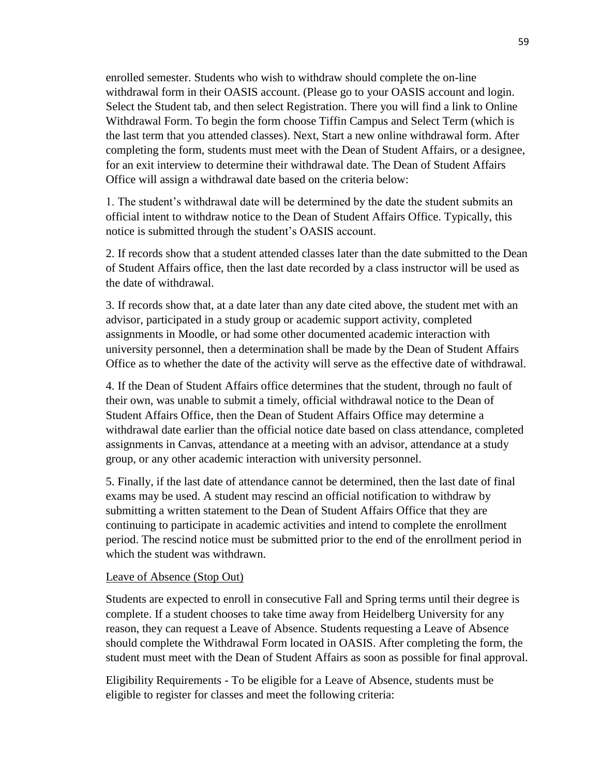enrolled semester. Students who wish to withdraw should complete the on-line withdrawal form in their OASIS account. (Please go to your OASIS account and login. Select the Student tab, and then select Registration. There you will find a link to Online Withdrawal Form. To begin the form choose Tiffin Campus and Select Term (which is the last term that you attended classes). Next, Start a new online withdrawal form. After completing the form, students must meet with the Dean of Student Affairs, or a designee, for an exit interview to determine their withdrawal date. The Dean of Student Affairs Office will assign a withdrawal date based on the criteria below:

1. The student's withdrawal date will be determined by the date the student submits an official intent to withdraw notice to the Dean of Student Affairs Office. Typically, this notice is submitted through the student's OASIS account.

2. If records show that a student attended classes later than the date submitted to the Dean of Student Affairs office, then the last date recorded by a class instructor will be used as the date of withdrawal.

3. If records show that, at a date later than any date cited above, the student met with an advisor, participated in a study group or academic support activity, completed assignments in Moodle, or had some other documented academic interaction with university personnel, then a determination shall be made by the Dean of Student Affairs Office as to whether the date of the activity will serve as the effective date of withdrawal.

4. If the Dean of Student Affairs office determines that the student, through no fault of their own, was unable to submit a timely, official withdrawal notice to the Dean of Student Affairs Office, then the Dean of Student Affairs Office may determine a withdrawal date earlier than the official notice date based on class attendance, completed assignments in Canvas, attendance at a meeting with an advisor, attendance at a study group, or any other academic interaction with university personnel.

5. Finally, if the last date of attendance cannot be determined, then the last date of final exams may be used. A student may rescind an official notification to withdraw by submitting a written statement to the Dean of Student Affairs Office that they are continuing to participate in academic activities and intend to complete the enrollment period. The rescind notice must be submitted prior to the end of the enrollment period in which the student was withdrawn.

### Leave of Absence (Stop Out)

Students are expected to enroll in consecutive Fall and Spring terms until their degree is complete. If a student chooses to take time away from Heidelberg University for any reason, they can request a Leave of Absence. Students requesting a Leave of Absence should complete the Withdrawal Form located in OASIS. After completing the form, the student must meet with the Dean of Student Affairs as soon as possible for final approval.

Eligibility Requirements - To be eligible for a Leave of Absence, students must be eligible to register for classes and meet the following criteria: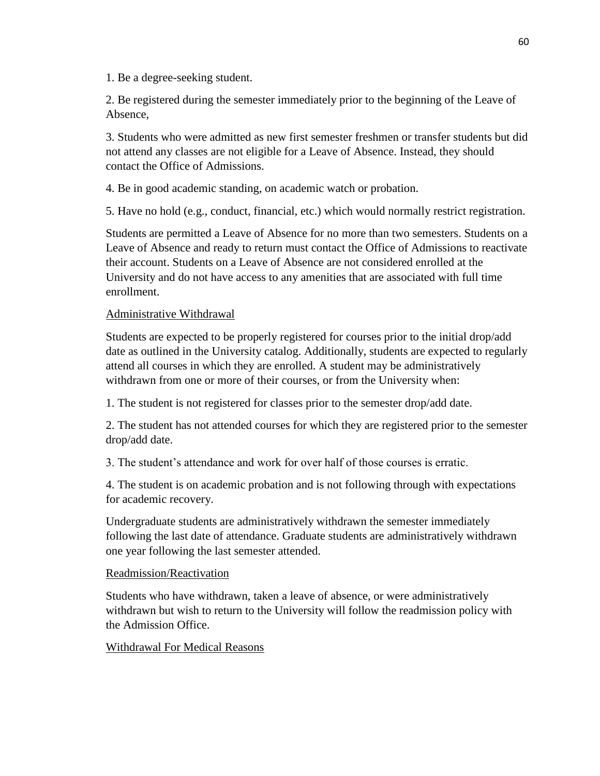1. Be a degree-seeking student.

2. Be registered during the semester immediately prior to the beginning of the Leave of Absence,

3. Students who were admitted as new first semester freshmen or transfer students but did not attend any classes are not eligible for a Leave of Absence. Instead, they should contact the Office of Admissions.

4. Be in good academic standing, on academic watch or probation.

5. Have no hold (e.g., conduct, financial, etc.) which would normally restrict registration.

Students are permitted a Leave of Absence for no more than two semesters. Students on a Leave of Absence and ready to return must contact the Office of Admissions to reactivate their account. Students on a Leave of Absence are not considered enrolled at the University and do not have access to any amenities that are associated with full time enrollment.

### Administrative Withdrawal

Students are expected to be properly registered for courses prior to the initial drop/add date as outlined in the University catalog. Additionally, students are expected to regularly attend all courses in which they are enrolled. A student may be administratively withdrawn from one or more of their courses, or from the University when:

1. The student is not registered for classes prior to the semester drop/add date.

2. The student has not attended courses for which they are registered prior to the semester drop/add date.

3. The student's attendance and work for over half of those courses is erratic.

4. The student is on academic probation and is not following through with expectations for academic recovery.

Undergraduate students are administratively withdrawn the semester immediately following the last date of attendance. Graduate students are administratively withdrawn one year following the last semester attended.

### Readmission/Reactivation

Students who have withdrawn, taken a leave of absence, or were administratively withdrawn but wish to return to the University will follow the readmission policy with the Admission Office.

### Withdrawal For Medical Reasons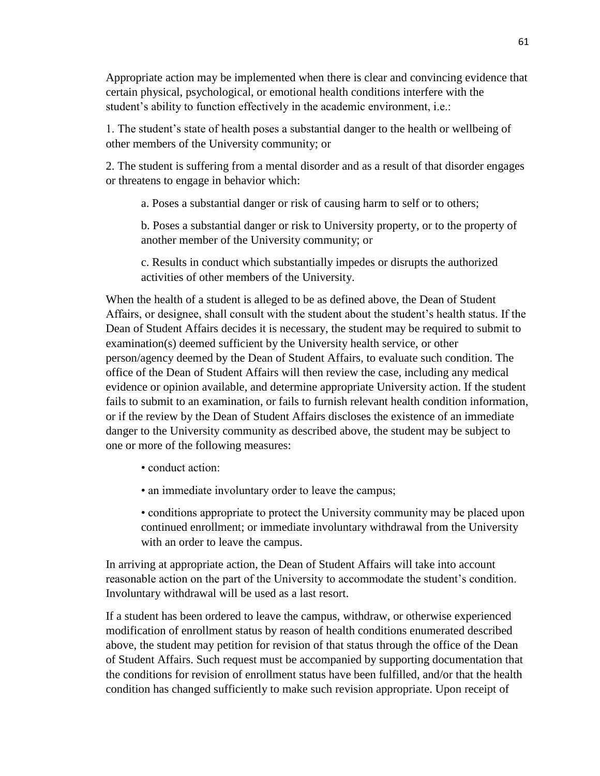Appropriate action may be implemented when there is clear and convincing evidence that certain physical, psychological, or emotional health conditions interfere with the student's ability to function effectively in the academic environment, i.e.:

1. The student's state of health poses a substantial danger to the health or wellbeing of other members of the University community; or

2. The student is suffering from a mental disorder and as a result of that disorder engages or threatens to engage in behavior which:

a. Poses a substantial danger or risk of causing harm to self or to others;

b. Poses a substantial danger or risk to University property, or to the property of another member of the University community; or

c. Results in conduct which substantially impedes or disrupts the authorized activities of other members of the University.

When the health of a student is alleged to be as defined above, the Dean of Student Affairs, or designee, shall consult with the student about the student's health status. If the Dean of Student Affairs decides it is necessary, the student may be required to submit to examination(s) deemed sufficient by the University health service, or other person/agency deemed by the Dean of Student Affairs, to evaluate such condition. The office of the Dean of Student Affairs will then review the case, including any medical evidence or opinion available, and determine appropriate University action. If the student fails to submit to an examination, or fails to furnish relevant health condition information, or if the review by the Dean of Student Affairs discloses the existence of an immediate danger to the University community as described above, the student may be subject to one or more of the following measures:

• conduct action:

• an immediate involuntary order to leave the campus;

• conditions appropriate to protect the University community may be placed upon continued enrollment; or immediate involuntary withdrawal from the University with an order to leave the campus.

In arriving at appropriate action, the Dean of Student Affairs will take into account reasonable action on the part of the University to accommodate the student's condition. Involuntary withdrawal will be used as a last resort.

If a student has been ordered to leave the campus, withdraw, or otherwise experienced modification of enrollment status by reason of health conditions enumerated described above, the student may petition for revision of that status through the office of the Dean of Student Affairs. Such request must be accompanied by supporting documentation that the conditions for revision of enrollment status have been fulfilled, and/or that the health condition has changed sufficiently to make such revision appropriate. Upon receipt of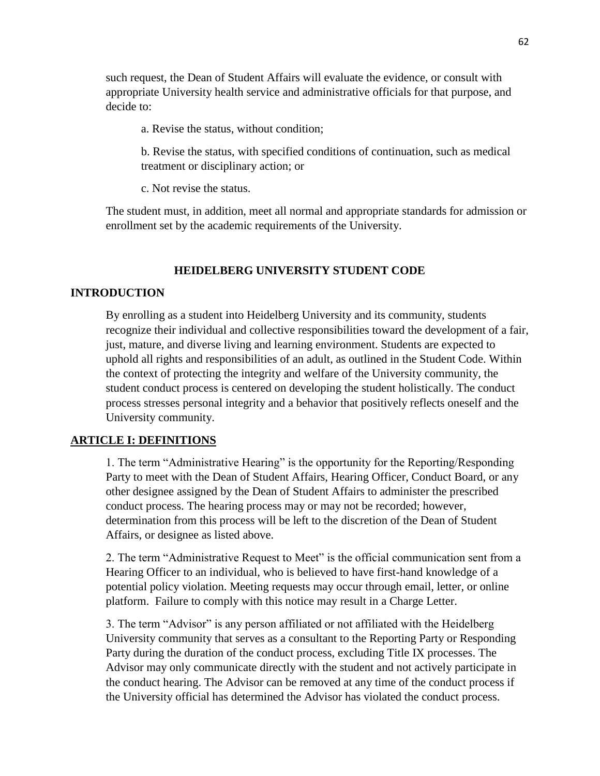such request, the Dean of Student Affairs will evaluate the evidence, or consult with appropriate University health service and administrative officials for that purpose, and decide to:

a. Revise the status, without condition;

b. Revise the status, with specified conditions of continuation, such as medical treatment or disciplinary action; or

c. Not revise the status.

The student must, in addition, meet all normal and appropriate standards for admission or enrollment set by the academic requirements of the University.

### **HEIDELBERG UNIVERSITY STUDENT CODE**

### **INTRODUCTION**

By enrolling as a student into Heidelberg University and its community, students recognize their individual and collective responsibilities toward the development of a fair, just, mature, and diverse living and learning environment. Students are expected to uphold all rights and responsibilities of an adult, as outlined in the Student Code. Within the context of protecting the integrity and welfare of the University community, the student conduct process is centered on developing the student holistically. The conduct process stresses personal integrity and a behavior that positively reflects oneself and the University community.

#### **ARTICLE I: DEFINITIONS**

1. The term "Administrative Hearing" is the opportunity for the Reporting/Responding Party to meet with the Dean of Student Affairs, Hearing Officer, Conduct Board, or any other designee assigned by the Dean of Student Affairs to administer the prescribed conduct process. The hearing process may or may not be recorded; however, determination from this process will be left to the discretion of the Dean of Student Affairs, or designee as listed above.

2. The term "Administrative Request to Meet" is the official communication sent from a Hearing Officer to an individual, who is believed to have first-hand knowledge of a potential policy violation. Meeting requests may occur through email, letter, or online platform. Failure to comply with this notice may result in a Charge Letter.

3. The term "Advisor" is any person affiliated or not affiliated with the Heidelberg University community that serves as a consultant to the Reporting Party or Responding Party during the duration of the conduct process, excluding Title IX processes. The Advisor may only communicate directly with the student and not actively participate in the conduct hearing. The Advisor can be removed at any time of the conduct process if the University official has determined the Advisor has violated the conduct process.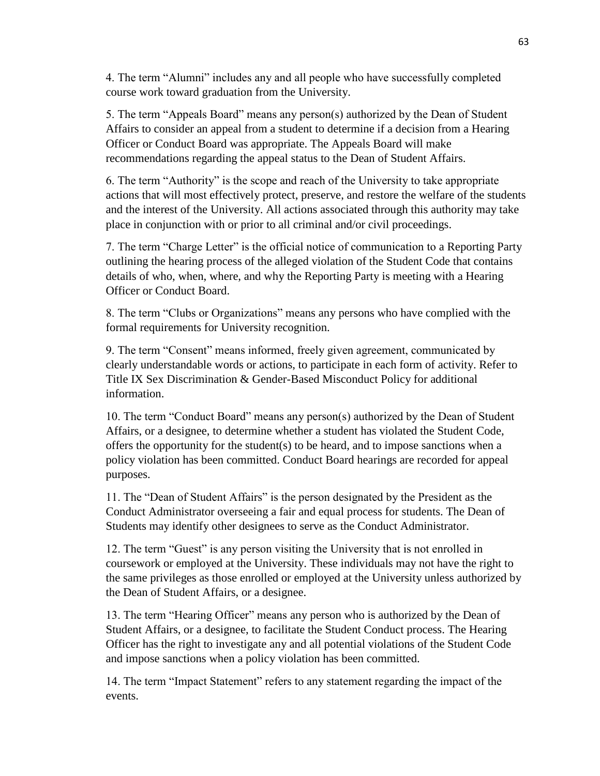4. The term "Alumni" includes any and all people who have successfully completed course work toward graduation from the University.

5. The term "Appeals Board" means any person(s) authorized by the Dean of Student Affairs to consider an appeal from a student to determine if a decision from a Hearing Officer or Conduct Board was appropriate. The Appeals Board will make recommendations regarding the appeal status to the Dean of Student Affairs.

6. The term "Authority" is the scope and reach of the University to take appropriate actions that will most effectively protect, preserve, and restore the welfare of the students and the interest of the University. All actions associated through this authority may take place in conjunction with or prior to all criminal and/or civil proceedings.

7. The term "Charge Letter" is the official notice of communication to a Reporting Party outlining the hearing process of the alleged violation of the Student Code that contains details of who, when, where, and why the Reporting Party is meeting with a Hearing Officer or Conduct Board.

8. The term "Clubs or Organizations" means any persons who have complied with the formal requirements for University recognition.

9. The term "Consent" means informed, freely given agreement, communicated by clearly understandable words or actions, to participate in each form of activity. Refer to Title IX Sex Discrimination & Gender-Based Misconduct Policy for additional information.

10. The term "Conduct Board" means any person(s) authorized by the Dean of Student Affairs, or a designee, to determine whether a student has violated the Student Code, offers the opportunity for the student(s) to be heard, and to impose sanctions when a policy violation has been committed. Conduct Board hearings are recorded for appeal purposes.

11. The "Dean of Student Affairs" is the person designated by the President as the Conduct Administrator overseeing a fair and equal process for students. The Dean of Students may identify other designees to serve as the Conduct Administrator.

12. The term "Guest" is any person visiting the University that is not enrolled in coursework or employed at the University. These individuals may not have the right to the same privileges as those enrolled or employed at the University unless authorized by the Dean of Student Affairs, or a designee.

13. The term "Hearing Officer" means any person who is authorized by the Dean of Student Affairs, or a designee, to facilitate the Student Conduct process. The Hearing Officer has the right to investigate any and all potential violations of the Student Code and impose sanctions when a policy violation has been committed.

14. The term "Impact Statement" refers to any statement regarding the impact of the events.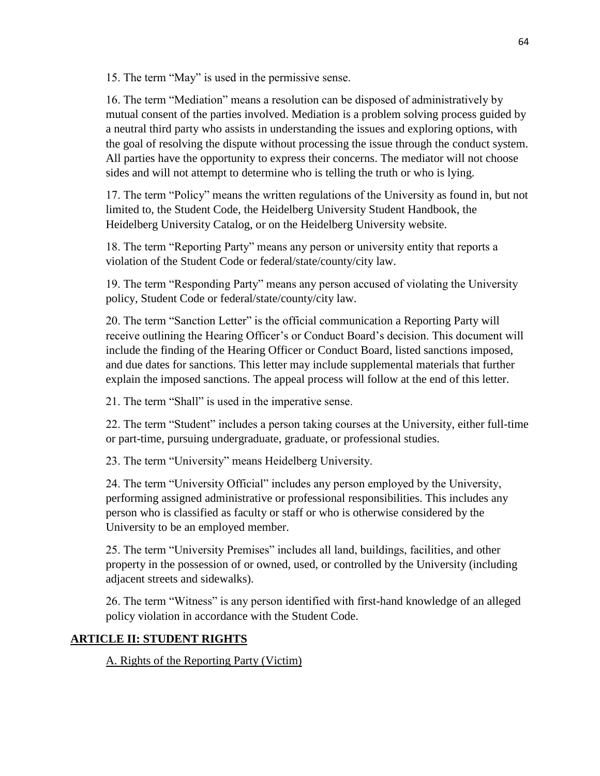15. The term "May" is used in the permissive sense.

16. The term "Mediation" means a resolution can be disposed of administratively by mutual consent of the parties involved. Mediation is a problem solving process guided by a neutral third party who assists in understanding the issues and exploring options, with the goal of resolving the dispute without processing the issue through the conduct system. All parties have the opportunity to express their concerns. The mediator will not choose sides and will not attempt to determine who is telling the truth or who is lying.

17. The term "Policy" means the written regulations of the University as found in, but not limited to, the Student Code, the Heidelberg University Student Handbook, the Heidelberg University Catalog, or on the Heidelberg University website.

18. The term "Reporting Party" means any person or university entity that reports a violation of the Student Code or federal/state/county/city law.

19. The term "Responding Party" means any person accused of violating the University policy, Student Code or federal/state/county/city law.

20. The term "Sanction Letter" is the official communication a Reporting Party will receive outlining the Hearing Officer's or Conduct Board's decision. This document will include the finding of the Hearing Officer or Conduct Board, listed sanctions imposed, and due dates for sanctions. This letter may include supplemental materials that further explain the imposed sanctions. The appeal process will follow at the end of this letter.

21. The term "Shall" is used in the imperative sense.

22. The term "Student" includes a person taking courses at the University, either full-time or part-time, pursuing undergraduate, graduate, or professional studies.

23. The term "University" means Heidelberg University.

24. The term "University Official" includes any person employed by the University, performing assigned administrative or professional responsibilities. This includes any person who is classified as faculty or staff or who is otherwise considered by the University to be an employed member.

25. The term "University Premises" includes all land, buildings, facilities, and other property in the possession of or owned, used, or controlled by the University (including adjacent streets and sidewalks).

26. The term "Witness" is any person identified with first-hand knowledge of an alleged policy violation in accordance with the Student Code.

# **ARTICLE II: STUDENT RIGHTS**

A. Rights of the Reporting Party (Victim)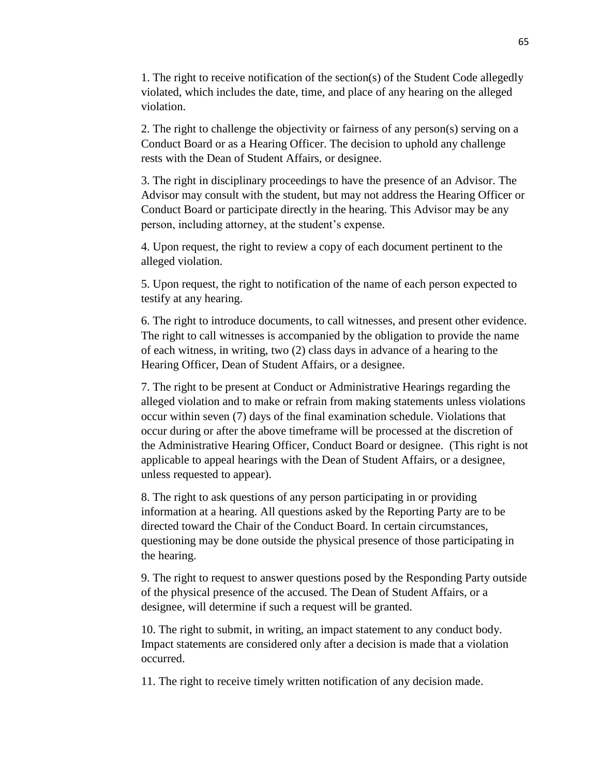1. The right to receive notification of the section(s) of the Student Code allegedly violated, which includes the date, time, and place of any hearing on the alleged violation.

2. The right to challenge the objectivity or fairness of any person(s) serving on a Conduct Board or as a Hearing Officer. The decision to uphold any challenge rests with the Dean of Student Affairs, or designee.

3. The right in disciplinary proceedings to have the presence of an Advisor. The Advisor may consult with the student, but may not address the Hearing Officer or Conduct Board or participate directly in the hearing. This Advisor may be any person, including attorney, at the student's expense.

4. Upon request, the right to review a copy of each document pertinent to the alleged violation.

5. Upon request, the right to notification of the name of each person expected to testify at any hearing.

6. The right to introduce documents, to call witnesses, and present other evidence. The right to call witnesses is accompanied by the obligation to provide the name of each witness, in writing, two (2) class days in advance of a hearing to the Hearing Officer, Dean of Student Affairs, or a designee.

7. The right to be present at Conduct or Administrative Hearings regarding the alleged violation and to make or refrain from making statements unless violations occur within seven (7) days of the final examination schedule. Violations that occur during or after the above timeframe will be processed at the discretion of the Administrative Hearing Officer, Conduct Board or designee. (This right is not applicable to appeal hearings with the Dean of Student Affairs, or a designee, unless requested to appear).

8. The right to ask questions of any person participating in or providing information at a hearing. All questions asked by the Reporting Party are to be directed toward the Chair of the Conduct Board. In certain circumstances, questioning may be done outside the physical presence of those participating in the hearing.

9. The right to request to answer questions posed by the Responding Party outside of the physical presence of the accused. The Dean of Student Affairs, or a designee, will determine if such a request will be granted.

10. The right to submit, in writing, an impact statement to any conduct body. Impact statements are considered only after a decision is made that a violation occurred.

11. The right to receive timely written notification of any decision made.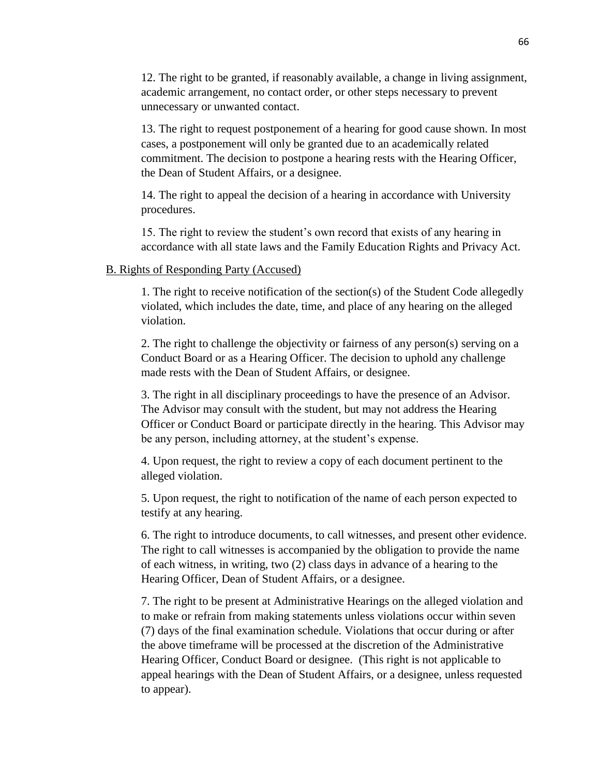12. The right to be granted, if reasonably available, a change in living assignment, academic arrangement, no contact order, or other steps necessary to prevent unnecessary or unwanted contact.

13. The right to request postponement of a hearing for good cause shown. In most cases, a postponement will only be granted due to an academically related commitment. The decision to postpone a hearing rests with the Hearing Officer, the Dean of Student Affairs, or a designee.

14. The right to appeal the decision of a hearing in accordance with University procedures.

15. The right to review the student's own record that exists of any hearing in accordance with all state laws and the Family Education Rights and Privacy Act.

### B. Rights of Responding Party (Accused)

1. The right to receive notification of the section(s) of the Student Code allegedly violated, which includes the date, time, and place of any hearing on the alleged violation.

2. The right to challenge the objectivity or fairness of any person(s) serving on a Conduct Board or as a Hearing Officer. The decision to uphold any challenge made rests with the Dean of Student Affairs, or designee.

3. The right in all disciplinary proceedings to have the presence of an Advisor. The Advisor may consult with the student, but may not address the Hearing Officer or Conduct Board or participate directly in the hearing. This Advisor may be any person, including attorney, at the student's expense.

4. Upon request, the right to review a copy of each document pertinent to the alleged violation.

5. Upon request, the right to notification of the name of each person expected to testify at any hearing.

6. The right to introduce documents, to call witnesses, and present other evidence. The right to call witnesses is accompanied by the obligation to provide the name of each witness, in writing, two (2) class days in advance of a hearing to the Hearing Officer, Dean of Student Affairs, or a designee.

7. The right to be present at Administrative Hearings on the alleged violation and to make or refrain from making statements unless violations occur within seven (7) days of the final examination schedule. Violations that occur during or after the above timeframe will be processed at the discretion of the Administrative Hearing Officer, Conduct Board or designee. (This right is not applicable to appeal hearings with the Dean of Student Affairs, or a designee, unless requested to appear).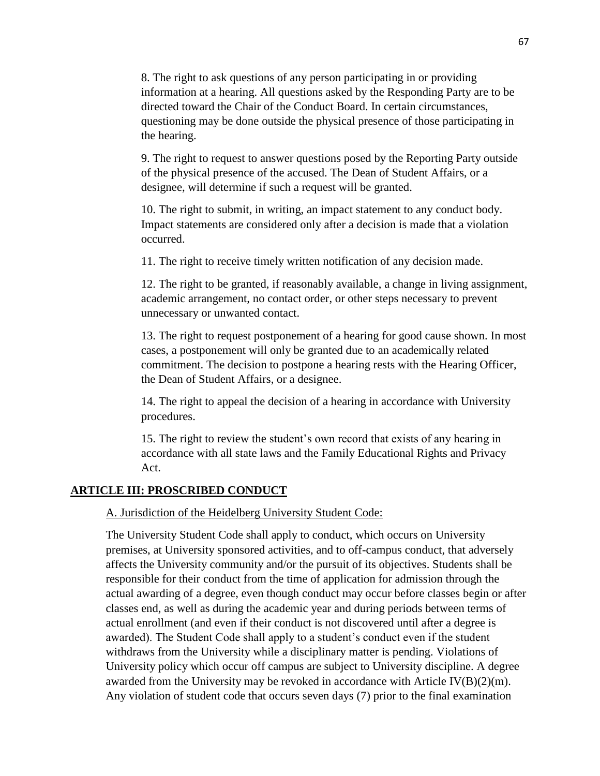8. The right to ask questions of any person participating in or providing information at a hearing. All questions asked by the Responding Party are to be directed toward the Chair of the Conduct Board. In certain circumstances, questioning may be done outside the physical presence of those participating in the hearing.

9. The right to request to answer questions posed by the Reporting Party outside of the physical presence of the accused. The Dean of Student Affairs, or a designee, will determine if such a request will be granted.

10. The right to submit, in writing, an impact statement to any conduct body. Impact statements are considered only after a decision is made that a violation occurred.

11. The right to receive timely written notification of any decision made.

12. The right to be granted, if reasonably available, a change in living assignment, academic arrangement, no contact order, or other steps necessary to prevent unnecessary or unwanted contact.

13. The right to request postponement of a hearing for good cause shown. In most cases, a postponement will only be granted due to an academically related commitment. The decision to postpone a hearing rests with the Hearing Officer, the Dean of Student Affairs, or a designee.

14. The right to appeal the decision of a hearing in accordance with University procedures.

15. The right to review the student's own record that exists of any hearing in accordance with all state laws and the Family Educational Rights and Privacy Act.

### **ARTICLE III: PROSCRIBED CONDUCT**

A. Jurisdiction of the Heidelberg University Student Code:

The University Student Code shall apply to conduct, which occurs on University premises, at University sponsored activities, and to off-campus conduct, that adversely affects the University community and/or the pursuit of its objectives. Students shall be responsible for their conduct from the time of application for admission through the actual awarding of a degree, even though conduct may occur before classes begin or after classes end, as well as during the academic year and during periods between terms of actual enrollment (and even if their conduct is not discovered until after a degree is awarded). The Student Code shall apply to a student's conduct even if the student withdraws from the University while a disciplinary matter is pending. Violations of University policy which occur off campus are subject to University discipline. A degree awarded from the University may be revoked in accordance with Article IV(B)(2)(m). Any violation of student code that occurs seven days (7) prior to the final examination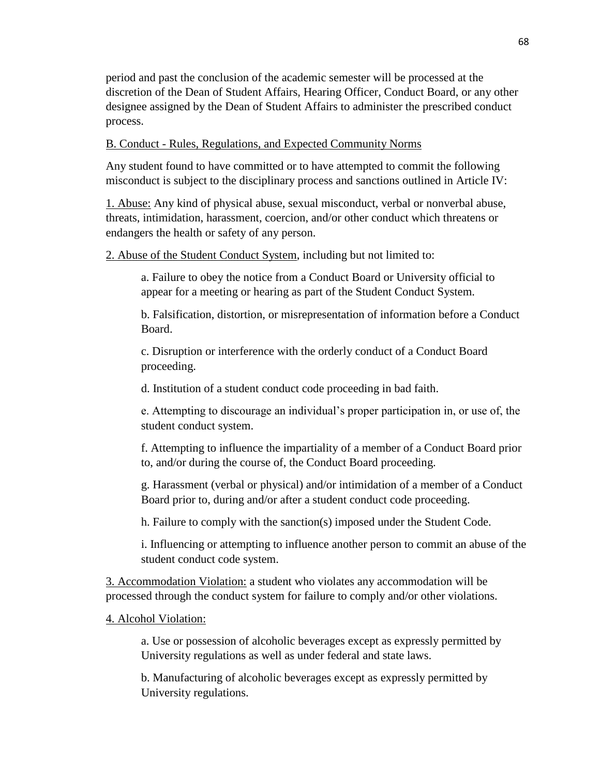period and past the conclusion of the academic semester will be processed at the discretion of the Dean of Student Affairs, Hearing Officer, Conduct Board, or any other designee assigned by the Dean of Student Affairs to administer the prescribed conduct process.

B. Conduct - Rules, Regulations, and Expected Community Norms

Any student found to have committed or to have attempted to commit the following misconduct is subject to the disciplinary process and sanctions outlined in Article IV:

1. Abuse: Any kind of physical abuse, sexual misconduct, verbal or nonverbal abuse, threats, intimidation, harassment, coercion, and/or other conduct which threatens or endangers the health or safety of any person.

2. Abuse of the Student Conduct System, including but not limited to:

a. Failure to obey the notice from a Conduct Board or University official to appear for a meeting or hearing as part of the Student Conduct System.

b. Falsification, distortion, or misrepresentation of information before a Conduct Board.

c. Disruption or interference with the orderly conduct of a Conduct Board proceeding.

d. Institution of a student conduct code proceeding in bad faith.

e. Attempting to discourage an individual's proper participation in, or use of, the student conduct system.

f. Attempting to influence the impartiality of a member of a Conduct Board prior to, and/or during the course of, the Conduct Board proceeding.

g. Harassment (verbal or physical) and/or intimidation of a member of a Conduct Board prior to, during and/or after a student conduct code proceeding.

h. Failure to comply with the sanction(s) imposed under the Student Code.

i. Influencing or attempting to influence another person to commit an abuse of the student conduct code system.

3. Accommodation Violation: a student who violates any accommodation will be processed through the conduct system for failure to comply and/or other violations.

4. Alcohol Violation:

a. Use or possession of alcoholic beverages except as expressly permitted by University regulations as well as under federal and state laws.

b. Manufacturing of alcoholic beverages except as expressly permitted by University regulations.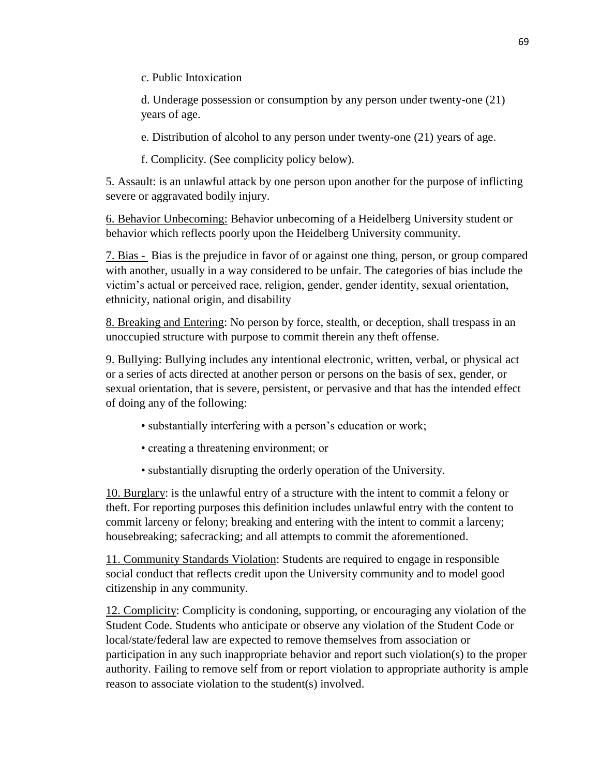c. Public Intoxication

d. Underage possession or consumption by any person under twenty-one (21) years of age.

e. Distribution of alcohol to any person under twenty-one (21) years of age.

f. Complicity. (See complicity policy below).

5. Assault: is an unlawful attack by one person upon another for the purpose of inflicting severe or aggravated bodily injury.

6. Behavior Unbecoming: Behavior unbecoming of a Heidelberg University student or behavior which reflects poorly upon the Heidelberg University community.

7. Bias - Bias is the prejudice in favor of or against one thing, person, or group compared with another, usually in a way considered to be unfair. The categories of bias include the victim's actual or perceived race, religion, gender, gender identity, sexual orientation, ethnicity, national origin, and disability

8. Breaking and Entering: No person by force, stealth, or deception, shall trespass in an unoccupied structure with purpose to commit therein any theft offense.

9. Bullying: Bullying includes any intentional electronic, written, verbal, or physical act or a series of acts directed at another person or persons on the basis of sex, gender, or sexual orientation, that is severe, persistent, or pervasive and that has the intended effect of doing any of the following:

- substantially interfering with a person's education or work;
- creating a threatening environment; or
- substantially disrupting the orderly operation of the University.

10. Burglary: is the unlawful entry of a structure with the intent to commit a felony or theft. For reporting purposes this definition includes unlawful entry with the content to commit larceny or felony; breaking and entering with the intent to commit a larceny; housebreaking; safecracking; and all attempts to commit the aforementioned.

11. Community Standards Violation: Students are required to engage in responsible social conduct that reflects credit upon the University community and to model good citizenship in any community.

12. Complicity: Complicity is condoning, supporting, or encouraging any violation of the Student Code. Students who anticipate or observe any violation of the Student Code or local/state/federal law are expected to remove themselves from association or participation in any such inappropriate behavior and report such violation(s) to the proper authority. Failing to remove self from or report violation to appropriate authority is ample reason to associate violation to the student(s) involved.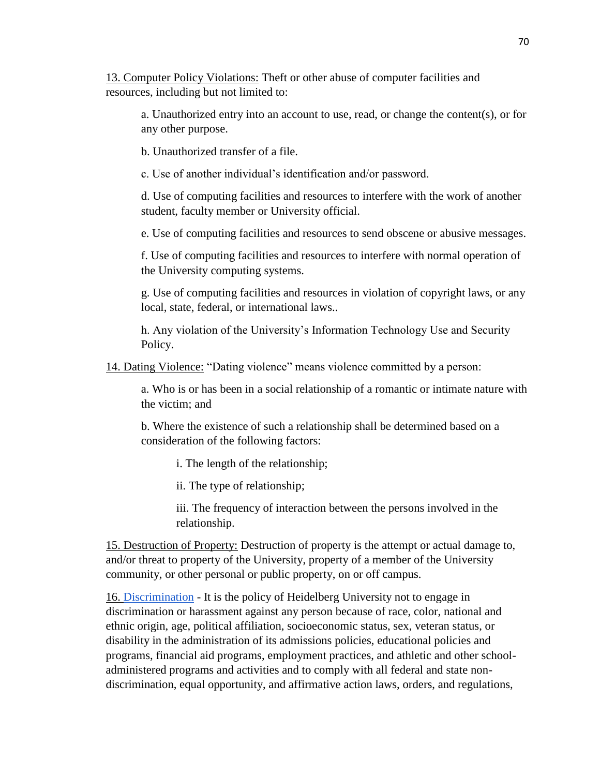13. Computer Policy Violations: Theft or other abuse of computer facilities and resources, including but not limited to:

a. Unauthorized entry into an account to use, read, or change the content(s), or for any other purpose.

b. Unauthorized transfer of a file.

c. Use of another individual's identification and/or password.

d. Use of computing facilities and resources to interfere with the work of another student, faculty member or University official.

e. Use of computing facilities and resources to send obscene or abusive messages.

f. Use of computing facilities and resources to interfere with normal operation of the University computing systems.

g. Use of computing facilities and resources in violation of copyright laws, or any local, state, federal, or international laws..

h. Any violation of the University's Information Technology Use and Security Policy.

14. Dating Violence: "Dating violence" means violence committed by a person:

a. Who is or has been in a social relationship of a romantic or intimate nature with the victim; and

b. Where the existence of such a relationship shall be determined based on a consideration of the following factors:

i. The length of the relationship;

ii. The type of relationship;

iii. The frequency of interaction between the persons involved in the relationship.

15. Destruction of Property: Destruction of property is the attempt or actual damage to, and/or threat to property of the University, property of a member of the University community, or other personal or public property, on or off campus.

16. [Discrimination](https://www.heidelberg.edu/sites/default/files/FINAL%20-%202020%20Heidelberg%20Sex%20Discrimination%20Policy%20%281%29.pdf) - It is the policy of Heidelberg University not to engage in discrimination or harassment against any person because of race, color, national and ethnic origin, age, political affiliation, socioeconomic status, sex, veteran status, or disability in the administration of its admissions policies, educational policies and programs, financial aid programs, employment practices, and athletic and other schooladministered programs and activities and to comply with all federal and state nondiscrimination, equal opportunity, and affirmative action laws, orders, and regulations,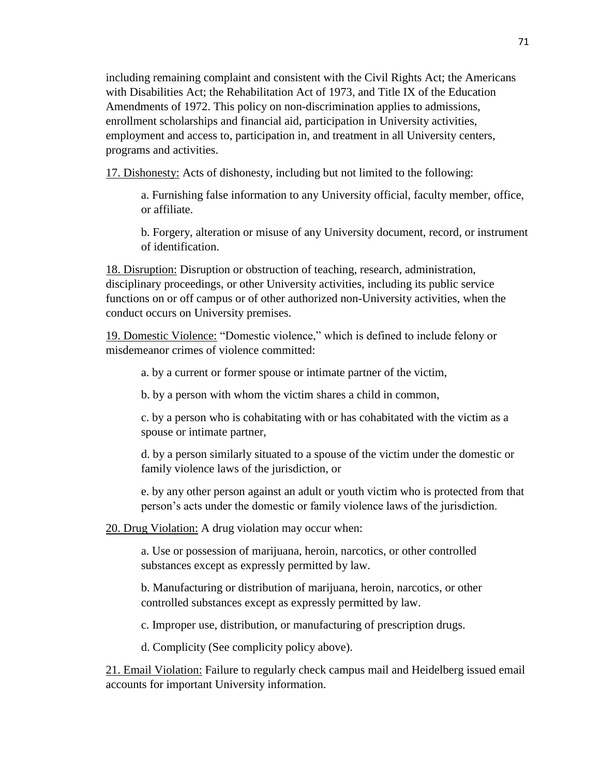including remaining complaint and consistent with the Civil Rights Act; the Americans with Disabilities Act; the Rehabilitation Act of 1973, and Title IX of the Education Amendments of 1972. This policy on non-discrimination applies to admissions, enrollment scholarships and financial aid, participation in University activities, employment and access to, participation in, and treatment in all University centers, programs and activities.

17. Dishonesty: Acts of dishonesty, including but not limited to the following:

a. Furnishing false information to any University official, faculty member, office, or affiliate.

b. Forgery, alteration or misuse of any University document, record, or instrument of identification.

18. Disruption: Disruption or obstruction of teaching, research, administration, disciplinary proceedings, or other University activities, including its public service functions on or off campus or of other authorized non-University activities, when the conduct occurs on University premises.

19. Domestic Violence: "Domestic violence," which is defined to include felony or misdemeanor crimes of violence committed:

a. by a current or former spouse or intimate partner of the victim,

b. by a person with whom the victim shares a child in common,

c. by a person who is cohabitating with or has cohabitated with the victim as a spouse or intimate partner,

d. by a person similarly situated to a spouse of the victim under the domestic or family violence laws of the jurisdiction, or

e. by any other person against an adult or youth victim who is protected from that person's acts under the domestic or family violence laws of the jurisdiction.

20. Drug Violation: A drug violation may occur when:

a. Use or possession of marijuana, heroin, narcotics, or other controlled substances except as expressly permitted by law.

b. Manufacturing or distribution of marijuana, heroin, narcotics, or other controlled substances except as expressly permitted by law.

c. Improper use, distribution, or manufacturing of prescription drugs.

d. Complicity (See complicity policy above).

21. Email Violation: Failure to regularly check campus mail and Heidelberg issued email accounts for important University information.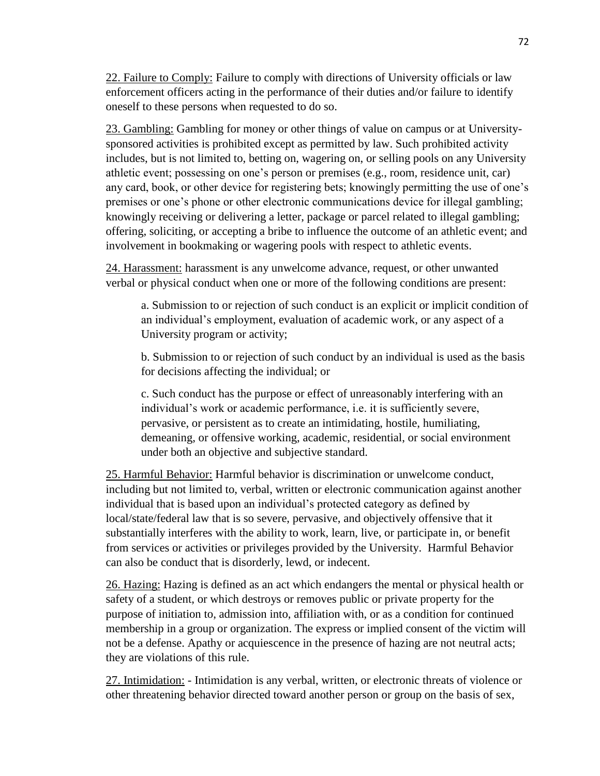22. Failure to Comply: Failure to comply with directions of University officials or law enforcement officers acting in the performance of their duties and/or failure to identify oneself to these persons when requested to do so.

23. Gambling: Gambling for money or other things of value on campus or at Universitysponsored activities is prohibited except as permitted by law. Such prohibited activity includes, but is not limited to, betting on, wagering on, or selling pools on any University athletic event; possessing on one's person or premises (e.g., room, residence unit, car) any card, book, or other device for registering bets; knowingly permitting the use of one's premises or one's phone or other electronic communications device for illegal gambling; knowingly receiving or delivering a letter, package or parcel related to illegal gambling; offering, soliciting, or accepting a bribe to influence the outcome of an athletic event; and involvement in bookmaking or wagering pools with respect to athletic events.

24. Harassment: harassment is any unwelcome advance, request, or other unwanted verbal or physical conduct when one or more of the following conditions are present:

a. Submission to or rejection of such conduct is an explicit or implicit condition of an individual's employment, evaluation of academic work, or any aspect of a University program or activity;

b. Submission to or rejection of such conduct by an individual is used as the basis for decisions affecting the individual; or

c. Such conduct has the purpose or effect of unreasonably interfering with an individual's work or academic performance, i.e. it is sufficiently severe, pervasive, or persistent as to create an intimidating, hostile, humiliating, demeaning, or offensive working, academic, residential, or social environment under both an objective and subjective standard.

25. Harmful Behavior: Harmful behavior is discrimination or unwelcome conduct, including but not limited to, verbal, written or electronic communication against another individual that is based upon an individual's protected category as defined by local/state/federal law that is so severe, pervasive, and objectively offensive that it substantially interferes with the ability to work, learn, live, or participate in, or benefit from services or activities or privileges provided by the University. Harmful Behavior can also be conduct that is disorderly, lewd, or indecent.

26. Hazing: Hazing is defined as an act which endangers the mental or physical health or safety of a student, or which destroys or removes public or private property for the purpose of initiation to, admission into, affiliation with, or as a condition for continued membership in a group or organization. The express or implied consent of the victim will not be a defense. Apathy or acquiescence in the presence of hazing are not neutral acts; they are violations of this rule.

27. Intimidation: - Intimidation is any verbal, written, or electronic threats of violence or other threatening behavior directed toward another person or group on the basis of sex,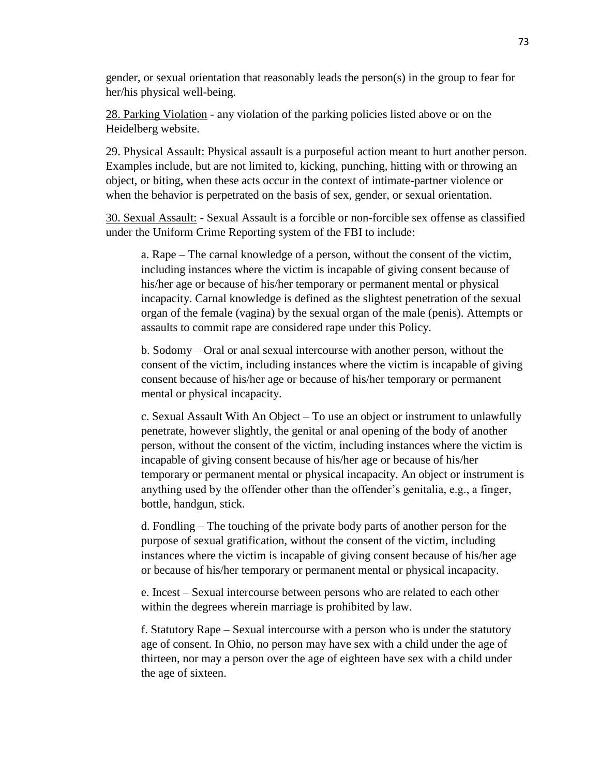gender, or sexual orientation that reasonably leads the person(s) in the group to fear for her/his physical well-being.

28. Parking Violation - any violation of the parking policies listed above or on the Heidelberg website.

29. Physical Assault: Physical assault is a purposeful action meant to hurt another person. Examples include, but are not limited to, kicking, punching, hitting with or throwing an object, or biting, when these acts occur in the context of intimate-partner violence or when the behavior is perpetrated on the basis of sex, gender, or sexual orientation.

30. Sexual Assault: - Sexual Assault is a forcible or non-forcible sex offense as classified under the Uniform Crime Reporting system of the FBI to include:

a. Rape – The carnal knowledge of a person, without the consent of the victim, including instances where the victim is incapable of giving consent because of his/her age or because of his/her temporary or permanent mental or physical incapacity. Carnal knowledge is defined as the slightest penetration of the sexual organ of the female (vagina) by the sexual organ of the male (penis). Attempts or assaults to commit rape are considered rape under this Policy.

b. Sodomy – Oral or anal sexual intercourse with another person, without the consent of the victim, including instances where the victim is incapable of giving consent because of his/her age or because of his/her temporary or permanent mental or physical incapacity.

c. Sexual Assault With An Object – To use an object or instrument to unlawfully penetrate, however slightly, the genital or anal opening of the body of another person, without the consent of the victim, including instances where the victim is incapable of giving consent because of his/her age or because of his/her temporary or permanent mental or physical incapacity. An object or instrument is anything used by the offender other than the offender's genitalia, e.g., a finger, bottle, handgun, stick.

d. Fondling – The touching of the private body parts of another person for the purpose of sexual gratification, without the consent of the victim, including instances where the victim is incapable of giving consent because of his/her age or because of his/her temporary or permanent mental or physical incapacity.

e. Incest – Sexual intercourse between persons who are related to each other within the degrees wherein marriage is prohibited by law.

f. Statutory Rape – Sexual intercourse with a person who is under the statutory age of consent. In Ohio, no person may have sex with a child under the age of thirteen, nor may a person over the age of eighteen have sex with a child under the age of sixteen.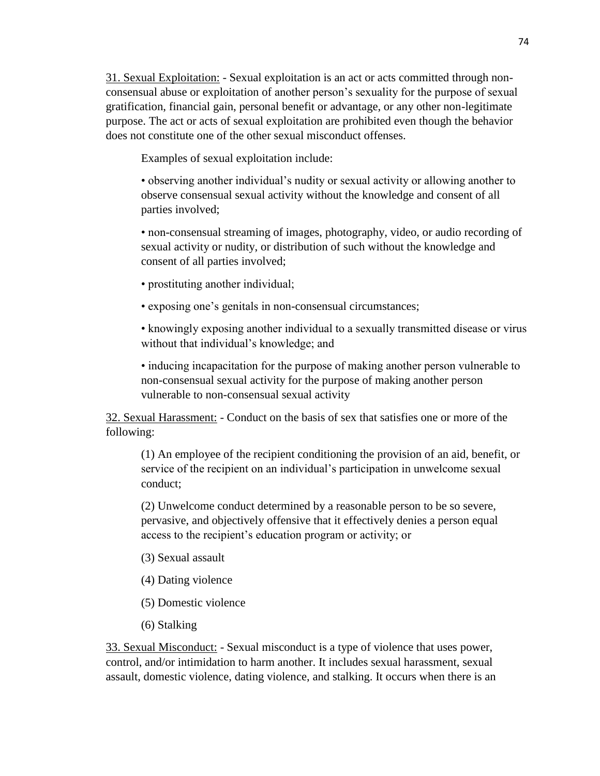31. Sexual Exploitation: - Sexual exploitation is an act or acts committed through nonconsensual abuse or exploitation of another person's sexuality for the purpose of sexual gratification, financial gain, personal benefit or advantage, or any other non-legitimate purpose. The act or acts of sexual exploitation are prohibited even though the behavior does not constitute one of the other sexual misconduct offenses.

Examples of sexual exploitation include:

• observing another individual's nudity or sexual activity or allowing another to observe consensual sexual activity without the knowledge and consent of all parties involved;

• non-consensual streaming of images, photography, video, or audio recording of sexual activity or nudity, or distribution of such without the knowledge and consent of all parties involved;

• prostituting another individual;

• exposing one's genitals in non-consensual circumstances;

• knowingly exposing another individual to a sexually transmitted disease or virus without that individual's knowledge; and

• inducing incapacitation for the purpose of making another person vulnerable to non-consensual sexual activity for the purpose of making another person vulnerable to non-consensual sexual activity

32. Sexual Harassment: - Conduct on the basis of sex that satisfies one or more of the following:

(1) An employee of the recipient conditioning the provision of an aid, benefit, or service of the recipient on an individual's participation in unwelcome sexual conduct;

(2) Unwelcome conduct determined by a reasonable person to be so severe, pervasive, and objectively offensive that it effectively denies a person equal access to the recipient's education program or activity; or

- (3) Sexual assault
- (4) Dating violence
- (5) Domestic violence
- (6) Stalking

33. Sexual Misconduct: - Sexual misconduct is a type of violence that uses power, control, and/or intimidation to harm another. It includes sexual harassment, sexual assault, domestic violence, dating violence, and stalking. It occurs when there is an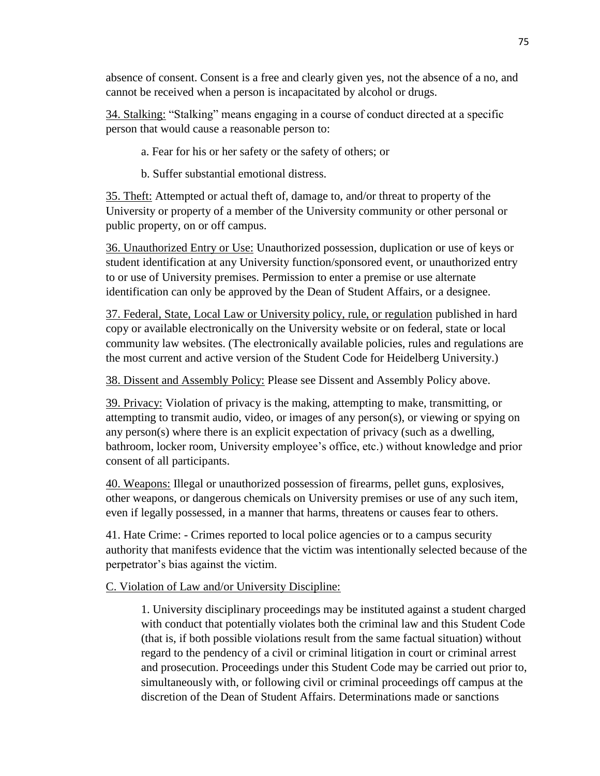absence of consent. Consent is a free and clearly given yes, not the absence of a no, and cannot be received when a person is incapacitated by alcohol or drugs.

34. Stalking: "Stalking" means engaging in a course of conduct directed at a specific person that would cause a reasonable person to:

- a. Fear for his or her safety or the safety of others; or
- b. Suffer substantial emotional distress.

35. Theft: Attempted or actual theft of, damage to, and/or threat to property of the University or property of a member of the University community or other personal or public property, on or off campus.

36. Unauthorized Entry or Use: Unauthorized possession, duplication or use of keys or student identification at any University function/sponsored event, or unauthorized entry to or use of University premises. Permission to enter a premise or use alternate identification can only be approved by the Dean of Student Affairs, or a designee.

37. Federal, State, Local Law or University policy, rule, or regulation published in hard copy or available electronically on the University website or on federal, state or local community law websites. (The electronically available policies, rules and regulations are the most current and active version of the Student Code for Heidelberg University.)

38. Dissent and Assembly Policy: Please see Dissent and Assembly Policy above.

39. Privacy: Violation of privacy is the making, attempting to make, transmitting, or attempting to transmit audio, video, or images of any person(s), or viewing or spying on any person(s) where there is an explicit expectation of privacy (such as a dwelling, bathroom, locker room, University employee's office, etc.) without knowledge and prior consent of all participants.

40. Weapons: Illegal or unauthorized possession of firearms, pellet guns, explosives, other weapons, or dangerous chemicals on University premises or use of any such item, even if legally possessed, in a manner that harms, threatens or causes fear to others.

41. Hate Crime: - Crimes reported to local police agencies or to a campus security authority that manifests evidence that the victim was intentionally selected because of the perpetrator's bias against the victim.

# C. Violation of Law and/or University Discipline:

1. University disciplinary proceedings may be instituted against a student charged with conduct that potentially violates both the criminal law and this Student Code (that is, if both possible violations result from the same factual situation) without regard to the pendency of a civil or criminal litigation in court or criminal arrest and prosecution. Proceedings under this Student Code may be carried out prior to, simultaneously with, or following civil or criminal proceedings off campus at the discretion of the Dean of Student Affairs. Determinations made or sanctions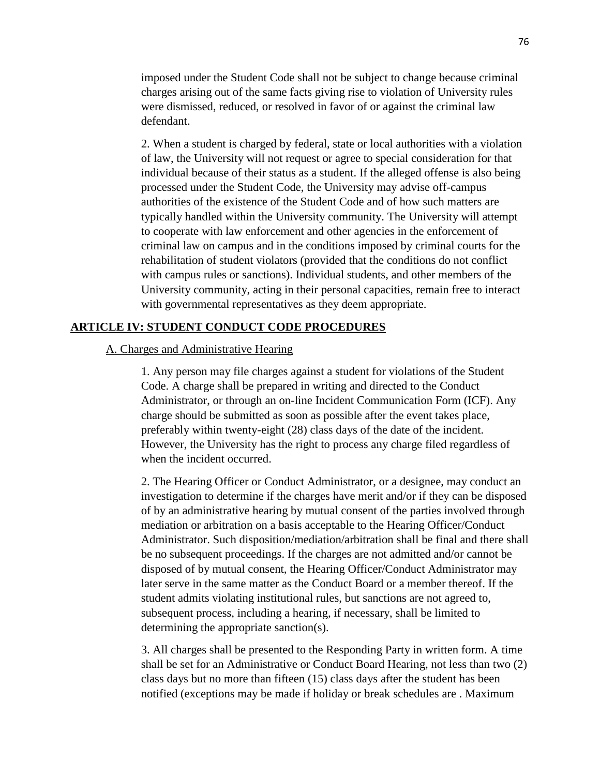imposed under the Student Code shall not be subject to change because criminal charges arising out of the same facts giving rise to violation of University rules were dismissed, reduced, or resolved in favor of or against the criminal law defendant.

2. When a student is charged by federal, state or local authorities with a violation of law, the University will not request or agree to special consideration for that individual because of their status as a student. If the alleged offense is also being processed under the Student Code, the University may advise off-campus authorities of the existence of the Student Code and of how such matters are typically handled within the University community. The University will attempt to cooperate with law enforcement and other agencies in the enforcement of criminal law on campus and in the conditions imposed by criminal courts for the rehabilitation of student violators (provided that the conditions do not conflict with campus rules or sanctions). Individual students, and other members of the University community, acting in their personal capacities, remain free to interact with governmental representatives as they deem appropriate.

### **ARTICLE IV: STUDENT CONDUCT CODE PROCEDURES**

### A. Charges and Administrative Hearing

1. Any person may file charges against a student for violations of the Student Code. A charge shall be prepared in writing and directed to the Conduct Administrator, or through an on-line Incident Communication Form (ICF). Any charge should be submitted as soon as possible after the event takes place, preferably within twenty-eight (28) class days of the date of the incident. However, the University has the right to process any charge filed regardless of when the incident occurred.

2. The Hearing Officer or Conduct Administrator, or a designee, may conduct an investigation to determine if the charges have merit and/or if they can be disposed of by an administrative hearing by mutual consent of the parties involved through mediation or arbitration on a basis acceptable to the Hearing Officer/Conduct Administrator. Such disposition/mediation/arbitration shall be final and there shall be no subsequent proceedings. If the charges are not admitted and/or cannot be disposed of by mutual consent, the Hearing Officer/Conduct Administrator may later serve in the same matter as the Conduct Board or a member thereof. If the student admits violating institutional rules, but sanctions are not agreed to, subsequent process, including a hearing, if necessary, shall be limited to determining the appropriate sanction(s).

3. All charges shall be presented to the Responding Party in written form. A time shall be set for an Administrative or Conduct Board Hearing, not less than two (2) class days but no more than fifteen (15) class days after the student has been notified (exceptions may be made if holiday or break schedules are . Maximum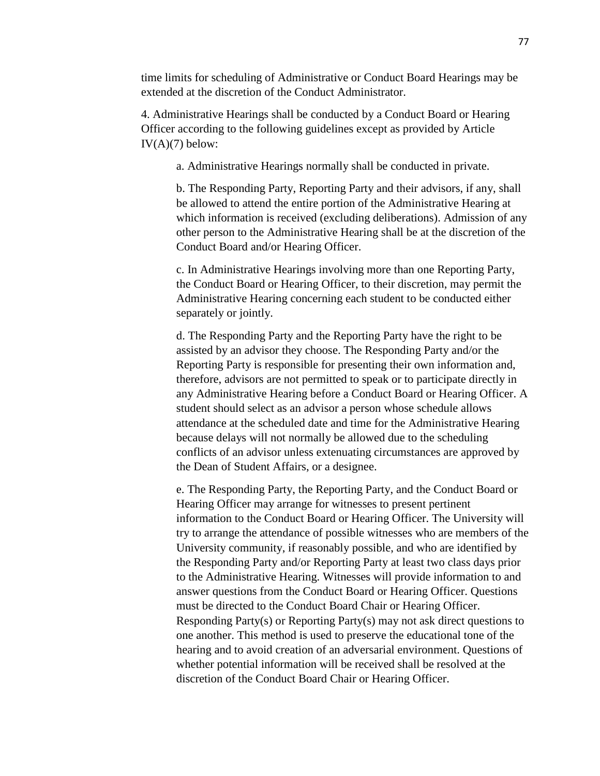time limits for scheduling of Administrative or Conduct Board Hearings may be extended at the discretion of the Conduct Administrator.

4. Administrative Hearings shall be conducted by a Conduct Board or Hearing Officer according to the following guidelines except as provided by Article  $IV(A)(7)$  below:

a. Administrative Hearings normally shall be conducted in private.

b. The Responding Party, Reporting Party and their advisors, if any, shall be allowed to attend the entire portion of the Administrative Hearing at which information is received (excluding deliberations). Admission of any other person to the Administrative Hearing shall be at the discretion of the Conduct Board and/or Hearing Officer.

c. In Administrative Hearings involving more than one Reporting Party, the Conduct Board or Hearing Officer, to their discretion, may permit the Administrative Hearing concerning each student to be conducted either separately or jointly.

d. The Responding Party and the Reporting Party have the right to be assisted by an advisor they choose. The Responding Party and/or the Reporting Party is responsible for presenting their own information and, therefore, advisors are not permitted to speak or to participate directly in any Administrative Hearing before a Conduct Board or Hearing Officer. A student should select as an advisor a person whose schedule allows attendance at the scheduled date and time for the Administrative Hearing because delays will not normally be allowed due to the scheduling conflicts of an advisor unless extenuating circumstances are approved by the Dean of Student Affairs, or a designee.

e. The Responding Party, the Reporting Party, and the Conduct Board or Hearing Officer may arrange for witnesses to present pertinent information to the Conduct Board or Hearing Officer. The University will try to arrange the attendance of possible witnesses who are members of the University community, if reasonably possible, and who are identified by the Responding Party and/or Reporting Party at least two class days prior to the Administrative Hearing. Witnesses will provide information to and answer questions from the Conduct Board or Hearing Officer. Questions must be directed to the Conduct Board Chair or Hearing Officer. Responding Party(s) or Reporting Party(s) may not ask direct questions to one another. This method is used to preserve the educational tone of the hearing and to avoid creation of an adversarial environment. Questions of whether potential information will be received shall be resolved at the discretion of the Conduct Board Chair or Hearing Officer.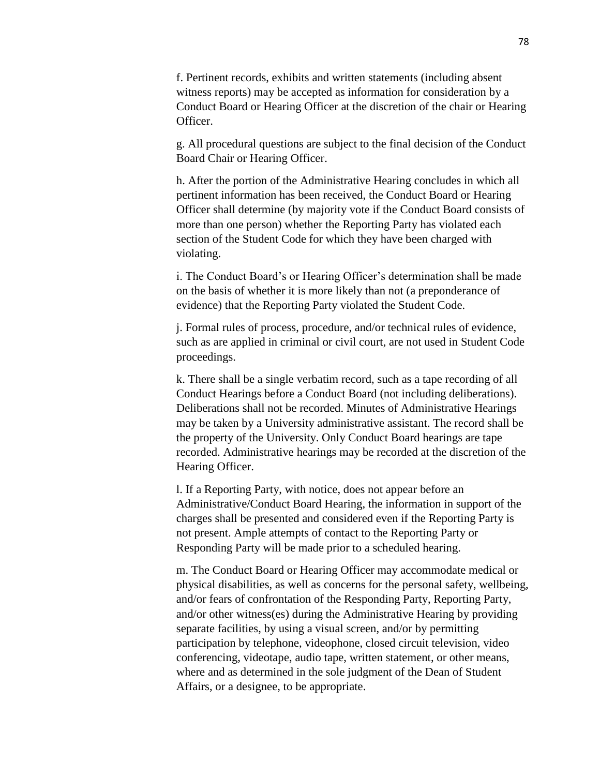f. Pertinent records, exhibits and written statements (including absent witness reports) may be accepted as information for consideration by a Conduct Board or Hearing Officer at the discretion of the chair or Hearing Officer.

g. All procedural questions are subject to the final decision of the Conduct Board Chair or Hearing Officer.

h. After the portion of the Administrative Hearing concludes in which all pertinent information has been received, the Conduct Board or Hearing Officer shall determine (by majority vote if the Conduct Board consists of more than one person) whether the Reporting Party has violated each section of the Student Code for which they have been charged with violating.

i. The Conduct Board's or Hearing Officer's determination shall be made on the basis of whether it is more likely than not (a preponderance of evidence) that the Reporting Party violated the Student Code.

j. Formal rules of process, procedure, and/or technical rules of evidence, such as are applied in criminal or civil court, are not used in Student Code proceedings.

k. There shall be a single verbatim record, such as a tape recording of all Conduct Hearings before a Conduct Board (not including deliberations). Deliberations shall not be recorded. Minutes of Administrative Hearings may be taken by a University administrative assistant. The record shall be the property of the University. Only Conduct Board hearings are tape recorded. Administrative hearings may be recorded at the discretion of the Hearing Officer.

l. If a Reporting Party, with notice, does not appear before an Administrative/Conduct Board Hearing, the information in support of the charges shall be presented and considered even if the Reporting Party is not present. Ample attempts of contact to the Reporting Party or Responding Party will be made prior to a scheduled hearing.

m. The Conduct Board or Hearing Officer may accommodate medical or physical disabilities, as well as concerns for the personal safety, wellbeing, and/or fears of confrontation of the Responding Party, Reporting Party, and/or other witness(es) during the Administrative Hearing by providing separate facilities, by using a visual screen, and/or by permitting participation by telephone, videophone, closed circuit television, video conferencing, videotape, audio tape, written statement, or other means, where and as determined in the sole judgment of the Dean of Student Affairs, or a designee, to be appropriate.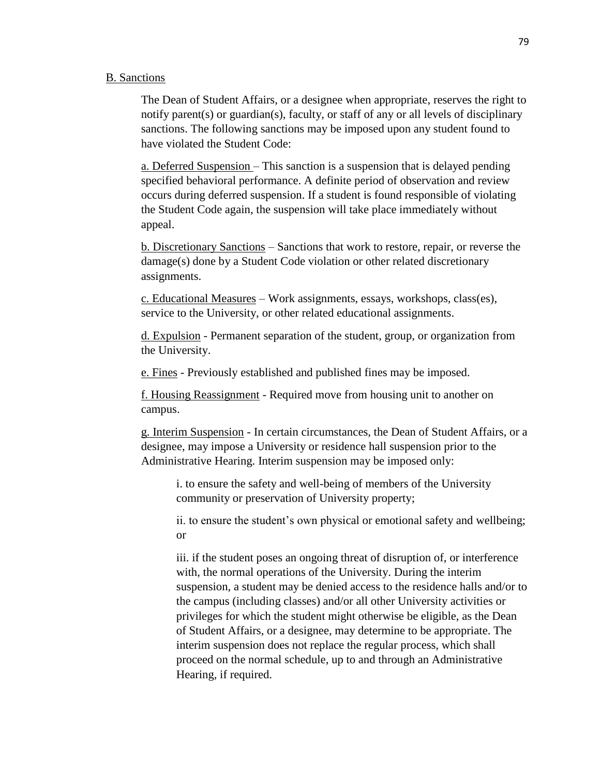### B. Sanctions

The Dean of Student Affairs, or a designee when appropriate, reserves the right to notify parent(s) or guardian(s), faculty, or staff of any or all levels of disciplinary sanctions. The following sanctions may be imposed upon any student found to have violated the Student Code:

a. Deferred Suspension – This sanction is a suspension that is delayed pending specified behavioral performance. A definite period of observation and review occurs during deferred suspension. If a student is found responsible of violating the Student Code again, the suspension will take place immediately without appeal.

b. Discretionary Sanctions – Sanctions that work to restore, repair, or reverse the damage(s) done by a Student Code violation or other related discretionary assignments.

c. Educational Measures – Work assignments, essays, workshops, class(es), service to the University, or other related educational assignments.

d. Expulsion - Permanent separation of the student, group, or organization from the University.

e. Fines - Previously established and published fines may be imposed.

f. Housing Reassignment - Required move from housing unit to another on campus.

g. Interim Suspension - In certain circumstances, the Dean of Student Affairs, or a designee, may impose a University or residence hall suspension prior to the Administrative Hearing. Interim suspension may be imposed only:

i. to ensure the safety and well-being of members of the University community or preservation of University property;

ii. to ensure the student's own physical or emotional safety and wellbeing; or

iii. if the student poses an ongoing threat of disruption of, or interference with, the normal operations of the University. During the interim suspension, a student may be denied access to the residence halls and/or to the campus (including classes) and/or all other University activities or privileges for which the student might otherwise be eligible, as the Dean of Student Affairs, or a designee, may determine to be appropriate. The interim suspension does not replace the regular process, which shall proceed on the normal schedule, up to and through an Administrative Hearing, if required.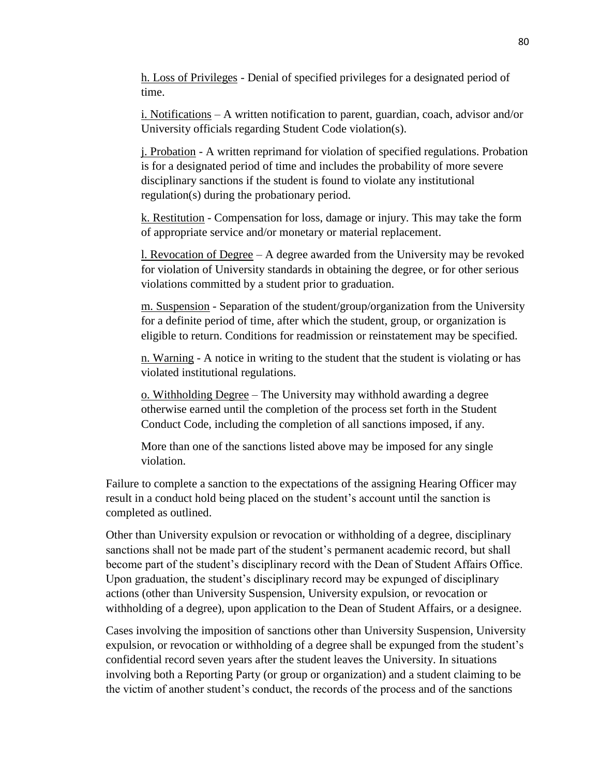h. Loss of Privileges - Denial of specified privileges for a designated period of time.

i. Notifications – A written notification to parent, guardian, coach, advisor and/or University officials regarding Student Code violation(s).

j. Probation - A written reprimand for violation of specified regulations. Probation is for a designated period of time and includes the probability of more severe disciplinary sanctions if the student is found to violate any institutional regulation(s) during the probationary period.

k. Restitution - Compensation for loss, damage or injury. This may take the form of appropriate service and/or monetary or material replacement.

l. Revocation of Degree – A degree awarded from the University may be revoked for violation of University standards in obtaining the degree, or for other serious violations committed by a student prior to graduation.

m. Suspension - Separation of the student/group/organization from the University for a definite period of time, after which the student, group, or organization is eligible to return. Conditions for readmission or reinstatement may be specified.

n. Warning - A notice in writing to the student that the student is violating or has violated institutional regulations.

o. Withholding Degree – The University may withhold awarding a degree otherwise earned until the completion of the process set forth in the Student Conduct Code, including the completion of all sanctions imposed, if any.

More than one of the sanctions listed above may be imposed for any single violation.

Failure to complete a sanction to the expectations of the assigning Hearing Officer may result in a conduct hold being placed on the student's account until the sanction is completed as outlined.

Other than University expulsion or revocation or withholding of a degree, disciplinary sanctions shall not be made part of the student's permanent academic record, but shall become part of the student's disciplinary record with the Dean of Student Affairs Office. Upon graduation, the student's disciplinary record may be expunged of disciplinary actions (other than University Suspension, University expulsion, or revocation or withholding of a degree), upon application to the Dean of Student Affairs, or a designee.

Cases involving the imposition of sanctions other than University Suspension, University expulsion, or revocation or withholding of a degree shall be expunged from the student's confidential record seven years after the student leaves the University. In situations involving both a Reporting Party (or group or organization) and a student claiming to be the victim of another student's conduct, the records of the process and of the sanctions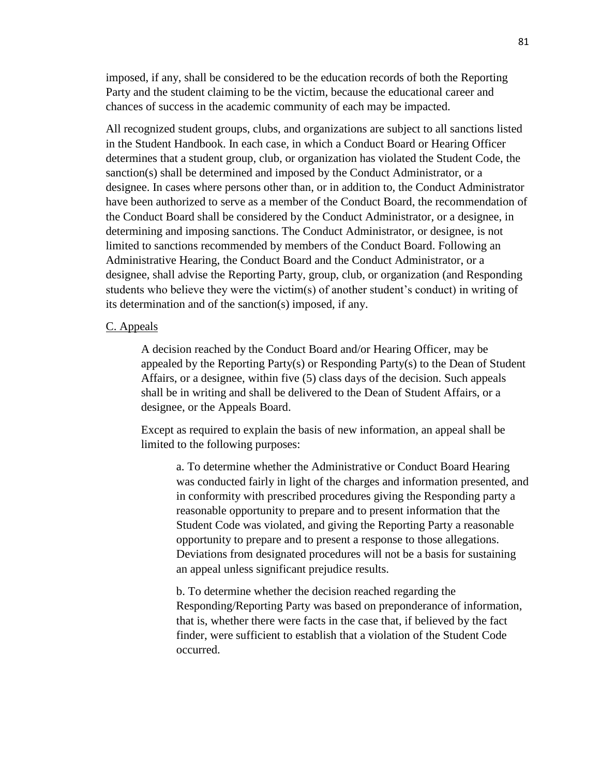imposed, if any, shall be considered to be the education records of both the Reporting Party and the student claiming to be the victim, because the educational career and chances of success in the academic community of each may be impacted.

All recognized student groups, clubs, and organizations are subject to all sanctions listed in the Student Handbook. In each case, in which a Conduct Board or Hearing Officer determines that a student group, club, or organization has violated the Student Code, the sanction(s) shall be determined and imposed by the Conduct Administrator, or a designee. In cases where persons other than, or in addition to, the Conduct Administrator have been authorized to serve as a member of the Conduct Board, the recommendation of the Conduct Board shall be considered by the Conduct Administrator, or a designee, in determining and imposing sanctions. The Conduct Administrator, or designee, is not limited to sanctions recommended by members of the Conduct Board. Following an Administrative Hearing, the Conduct Board and the Conduct Administrator, or a designee, shall advise the Reporting Party, group, club, or organization (and Responding students who believe they were the victim(s) of another student's conduct) in writing of its determination and of the sanction(s) imposed, if any.

#### C. Appeals

A decision reached by the Conduct Board and/or Hearing Officer, may be appealed by the Reporting Party(s) or Responding Party(s) to the Dean of Student Affairs, or a designee, within five (5) class days of the decision. Such appeals shall be in writing and shall be delivered to the Dean of Student Affairs, or a designee, or the Appeals Board.

Except as required to explain the basis of new information, an appeal shall be limited to the following purposes:

a. To determine whether the Administrative or Conduct Board Hearing was conducted fairly in light of the charges and information presented, and in conformity with prescribed procedures giving the Responding party a reasonable opportunity to prepare and to present information that the Student Code was violated, and giving the Reporting Party a reasonable opportunity to prepare and to present a response to those allegations. Deviations from designated procedures will not be a basis for sustaining an appeal unless significant prejudice results.

b. To determine whether the decision reached regarding the Responding/Reporting Party was based on preponderance of information, that is, whether there were facts in the case that, if believed by the fact finder, were sufficient to establish that a violation of the Student Code occurred.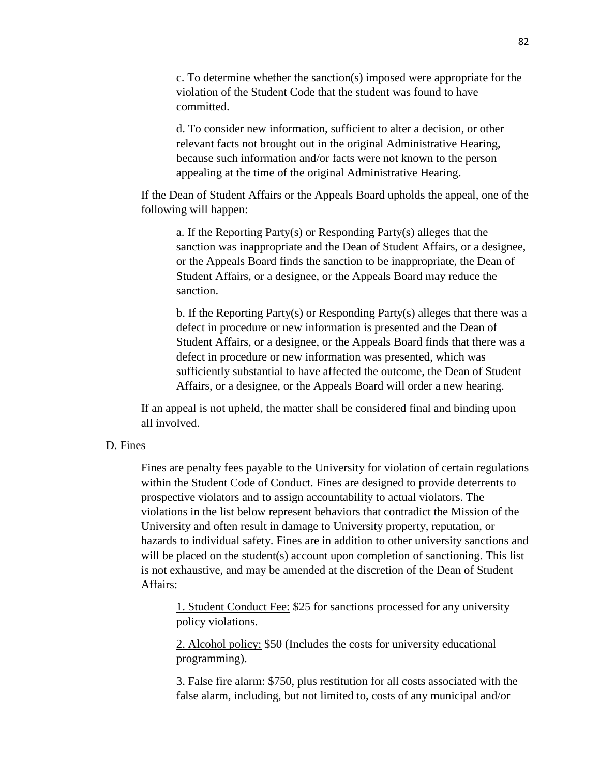c. To determine whether the sanction(s) imposed were appropriate for the violation of the Student Code that the student was found to have committed.

d. To consider new information, sufficient to alter a decision, or other relevant facts not brought out in the original Administrative Hearing, because such information and/or facts were not known to the person appealing at the time of the original Administrative Hearing.

If the Dean of Student Affairs or the Appeals Board upholds the appeal, one of the following will happen:

a. If the Reporting Party(s) or Responding Party(s) alleges that the sanction was inappropriate and the Dean of Student Affairs, or a designee, or the Appeals Board finds the sanction to be inappropriate, the Dean of Student Affairs, or a designee, or the Appeals Board may reduce the sanction.

b. If the Reporting Party(s) or Responding Party(s) alleges that there was a defect in procedure or new information is presented and the Dean of Student Affairs, or a designee, or the Appeals Board finds that there was a defect in procedure or new information was presented, which was sufficiently substantial to have affected the outcome, the Dean of Student Affairs, or a designee, or the Appeals Board will order a new hearing.

If an appeal is not upheld, the matter shall be considered final and binding upon all involved.

#### D. Fines

Fines are penalty fees payable to the University for violation of certain regulations within the Student Code of Conduct. Fines are designed to provide deterrents to prospective violators and to assign accountability to actual violators. The violations in the list below represent behaviors that contradict the Mission of the University and often result in damage to University property, reputation, or hazards to individual safety. Fines are in addition to other university sanctions and will be placed on the student(s) account upon completion of sanctioning. This list is not exhaustive, and may be amended at the discretion of the Dean of Student Affairs:

1. Student Conduct Fee: \$25 for sanctions processed for any university policy violations.

2. Alcohol policy: \$50 (Includes the costs for university educational programming).

3. False fire alarm: \$750, plus restitution for all costs associated with the false alarm, including, but not limited to, costs of any municipal and/or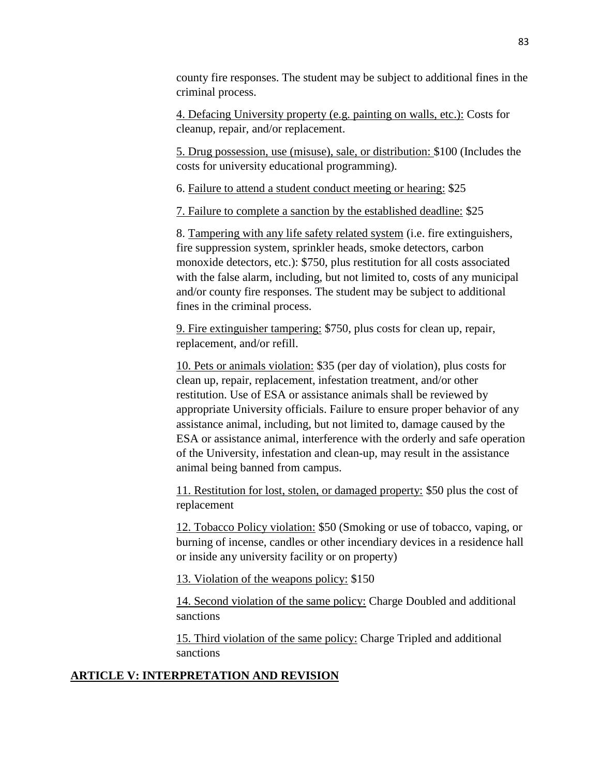county fire responses. The student may be subject to additional fines in the criminal process.

4. Defacing University property (e.g. painting on walls, etc.): Costs for cleanup, repair, and/or replacement.

5. Drug possession, use (misuse), sale, or distribution: \$100 (Includes the costs for university educational programming).

6. Failure to attend a student conduct meeting or hearing: \$25

7. Failure to complete a sanction by the established deadline: \$25

8. Tampering with any life safety related system (i.e. fire extinguishers, fire suppression system, sprinkler heads, smoke detectors, carbon monoxide detectors, etc.): \$750, plus restitution for all costs associated with the false alarm, including, but not limited to, costs of any municipal and/or county fire responses. The student may be subject to additional fines in the criminal process.

9. Fire extinguisher tampering: \$750, plus costs for clean up, repair, replacement, and/or refill.

10. Pets or animals violation: \$35 (per day of violation), plus costs for clean up, repair, replacement, infestation treatment, and/or other restitution. Use of ESA or assistance animals shall be reviewed by appropriate University officials. Failure to ensure proper behavior of any assistance animal, including, but not limited to, damage caused by the ESA or assistance animal, interference with the orderly and safe operation of the University, infestation and clean-up, may result in the assistance animal being banned from campus.

11. Restitution for lost, stolen, or damaged property: \$50 plus the cost of replacement

12. Tobacco Policy violation: \$50 (Smoking or use of tobacco, vaping, or burning of incense, candles or other incendiary devices in a residence hall or inside any university facility or on property)

13. Violation of the weapons policy: \$150

14. Second violation of the same policy: Charge Doubled and additional sanctions

15. Third violation of the same policy: Charge Tripled and additional sanctions

# **ARTICLE V: INTERPRETATION AND REVISION**